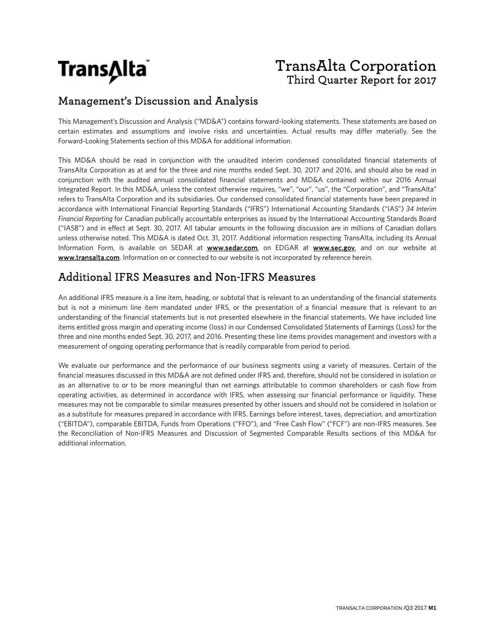

# **TransAlta Corporation** Third Quarter Report for 2017

# Management's Discussion and Analysis

This Management's Discussion and Analysis ("MD&A") contains forward-looking statements. These statements are based on certain estimates and assumptions and involve risks and uncertainties. Actual results may differ materially. See the Forward-Looking Statements section of this MD&A for additional information.

This MD&A should be read in conjunction with the unaudited interim condensed consolidated financial statements of TransAlta Corporation as at and for the three and nine months ended Sept. 30, 2017 and 2016, and should also be read in conjunction with the audited annual consolidated financial statements and MD&A contained within our 2016 Annual Integrated Report. In this MD&A, unless the context otherwise requires, "we", "our", "us", the "Corporation", and "TransAlta" refers to TransAlta Corporation and its subsidiaries. Our condensed consolidated financial statements have been prepared in accordance with International Financial Reporting Standards ("IFRS") International Accounting Standards ("IAS") *34 Interim Financial Reporting* for Canadian publically accountable enterprises as issued by the International Accounting Standards Board ("IASB") and in effect at Sept. 30, 2017. All tabular amounts in the following discussion are in millions of Canadian dollars unless otherwise noted. This MD&A is dated Oct. 31, 2017. Additional information respecting TransAlta, including its Annual Information Form, is available on SEDAR at www.sedar.com, on EDGAR at www.sec.gov, and on our website at www.transalta.com. Information on or connected to our website is not incorporated by reference herein.

# Additional IFRS Measures and Non-IFRS Measures

An additional IFRS measure is a line item, heading, or subtotal that is relevant to an understanding of the financial statements but is not a minimum line item mandated under IFRS, or the presentation of a financial measure that is relevant to an understanding of the financial statements but is not presented elsewhere in the financial statements. We have included line items entitled gross margin and operating income (loss) in our Condensed Consolidated Statements of Earnings (Loss) for the three and nine months ended Sept. 30, 2017, and 2016. Presenting these line items provides management and investors with a measurement of ongoing operating performance that is readily comparable from period to period.

We evaluate our performance and the performance of our business segments using a variety of measures. Certain of the financial measures discussed in this MD&A are not defined under IFRS and, therefore, should not be considered in isolation or as an alternative to or to be more meaningful than net earnings attributable to common shareholders or cash flow from operating activities, as determined in accordance with IFRS, when assessing our financial performance or liquidity. These measures may not be comparable to similar measures presented by other issuers and should not be considered in isolation or as a substitute for measures prepared in accordance with IFRS. Earnings before interest, taxes, depreciation, and amortization ("EBITDA"), comparable EBITDA, Funds from Operations ("FFO"), and "Free Cash Flow" ("FCF") are non-IFRS measures. See the Reconciliation of Non-IFRS Measures and Discussion of Segmented Comparable Results sections of this MD&A for additional information.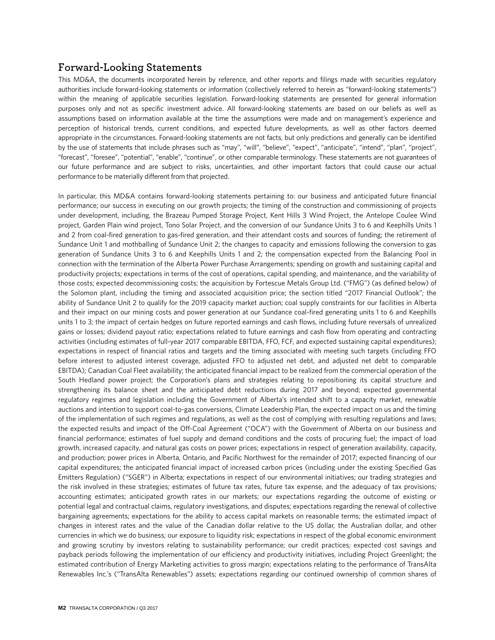# **Forward-Looking Statements**

This MD&A, the documents incorporated herein by reference, and other reports and filings made with securities regulatory authorities include forward-looking statements or information (collectively referred to herein as "forward-looking statements") within the meaning of applicable securities legislation. Forward-looking statements are presented for general information purposes only and not as specific investment advice. All forward-looking statements are based on our beliefs as well as assumptions based on information available at the time the assumptions were made and on management's experience and perception of historical trends, current conditions, and expected future developments, as well as other factors deemed appropriate in the circumstances. Forward-looking statements are not facts, but only predictions and generally can be identified by the use of statements that include phrases such as "may", "will", "believe", "expect", "anticipate", "intend", "plan", "project", "forecast", "foresee", "potential", "enable", "continue", or other comparable terminology. These statements are not guarantees of our future performance and are subject to risks, uncertainties, and other important factors that could cause our actual performance to be materially different from that projected.

In particular, this MD&A contains forward-looking statements pertaining to: our business and anticipated future financial performance; our success in executing on our growth projects; the timing of the construction and commissioning of projects under development, including, the Brazeau Pumped Storage Project, Kent Hills 3 Wind Project, the Antelope Coulee Wind project, Garden Plain wind project, Tono Solar Project, and the conversion of our Sundance Units 3 to 6 and Keephills Units 1 and 2 from coal-fired generation to gas-fired generation, and their attendant costs and sources of funding; the retirement of Sundance Unit 1 and mothballing of Sundance Unit 2; the changes to capacity and emissions following the conversion to gas generation of Sundance Units 3 to 6 and Keephills Units 1 and 2; the compensation expected from the Balancing Pool in connection with the termination of the Alberta Power Purchase Arrangements; spending on growth and sustaining capital and productivity projects; expectations in terms of the cost of operations, capital spending, and maintenance, and the variability of those costs; expected decommissioning costs; the acquisition by Fortescue Metals Group Ltd. ("FMG") (as defined below) of the Solomon plant, including the timing and associated acquisition price; the section titled "2017 Financial Outlook"; the ability of Sundance Unit 2 to qualify for the 2019 capacity market auction; coal supply constraints for our facilities in Alberta and their impact on our mining costs and power generation at our Sundance coal-fired generating units 1 to 6 and Keephills units 1 to 3; the impact of certain hedges on future reported earnings and cash flows, including future reversals of unrealized gains or losses; dividend payout ratio; expectations related to future earnings and cash flow from operating and contracting activities (including estimates of full-year 2017 comparable EBITDA, FFO, FCF, and expected sustaining capital expenditures); expectations in respect of financial ratios and targets and the timing associated with meeting such targets (including FFO before interest to adjusted interest coverage, adjusted FFO to adjusted net debt, and adjusted net debt to comparable EBITDA); Canadian Coal Fleet availability; the anticipated financial impact to be realized from the commercial operation of the South Hedland power project; the Corporation's plans and strategies relating to repositioning its capital structure and strengthening its balance sheet and the anticipated debt reductions during 2017 and beyond; expected governmental regulatory regimes and legislation including the Government of Alberta's intended shift to a capacity market, renewable auctions and intention to support coal-to-gas conversions, Climate Leadership Plan, the expected impact on us and the timing of the implementation of such regimes and regulations, as well as the cost of complying with resulting regulations and laws; the expected results and impact of the Off-Coal Agreement ("OCA") with the Government of Alberta on our business and financial performance; estimates of fuel supply and demand conditions and the costs of procuring fuel; the impact of load growth, increased capacity, and natural gas costs on power prices; expectations in respect of generation availability, capacity, and production; power prices in Alberta, Ontario, and Pacific Northwest for the remainder of 2017; expected financing of our capital expenditures; the anticipated financial impact of increased carbon prices (including under the existing Specified Gas Emitters Regulation) ("SGER") in Alberta; expectations in respect of our environmental initiatives; our trading strategies and the risk involved in these strategies; estimates of future tax rates, future tax expense, and the adequacy of tax provisions; accounting estimates; anticipated growth rates in our markets; our expectations regarding the outcome of existing or potential legal and contractual claims, regulatory investigations, and disputes; expectations regarding the renewal of collective bargaining agreements; expectations for the ability to access capital markets on reasonable terms; the estimated impact of changes in interest rates and the value of the Canadian dollar relative to the US dollar, the Australian dollar, and other currencies in which we do business; our exposure to liquidity risk; expectations in respect of the global economic environment and growing scrutiny by investors relating to sustainability performance; our credit practices; expected cost savings and payback periods following the implementation of our efficiency and productivity initiatives, including Project Greenlight; the estimated contribution of Energy Marketing activities to gross margin; expectations relating to the performance of TransAlta Renewables Inc.'s ("TransAlta Renewables") assets; expectations regarding our continued ownership of common shares of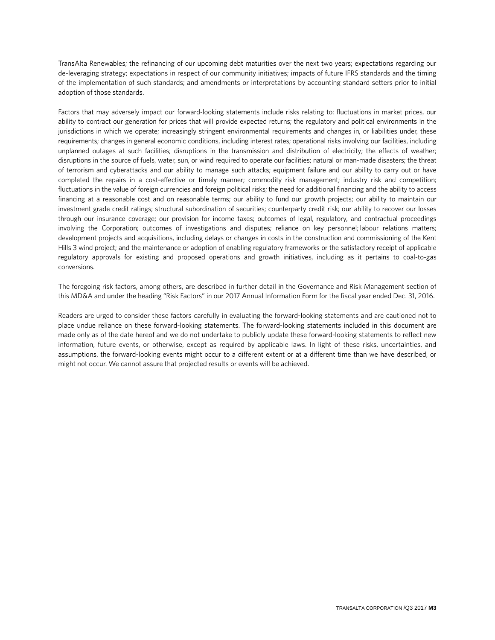TransAlta Renewables; the refinancing of our upcoming debt maturities over the next two years; expectations regarding our de-leveraging strategy; expectations in respect of our community initiatives; impacts of future IFRS standards and the timing of the implementation of such standards; and amendments or interpretations by accounting standard setters prior to initial adoption of those standards.

Factors that may adversely impact our forward-looking statements include risks relating to: fluctuations in market prices, our ability to contract our generation for prices that will provide expected returns; the regulatory and political environments in the jurisdictions in which we operate; increasingly stringent environmental requirements and changes in, or liabilities under, these requirements; changes in general economic conditions, including interest rates; operational risks involving our facilities, including unplanned outages at such facilities; disruptions in the transmission and distribution of electricity; the effects of weather; disruptions in the source of fuels, water, sun, or wind required to operate our facilities; natural or man-made disasters; the threat of terrorism and cyberattacks and our ability to manage such attacks; equipment failure and our ability to carry out or have completed the repairs in a cost-effective or timely manner; commodity risk management; industry risk and competition; fluctuations in the value of foreign currencies and foreign political risks; the need for additional financing and the ability to access financing at a reasonable cost and on reasonable terms; our ability to fund our growth projects; our ability to maintain our investment grade credit ratings; structural subordination of securities; counterparty credit risk; our ability to recover our losses through our insurance coverage; our provision for income taxes; outcomes of legal, regulatory, and contractual proceedings involving the Corporation; outcomes of investigations and disputes; reliance on key personnel; labour relations matters; development projects and acquisitions, including delays or changes in costs in the construction and commissioning of the Kent Hills 3 wind project; and the maintenance or adoption of enabling regulatory frameworks or the satisfactory receipt of applicable regulatory approvals for existing and proposed operations and growth initiatives, including as it pertains to coal-to-gas conversions.

The foregoing risk factors, among others, are described in further detail in the Governance and Risk Management section of this MD&A and under the heading "Risk Factors" in our 2017 Annual Information Form for the fiscal year ended Dec. 31, 2016.

Readers are urged to consider these factors carefully in evaluating the forward-looking statements and are cautioned not to place undue reliance on these forward-looking statements. The forward-looking statements included in this document are made only as of the date hereof and we do not undertake to publicly update these forward-looking statements to reflect new information, future events, or otherwise, except as required by applicable laws. In light of these risks, uncertainties, and assumptions, the forward-looking events might occur to a different extent or at a different time than we have described, or might not occur. We cannot assure that projected results or events will be achieved.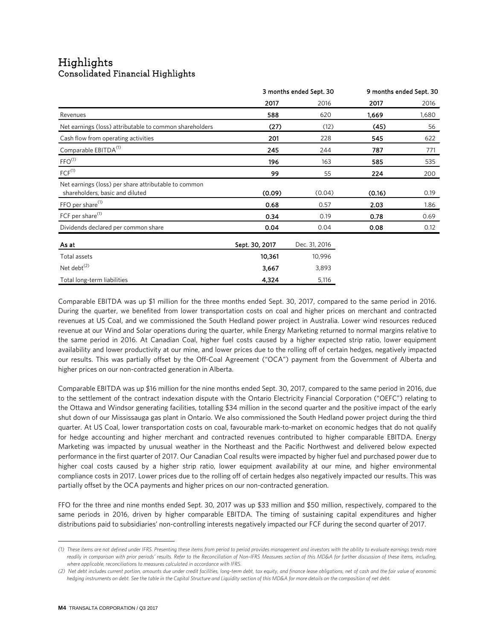# Highlights<br>Consolidated Financial Highlights

|                                                                                         | 3 months ended Sept. 30 |               | 9 months ended Sept. 30 |       |
|-----------------------------------------------------------------------------------------|-------------------------|---------------|-------------------------|-------|
|                                                                                         | 2017                    | 2016          | 2017                    | 2016  |
| Revenues                                                                                | 588                     | 620           | 1,669                   | 1,680 |
| Net earnings (loss) attributable to common shareholders                                 | (27)                    | (12)          | (45)                    | 56    |
| Cash flow from operating activities                                                     | 201                     | 228           | 545                     | 622   |
| Comparable EBITDA <sup>(1)</sup>                                                        | 245                     | 244           | 787                     | 771   |
| FFO <sup>(1)</sup>                                                                      | 196                     | 163           | 585                     | 535   |
| $FCF^{(1)}$                                                                             | 99                      | 55            | 224                     | 200   |
| Net earnings (loss) per share attributable to common<br>shareholders, basic and diluted | (0.09)                  | (0.04)        | (0.16)                  | 0.19  |
| FFO per share <sup>(1)</sup>                                                            | 0.68                    | 0.57          | 2.03                    | 1.86  |
| FCF per share <sup>(1)</sup>                                                            | 0.34                    | 0.19          | 0.78                    | 0.69  |
| Dividends declared per common share                                                     | 0.04                    | 0.04          | 0.08                    | 0.12  |
| As at                                                                                   | Sept. 30, 2017          | Dec. 31, 2016 |                         |       |
| Total assets                                                                            | 10,361                  | 10,996        |                         |       |
| Net debt <sup>(2)</sup>                                                                 | 3,667                   | 3,893         |                         |       |
| Total long-term liabilities                                                             | 4,324                   | 5,116         |                         |       |

Comparable EBITDA was up \$1 million for the three months ended Sept. 30, 2017, compared to the same period in 2016. During the quarter, we benefited from lower transportation costs on coal and higher prices on merchant and contracted revenues at US Coal, and we commissioned the South Hedland power project in Australia. Lower wind resources reduced revenue at our Wind and Solar operations during the quarter, while Energy Marketing returned to normal margins relative to the same period in 2016. At Canadian Coal, higher fuel costs caused by a higher expected strip ratio, lower equipment availability and lower productivity at our mine, and lower prices due to the rolling off of certain hedges, negatively impacted our results. This was partially offset by the Off-Coal Agreement ("OCA") payment from the Government of Alberta and higher prices on our non-contracted generation in Alberta.

Comparable EBITDA was up \$16 million for the nine months ended Sept. 30, 2017, compared to the same period in 2016, due to the settlement of the contract indexation dispute with the Ontario Electricity Financial Corporation ("OEFC") relating to the Ottawa and Windsor generating facilities, totalling \$34 million in the second quarter and the positive impact of the early shut down of our Mississauga gas plant in Ontario. We also commissioned the South Hedland power project during the third quarter. At US Coal, lower transportation costs on coal, favourable mark-to-market on economic hedges that do not qualify for hedge accounting and higher merchant and contracted revenues contributed to higher comparable EBITDA. Energy Marketing was impacted by unusual weather in the Northeast and the Pacific Northwest and delivered below expected performance in the first quarter of 2017. Our Canadian Coal results were impacted by higher fuel and purchased power due to higher coal costs caused by a higher strip ratio, lower equipment availability at our mine, and higher environmental compliance costs in 2017. Lower prices due to the rolling off of certain hedges also negatively impacted our results. This was partially offset by the OCA payments and higher prices on our non-contracted generation.

FFO for the three and nine months ended Sept. 30, 2017 was up \$33 million and \$50 million, respectively, compared to the same periods in 2016, driven by higher comparable EBITDA. The timing of sustaining capital expenditures and higher distributions paid to subsidiaries' non-controlling interests negatively impacted our FCF during the second quarter of 2017.

 $\overline{a}$ 

<span id="page-3-0"></span>*<sup>(1)</sup> These items are not defined under IFRS. Presenting these items from period to period provides management and investors with the ability to evaluate earnings trends more*  readily in comparison with prior periods' results. Refer to the Reconciliation of Non-IFRS Measures section of this MD&A for further discussion of these items, including, *where applicable, reconciliations to measures calculated in accordance with IFRS.*

<span id="page-3-1"></span>*<sup>(2)</sup> Net debt includes current portion, amounts due under credit facilities, long-term debt, tax equity, and finance lease obligations, net of cash and the fair value of economic hedging instruments on debt. See the table in the Capital Structure and Liquidity section of this MD&A for more details on the composition of net debt.*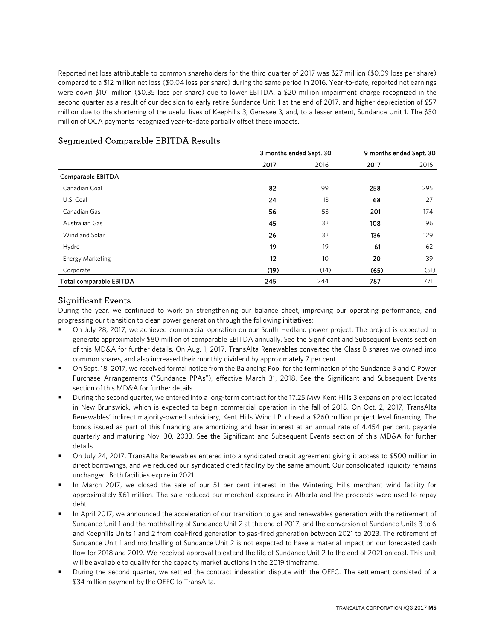Reported net loss attributable to common shareholders for the third quarter of 2017 was \$27 million (\$0.09 loss per share) compared to a \$12 million net loss (\$0.04 loss per share) during the same period in 2016. Year-to-date, reported net earnings were down \$101 million (\$0.35 loss per share) due to lower EBITDA, a \$20 million impairment charge recognized in the second quarter as a result of our decision to early retire Sundance Unit 1 at the end of 2017, and higher depreciation of \$57 million due to the shortening of the useful lives of Keephills 3, Genesee 3, and, to a lesser extent, Sundance Unit 1. The \$30 million of OCA payments recognized year-to-date partially offset these impacts.

|                                |      | 3 months ended Sept. 30 |      | 9 months ended Sept. 30 |
|--------------------------------|------|-------------------------|------|-------------------------|
|                                | 2017 | 2016                    | 2017 | 2016                    |
| Comparable EBITDA              |      |                         |      |                         |
| Canadian Coal                  | 82   | 99                      | 258  | 295                     |
| U.S. Coal                      | 24   | 13                      | 68   | 27                      |
| Canadian Gas                   | 56   | 53                      | 201  | 174                     |
| Australian Gas                 | 45   | 32                      | 108  | 96                      |
| Wind and Solar                 | 26   | 32                      | 136  | 129                     |
| Hydro                          | 19   | 19                      | 61   | 62                      |
| Energy Marketing               | 12   | 10                      | 20   | 39                      |
| Corporate                      | (19) | (14)                    | (65) | (51)                    |
| <b>Total comparable EBITDA</b> | 245  | 244                     | 787  | 771                     |

# Segmented Comparable EBITDA Results

# Significant Events

During the year, we continued to work on strengthening our balance sheet, improving our operating performance, and progressing our transition to clean power generation through the following initiatives:

- On July 28, 2017, we achieved commercial operation on our South Hedland power project. The project is expected to generate approximately \$80 million of comparable EBITDA annually. See the Significant and Subsequent Events section of this MD&A for further details. On Aug. 1, 2017, TransAlta Renewables converted the Class B shares we owned into common shares, and also increased their monthly dividend by approximately 7 per cent.
- On Sept. 18, 2017, we received formal notice from the Balancing Pool for the termination of the Sundance B and C Power Purchase Arrangements ("Sundance PPAs"), effective March 31, 2018. See the Significant and Subsequent Events section of this MD&A for further details.
- During the second quarter, we entered into a long-term contract for the 17.25 MW Kent Hills 3 expansion project located in New Brunswick, which is expected to begin commercial operation in the fall of 2018. On Oct. 2, 2017, TransAlta Renewables' indirect majority-owned subsidiary, Kent Hills Wind LP, closed a \$260 million project level financing. The bonds issued as part of this financing are amortizing and bear interest at an annual rate of 4.454 per cent, payable quarterly and maturing Nov. 30, 2033. See the Significant and Subsequent Events section of this MD&A for further details.
- On July 24, 2017, TransAlta Renewables entered into a syndicated credit agreement giving it access to \$500 million in direct borrowings, and we reduced our syndicated credit facility by the same amount. Our consolidated liquidity remains unchanged. Both facilities expire in 2021.
- In March 2017, we closed the sale of our 51 per cent interest in the Wintering Hills merchant wind facility for approximately \$61 million. The sale reduced our merchant exposure in Alberta and the proceeds were used to repay debt.
- In April 2017, we announced the acceleration of our transition to gas and renewables generation with the retirement of Sundance Unit 1 and the mothballing of Sundance Unit 2 at the end of 2017, and the conversion of Sundance Units 3 to 6 and Keephills Units 1 and 2 from coal-fired generation to gas-fired generation between 2021 to 2023. The retirement of Sundance Unit 1 and mothballing of Sundance Unit 2 is not expected to have a material impact on our forecasted cash flow for 2018 and 2019. We received approval to extend the life of Sundance Unit 2 to the end of 2021 on coal. This unit will be available to qualify for the capacity market auctions in the 2019 timeframe.
- During the second quarter, we settled the contract indexation dispute with the OEFC. The settlement consisted of a \$34 million payment by the OEFC to TransAlta.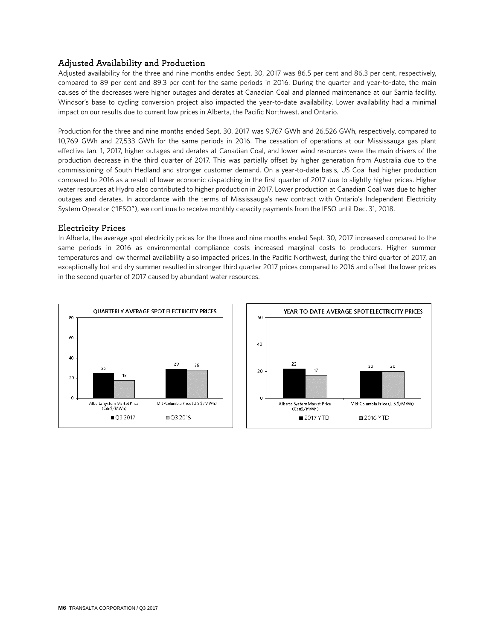# Adjusted Availability and Production

Adjusted availability for the three and nine months ended Sept. 30, 2017 was 86.5 per cent and 86.3 per cent, respectively, compared to 89 per cent and 89.3 per cent for the same periods in 2016. During the quarter and year-to-date, the main causes of the decreases were higher outages and derates at Canadian Coal and planned maintenance at our Sarnia facility. Windsor's base to cycling conversion project also impacted the year-to-date availability. Lower availability had a minimal impact on our results due to current low prices in Alberta, the Pacific Northwest, and Ontario.

Production for the three and nine months ended Sept. 30, 2017 was 9,767 GWh and 26,526 GWh, respectively, compared to 10,769 GWh and 27,533 GWh for the same periods in 2016. The cessation of operations at our Mississauga gas plant effective Jan. 1, 2017, higher outages and derates at Canadian Coal, and lower wind resources were the main drivers of the production decrease in the third quarter of 2017. This was partially offset by higher generation from Australia due to the commissioning of South Hedland and stronger customer demand. On a year-to-date basis, US Coal had higher production compared to 2016 as a result of lower economic dispatching in the first quarter of 2017 due to slightly higher prices. Higher water resources at Hydro also contributed to higher production in 2017. Lower production at Canadian Coal was due to higher outages and derates. In accordance with the terms of Mississauga's new contract with Ontario's Independent Electricity System Operator ("IESO"), we continue to receive monthly capacity payments from the IESO until Dec. 31, 2018.

### Electricity Prices

In Alberta, the average spot electricity prices for the three and nine months ended Sept. 30, 2017 increased compared to the same periods in 2016 as environmental compliance costs increased marginal costs to producers. Higher summer temperatures and low thermal availability also impacted prices. In the Pacific Northwest, during the third quarter of 2017, an exceptionally hot and dry summer resulted in stronger third quarter 2017 prices compared to 2016 and offset the lower prices in the second quarter of 2017 caused by abundant water resources.



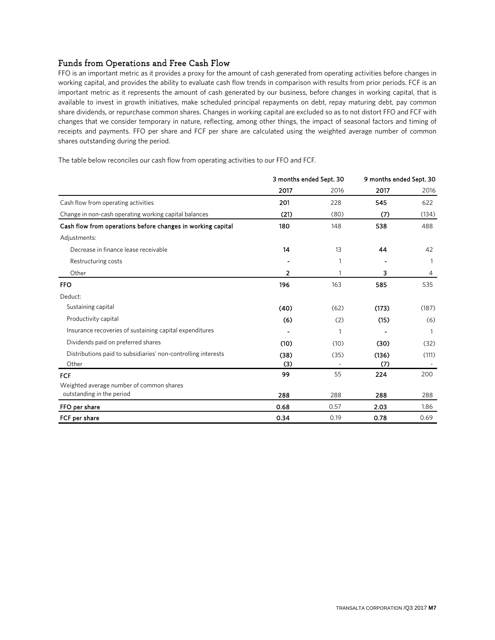# Funds from Operations and Free Cash Flow

FFO is an important metric as it provides a proxy for the amount of cash generated from operating activities before changes in working capital, and provides the ability to evaluate cash flow trends in comparison with results from prior periods. FCF is an important metric as it represents the amount of cash generated by our business, before changes in working capital, that is available to invest in growth initiatives, make scheduled principal repayments on debt, repay maturing debt, pay common share dividends, or repurchase common shares. Changes in working capital are excluded so as to not distort FFO and FCF with changes that we consider temporary in nature, reflecting, among other things, the impact of seasonal factors and timing of receipts and payments. FFO per share and FCF per share are calculated using the weighted average number of common shares outstanding during the period.

The table below reconciles our cash flow from operating activities to our FFO and FCF.

|                                                               | 3 months ended Sept. 30 |      | 9 months ended Sept. 30  |       |
|---------------------------------------------------------------|-------------------------|------|--------------------------|-------|
|                                                               | 2017                    | 2016 | 2017                     | 2016  |
| Cash flow from operating activities                           | 201                     | 228  | 545                      | 622   |
| Change in non-cash operating working capital balances         | (21)                    | (80) | (7)                      | (134) |
| Cash flow from operations before changes in working capital   | 180                     | 148  | 538                      | 488   |
| Adjustments:                                                  |                         |      |                          |       |
| Decrease in finance lease receivable                          | 14                      | 13   | 44                       | 42    |
| Restructuring costs                                           |                         | 1    | $\overline{\phantom{a}}$ |       |
| Other                                                         | 2                       |      | з                        | 4     |
| <b>FFO</b>                                                    | 196                     | 163  | 585                      | 535   |
| Deduct:                                                       |                         |      |                          |       |
| Sustaining capital                                            | (40)                    | (62) | (173)                    | (187) |
| Productivity capital                                          | (6)                     | (2)  | (15)                     | (6)   |
| Insurance recoveries of sustaining capital expenditures       |                         | 1    |                          |       |
| Dividends paid on preferred shares                            | (10)                    | (10) | (30)                     | (32)  |
| Distributions paid to subsidiaries' non-controlling interests | (38)                    | (35) | (136)                    | (111) |
| Other                                                         | (3)                     |      | (7)                      |       |
| <b>FCF</b>                                                    | 99                      | 55   | 224                      | 200   |
| Weighted average number of common shares                      |                         |      |                          |       |
| outstanding in the period                                     | 288                     | 288  | 288                      | 288   |
| FFO per share                                                 | 0.68                    | 0.57 | 2.03                     | 1.86  |
| FCF per share                                                 | 0.34                    | 0.19 | 0.78                     | 0.69  |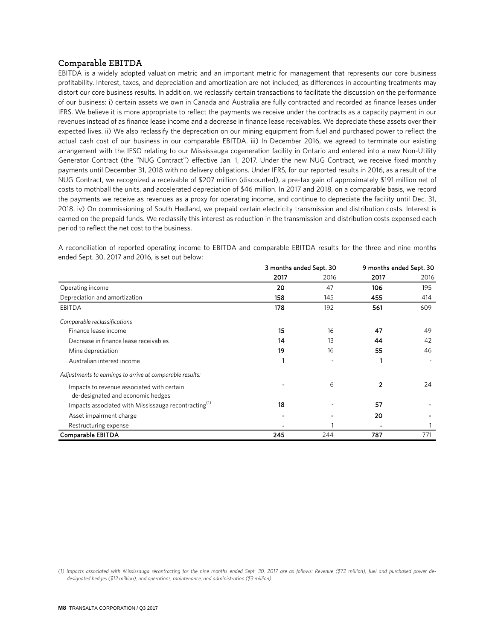### Comparable EBITDA**[1](#page-7-0)**

EBITDA is a widely adopted valuation metric and an important metric for management that represents our core business profitability. Interest, taxes, and depreciation and amortization are not included, as differences in accounting treatments may distort our core business results. In addition, we reclassify certain transactions to facilitate the discussion on the performance of our business: i) certain assets we own in Canada and Australia are fully contracted and recorded as finance leases under IFRS. We believe it is more appropriate to reflect the payments we receive under the contracts as a capacity payment in our revenues instead of as finance lease income and a decrease in finance lease receivables. We depreciate these assets over their expected lives. ii) We also reclassify the deprecation on our mining equipment from fuel and purchased power to reflect the actual cash cost of our business in our comparable EBITDA. iii) In December 2016, we agreed to terminate our existing arrangement with the IESO relating to our Mississauga cogeneration facility in Ontario and entered into a new Non-Utility Generator Contract (the "NUG Contract") effective Jan. 1, 2017. Under the new NUG Contract, we receive fixed monthly payments until December 31, 2018 with no delivery obligations. Under IFRS, for our reported results in 2016, as a result of the NUG Contract, we recognized a receivable of \$207 million (discounted), a pre-tax gain of approximately \$191 million net of costs to mothball the units, and accelerated depreciation of \$46 million. In 2017 and 2018, on a comparable basis, we record the payments we receive as revenues as a proxy for operating income, and continue to depreciate the facility until Dec. 31, 2018. iv) On commissioning of South Hedland, we prepaid certain electricity transmission and distribution costs. Interest is earned on the prepaid funds. We reclassify this interest as reduction in the transmission and distribution costs expensed each period to reflect the net cost to the business.

A reconciliation of reported operating income to EBITDA and comparable EBITDA results for the three and nine months ended Sept. 30, 2017 and 2016, is set out below:

|                                                                  | 3 months ended Sept. 30 |      | 9 months ended Sept. 30 |      |
|------------------------------------------------------------------|-------------------------|------|-------------------------|------|
|                                                                  | 2017                    | 2016 | 2017                    | 2016 |
| Operating income                                                 | 20                      | 47   | 106                     | 195  |
| Depreciation and amortization                                    | 158                     | 145  | 455                     | 414  |
| <b>EBITDA</b>                                                    | 178                     | 192  | 561                     | 609  |
| Comparable reclassifications                                     |                         |      |                         |      |
| Finance lease income                                             | 15                      | 16   | 47                      | 49   |
| Decrease in finance lease receivables                            | 14                      | 13   | 44                      | 42   |
| Mine depreciation                                                | 19                      | 16   | 55                      | 46   |
| Australian interest income                                       | 1                       |      |                         |      |
| Adjustments to earnings to arrive at comparable results:         |                         |      |                         |      |
| Impacts to revenue associated with certain                       |                         | 6    | $\mathcal{P}$           | 24   |
| de-designated and economic hedges                                |                         |      |                         |      |
| Impacts associated with Mississauga recontracting <sup>(1)</sup> | 18                      |      | 57                      |      |
| Asset impairment charge                                          |                         |      | 20                      |      |
| Restructuring expense                                            |                         |      |                         |      |
| Comparable EBITDA                                                | 245                     | 244  | 787                     | 771  |

<span id="page-7-0"></span> $\overline{a}$ *(1) Impacts associated with Mississauga recontracting for the nine months ended Sept. 30, 2017 are as follows: Revenue (\$72 million), fuel and purchased power dedesignated hedges (\$12 million), and operations, maintenance, and administration (\$3 million).*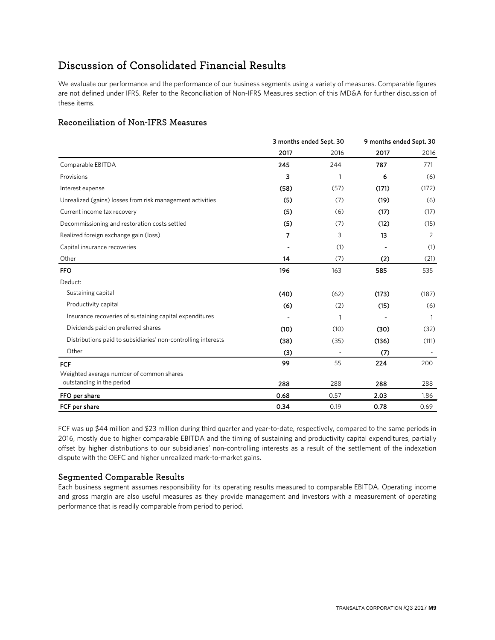# Discussion of Consolidated Financial Results

We evaluate our performance and the performance of our business segments using a variety of measures. Comparable figures are not defined under IFRS. Refer to the Reconciliation of Non-IFRS Measures section of this MD&A for further discussion of these items.

# Reconciliation of Non-IFRS Measures

|                                                               |      | 3 months ended Sept. 30 |       | 9 months ended Sept. 30 |  |
|---------------------------------------------------------------|------|-------------------------|-------|-------------------------|--|
|                                                               | 2017 | 2016                    | 2017  | 2016                    |  |
| Comparable EBITDA                                             | 245  | 244                     | 787   | 771                     |  |
| Provisions                                                    | 3    | 1                       | 6     | (6)                     |  |
| Interest expense                                              | (58) | (57)                    | (171) | (172)                   |  |
| Unrealized (gains) losses from risk management activities     | (5)  | (7)                     | (19)  | (6)                     |  |
| Current income tax recovery                                   | (5)  | (6)                     | (17)  | (17)                    |  |
| Decommissioning and restoration costs settled                 | (5)  | (7)                     | (12)  | (15)                    |  |
| Realized foreign exchange gain (loss)                         | 7    | 3                       | 13    | 2                       |  |
| Capital insurance recoveries                                  |      | (1)                     |       | (1)                     |  |
| Other                                                         | 14   | (7)                     | (2)   | (21)                    |  |
| <b>FFO</b>                                                    | 196  | 163                     | 585   | 535                     |  |
| Deduct:                                                       |      |                         |       |                         |  |
| Sustaining capital                                            | (40) | (62)                    | (173) | (187)                   |  |
| Productivity capital                                          | (6)  | (2)                     | (15)  | (6)                     |  |
| Insurance recoveries of sustaining capital expenditures       |      | 1                       |       | $\mathbf{1}$            |  |
| Dividends paid on preferred shares                            | (10) | (10)                    | (30)  | (32)                    |  |
| Distributions paid to subsidiaries' non-controlling interests | (38) | (35)                    | (136) | (111)                   |  |
| Other                                                         | (3)  |                         | (7)   |                         |  |
| FCF                                                           | 99   | 55                      | 224   | 200                     |  |
| Weighted average number of common shares                      |      |                         |       |                         |  |
| outstanding in the period                                     | 288  | 288                     | 288   | 288                     |  |
| FFO per share                                                 | 0.68 | 0.57                    | 2.03  | 1.86                    |  |
| FCF per share                                                 | 0.34 | 0.19                    | 0.78  | 0.69                    |  |

FCF was up \$44 million and \$23 million during third quarter and year-to-date, respectively, compared to the same periods in 2016, mostly due to higher comparable EBITDA and the timing of sustaining and productivity capital expenditures, partially offset by higher distributions to our subsidiaries' non-controlling interests as a result of the settlement of the indexation dispute with the OEFC and higher unrealized mark-to-market gains.

# Segmented Comparable Results

Each business segment assumes responsibility for its operating results measured to comparable EBITDA. Operating income and gross margin are also useful measures as they provide management and investors with a measurement of operating performance that is readily comparable from period to period.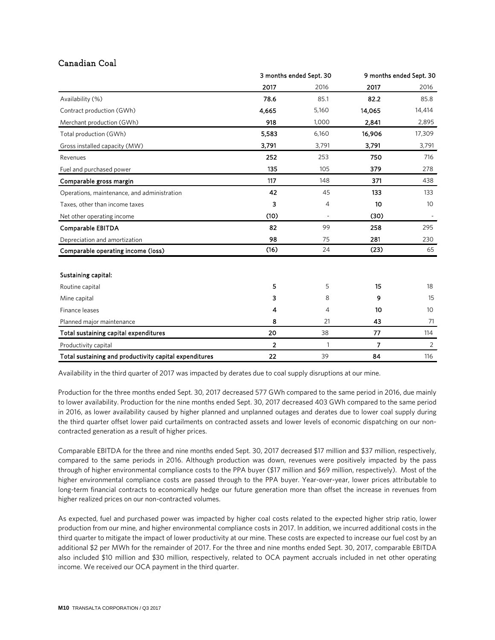# Canadian Coal

|                                                        | 3 months ended Sept. 30 |       | 9 months ended Sept. 30 |                 |
|--------------------------------------------------------|-------------------------|-------|-------------------------|-----------------|
|                                                        | 2017                    | 2016  | 2017                    | 2016            |
| Availability (%)                                       | 78.6                    | 85.1  | 82.2                    | 85.8            |
| Contract production (GWh)                              | 4,665                   | 5,160 | 14,065                  | 14,414          |
| Merchant production (GWh)                              | 918                     | 1,000 | 2,841                   | 2,895           |
| Total production (GWh)                                 | 5,583                   | 6,160 | 16,906                  | 17,309          |
| Gross installed capacity (MW)                          | 3,791                   | 3,791 | 3,791                   | 3,791           |
| Revenues                                               | 252                     | 253   | 750                     | 716             |
| Fuel and purchased power                               | 135                     | 105   | 379                     | 278             |
| Comparable gross margin                                | 117                     | 148   | 371                     | 438             |
| Operations, maintenance, and administration            | 42                      | 45    | 133                     | 133             |
| Taxes, other than income taxes                         | 3                       | 4     | 10                      | 10 <sup>°</sup> |
| Net other operating income                             | (10)                    |       | (30)                    |                 |
| Comparable EBITDA                                      | 82                      | 99    | 258                     | 295             |
| Depreciation and amortization                          | 98                      | 75    | 281                     | 230             |
| Comparable operating income (loss)                     | (16)                    | 24    | (23)                    | 65              |
| Sustaining capital:                                    |                         |       |                         |                 |
| Routine capital                                        | 5                       | 5     | 15                      | 18              |
| Mine capital                                           | 3                       | 8     | 9                       | 15              |
| Finance leases                                         | 4                       | 4     | 10                      | 10 <sup>°</sup> |
| Planned major maintenance                              | 8                       | 21    | 43                      | 71              |
| Total sustaining capital expenditures                  | 20                      | 38    | 77                      | 114             |
| Productivity capital                                   | $\overline{\mathbf{2}}$ | 1     | $\overline{7}$          | $\overline{2}$  |
| Total sustaining and productivity capital expenditures | 22                      | 39    | 84                      | 116             |

Availability in the third quarter of 2017 was impacted by derates due to coal supply disruptions at our mine.

Production for the three months ended Sept. 30, 2017 decreased 577 GWh compared to the same period in 2016, due mainly to lower availability. Production for the nine months ended Sept. 30, 2017 decreased 403 GWh compared to the same period in 2016, as lower availability caused by higher planned and unplanned outages and derates due to lower coal supply during the third quarter offset lower paid curtailments on contracted assets and lower levels of economic dispatching on our noncontracted generation as a result of higher prices.

Comparable EBITDA for the three and nine months ended Sept. 30, 2017 decreased \$17 million and \$37 million, respectively, compared to the same periods in 2016. Although production was down, revenues were positively impacted by the pass through of higher environmental compliance costs to the PPA buyer (\$17 million and \$69 million, respectively). Most of the higher environmental compliance costs are passed through to the PPA buyer. Year-over-year, lower prices attributable to long-term financial contracts to economically hedge our future generation more than offset the increase in revenues from higher realized prices on our non-contracted volumes.

As expected, fuel and purchased power was impacted by higher coal costs related to the expected higher strip ratio, lower production from our mine, and higher environmental compliance costs in 2017. In addition, we incurred additional costs in the third quarter to mitigate the impact of lower productivity at our mine. These costs are expected to increase our fuel cost by an additional \$2 per MWh for the remainder of 2017. For the three and nine months ended Sept. 30, 2017, comparable EBITDA also included \$10 million and \$30 million, respectively, related to OCA payment accruals included in net other operating income. We received our OCA payment in the third quarter.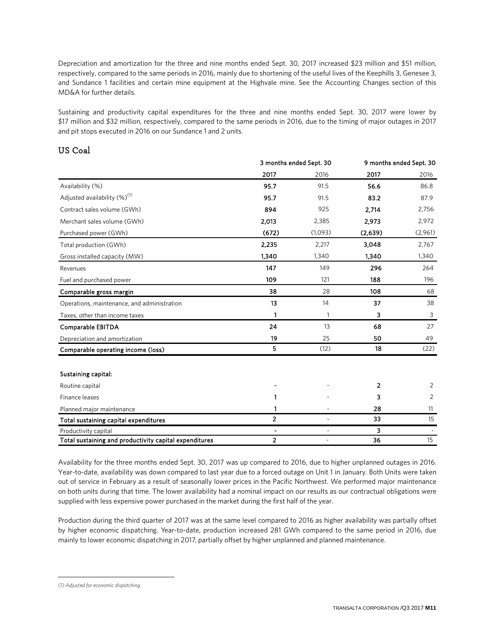Depreciation and amortization for the three and nine months ended Sept. 30, 2017 increased \$23 million and \$51 million, respectively, compared to the same periods in 2016, mainly due to shortening of the useful lives of the Keephills 3, Genesee 3, and Sundance 1 facilities and certain mine equipment at the Highvale mine. See the Accounting Changes section of this MD&A for further details.

Sustaining and productivity capital expenditures for the three and nine months ended Sept. 30, 2017 were lower by \$17 million and \$32 million, respectively, compared to the same periods in 2016, due to the timing of major outages in 2017 and pit stops executed in 2016 on our Sundance 1 and 2 units.

# US Coal

|                                                        | 3 months ended Sept. 30 |         | 9 months ended Sept. 30 |         |
|--------------------------------------------------------|-------------------------|---------|-------------------------|---------|
|                                                        | 2017                    | 2016    | 2017                    | 2016    |
| Availability (%)                                       | 95.7                    | 91.5    | 56.6                    | 86.8    |
| Adjusted availability $(\%)^{(1)}$                     | 95.7                    | 91.5    | 83.2                    | 87.9    |
| Contract sales volume (GWh)                            | 894                     | 925     | 2,714                   | 2,756   |
| Merchant sales volume (GWh)                            | 2,013                   | 2,385   | 2,973                   | 2,972   |
| Purchased power (GWh)                                  | (672)                   | (1,093) | (2,639)                 | (2,961) |
| Total production (GWh)                                 | 2,235                   | 2,217   | 3,048                   | 2,767   |
| Gross installed capacity (MW)                          | 1,340                   | 1,340   | 1,340                   | 1,340   |
| Revenues                                               | 147                     | 149     | 296                     | 264     |
| Fuel and purchased power                               | 109                     | 121     | 188                     | 196     |
| Comparable gross margin                                | 38                      | 28      | 108                     | 68      |
| Operations, maintenance, and administration            | 13                      | 14      | 37                      | 38      |
| Taxes, other than income taxes                         | 1                       | 1       | 3                       | 3       |
| Comparable EBITDA                                      | 24                      | 13      | 68                      | 27      |
| Depreciation and amortization                          | 19                      | 25      | 50                      | 49      |
| Comparable operating income (loss)                     | 5                       | (12)    | 18                      | (22)    |
|                                                        |                         |         |                         |         |
| Sustaining capital:                                    |                         |         |                         |         |
| Routine capital                                        |                         |         | 2                       | 2       |
| Finance leases                                         |                         |         | 3                       | 2       |
| Planned major maintenance                              |                         |         | 28                      | 11      |
| Total sustaining capital expenditures                  | $\overline{2}$          |         | 33                      | 15      |
| Productivity capital                                   |                         | ä,      | 3                       |         |
| Total sustaining and productivity capital expenditures | $\overline{2}$          |         | 36                      | 15      |

Availability for the three months ended Sept. 30, 2017 was up compared to 2016, due to higher unplanned outages in 2016. Year-to-date, availability was down compared to last year due to a forced outage on Unit 1 in January. Both Units were taken out of service in February as a result of seasonally lower prices in the Pacific Northwest. We performed major maintenance on both units during that time. The lower availability had a nominal impact on our results as our contractual obligations were supplied with less expensive power purchased in the market during the first half of the year.

Production during the third quarter of 2017 was at the same level compared to 2016 as higher availability was partially offset by higher economic dispatching. Year-to-date, production increased 281 GWh compared to the same period in 2016, due mainly to lower economic dispatching in 2017, partially offset by higher unplanned and planned maintenance.

<span id="page-10-0"></span> $\overline{a}$ *(1) Adjusted for economic dispatching.*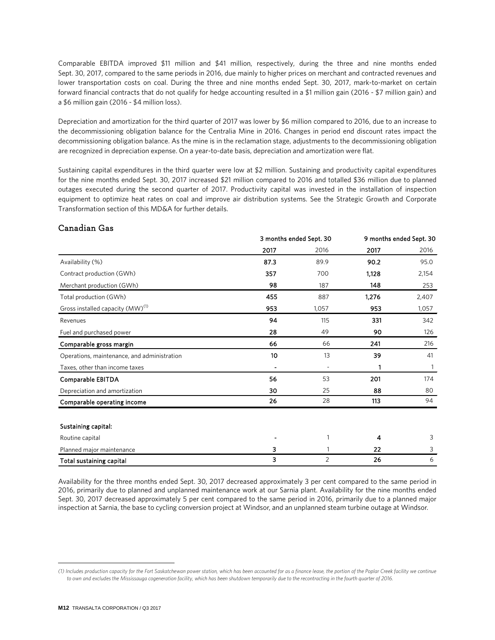Comparable EBITDA improved \$11 million and \$41 million, respectively, during the three and nine months ended Sept. 30, 2017, compared to the same periods in 2016, due mainly to higher prices on merchant and contracted revenues and lower transportation costs on coal. During the three and nine months ended Sept. 30, 2017, mark-to-market on certain forward financial contracts that do not qualify for hedge accounting resulted in a \$1 million gain (2016 - \$7 million gain) and a \$6 million gain (2016 - \$4 million loss).

Depreciation and amortization for the third quarter of 2017 was lower by \$6 million compared to 2016, due to an increase to the decommissioning obligation balance for the Centralia Mine in 2016. Changes in period end discount rates impact the decommissioning obligation balance. As the mine is in the reclamation stage, adjustments to the decommissioning obligation are recognized in depreciation expense. On a year-to-date basis, depreciation and amortization were flat.

Sustaining capital expenditures in the third quarter were low at \$2 million. Sustaining and productivity capital expenditures for the nine months ended Sept. 30, 2017 increased \$21 million compared to 2016 and totalled \$36 million due to planned outages executed during the second quarter of 2017. Productivity capital was invested in the installation of inspection equipment to optimize heat rates on coal and improve air distribution systems. See the Strategic Growth and Corporate Transformation section of this MD&A for further details.

# Canadian Gas

|                                              | 3 months ended Sept. 30 |       | 9 months ended Sept. 30 |       |
|----------------------------------------------|-------------------------|-------|-------------------------|-------|
|                                              | 2017                    | 2016  | 2017                    | 2016  |
| Availability (%)                             | 87.3                    | 89.9  | 90.2                    | 95.0  |
| Contract production (GWh)                    | 357                     | 700   | 1,128                   | 2,154 |
| Merchant production (GWh)                    | 98                      | 187   | 148                     | 253   |
| Total production (GWh)                       | 455                     | 887   | 1,276                   | 2,407 |
| Gross installed capacity (MW) <sup>(1)</sup> | 953                     | 1,057 | 953                     | 1,057 |
| Revenues                                     | 94                      | 115   | 331                     | 342   |
| Fuel and purchased power                     | 28                      | 49    | 90                      | 126   |
| Comparable gross margin                      | 66                      | 66    | 241                     | 216   |
| Operations, maintenance, and administration  | 10                      | 13    | 39                      | 41    |
| Taxes, other than income taxes               |                         |       | 1                       | 1     |
| Comparable EBITDA                            | 56                      | 53    | 201                     | 174   |
| Depreciation and amortization                | 30                      | 25    | 88                      | 80    |
| Comparable operating income                  | 26                      | 28    | 113                     | 94    |
|                                              |                         |       |                         |       |
| Sustaining capital:                          |                         |       |                         |       |
| Routine capital                              |                         | 1     | 4                       | 3     |
| Planned major maintenance                    | 3                       |       | 22                      | 3     |
| Total sustaining capital                     | 3                       | 2     | 26                      | 6     |

Availability for the three months ended Sept. 30, 2017 decreased approximately 3 per cent compared to the same period in 2016, primarily due to planned and unplanned maintenance work at our Sarnia plant. Availability for the nine months ended Sept. 30, 2017 decreased approximately 5 per cent compared to the same period in 2016, primarily due to a planned major inspection at Sarnia, the base to cycling conversion project at Windsor, and an unplanned steam turbine outage at Windsor.

 $\overline{a}$ 

<span id="page-11-0"></span>*<sup>(1)</sup> Includes production capacity for the Fort Saskatchewan power station, which has been accounted for as a finance lease, the portion of the Poplar Creek facility we continue to own and excludes the Mississauga cogeneration facility, which has been shutdown temporarily due to the recontracting in the fourth quarter of 2016.*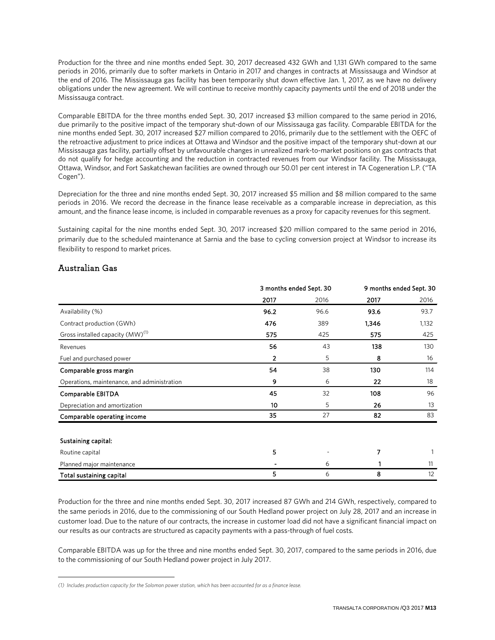Production for the three and nine months ended Sept. 30, 2017 decreased 432 GWh and 1,131 GWh compared to the same periods in 2016, primarily due to softer markets in Ontario in 2017 and changes in contracts at Mississauga and Windsor at the end of 2016. The Mississauga gas facility has been temporarily shut down effective Jan. 1, 2017, as we have no delivery obligations under the new agreement. We will continue to receive monthly capacity payments until the end of 2018 under the Mississauga contract.

Comparable EBITDA for the three months ended Sept. 30, 2017 increased \$3 million compared to the same period in 2016, due primarily to the positive impact of the temporary shut-down of our Mississauga gas facility. Comparable EBITDA for the nine months ended Sept. 30, 2017 increased \$27 million compared to 2016, primarily due to the settlement with the OEFC of the retroactive adjustment to price indices at Ottawa and Windsor and the positive impact of the temporary shut-down at our Mississauga gas facility, partially offset by unfavourable changes in unrealized mark-to-market positions on gas contracts that do not qualify for hedge accounting and the reduction in contracted revenues from our Windsor facility. The Mississauga, Ottawa, Windsor, and Fort Saskatchewan facilities are owned through our 50.01 per cent interest in TA Cogeneration L.P. ("TA Cogen").

Depreciation for the three and nine months ended Sept. 30, 2017 increased \$5 million and \$8 million compared to the same periods in 2016. We record the decrease in the finance lease receivable as a comparable increase in depreciation, as this amount, and the finance lease income, is included in comparable revenues as a proxy for capacity revenues for this segment.

Sustaining capital for the nine months ended Sept. 30, 2017 increased \$20 million compared to the same period in 2016, primarily due to the scheduled maintenance at Sarnia and the base to cycling conversion project at Windsor to increase its flexibility to respond to market prices.

# Australian Gas

|                                              | 3 months ended Sept. 30 |      | 9 months ended Sept. 30 |       |
|----------------------------------------------|-------------------------|------|-------------------------|-------|
|                                              | 2017                    | 2016 | 2017                    | 2016  |
| Availability (%)                             | 96.2                    | 96.6 | 93.6                    | 93.7  |
| Contract production (GWh)                    | 476                     | 389  | 1,346                   | 1,132 |
| Gross installed capacity (MW) <sup>(1)</sup> | 575                     | 425  | 575                     | 425   |
| Revenues                                     | 56                      | 43   | 138                     | 130   |
| Fuel and purchased power                     | 2                       | 5    | 8                       | 16    |
| Comparable gross margin                      | 54                      | 38   | 130                     | 114   |
| Operations, maintenance, and administration  | 9                       | 6    | 22                      | 18    |
| Comparable EBITDA                            | 45                      | 32   | 108                     | 96    |
| Depreciation and amortization                | 10                      | 5    | 26                      | 13    |
| Comparable operating income                  | 35                      | 27   | 82                      | 83    |
| Sustaining capital:                          |                         |      |                         |       |
| Routine capital                              | 5                       |      | 7                       |       |
| Planned major maintenance                    |                         | 6    |                         | 11    |
| Total sustaining capital                     | 5                       | 6    | 8                       | 12    |

Production for the three and nine months ended Sept. 30, 2017 increased 87 GWh and 214 GWh, respectively, compared to the same periods in 2016, due to the commissioning of our South Hedland power project on July 28, 2017 and an increase in customer load. Due to the nature of our contracts, the increase in customer load did not have a significant financial impact on our results as our contracts are structured as capacity payments with a pass-through of fuel costs.

Comparable EBITDA was up for the three and nine months ended Sept. 30, 2017, compared to the same periods in 2016, due to the commissioning of our South Hedland power project in July 2017.

<span id="page-12-0"></span> $\overline{a}$ *(1) Includes production capacity for the Solomon power station, which has been accounted for as a finance lease.*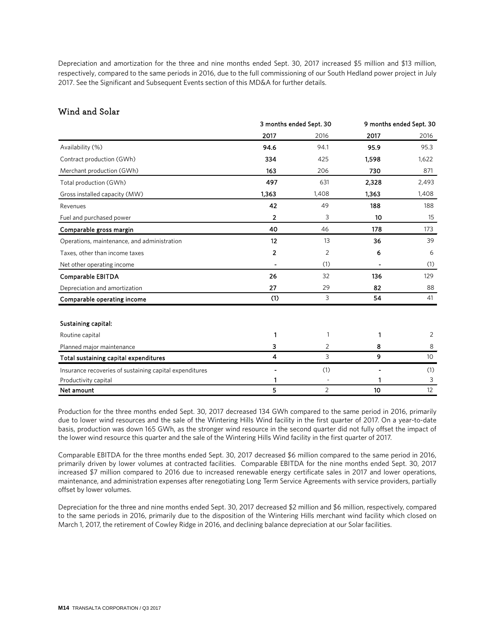Depreciation and amortization for the three and nine months ended Sept. 30, 2017 increased \$5 million and \$13 million, respectively, compared to the same periods in 2016, due to the full commissioning of our South Hedland power project in July 2017. See the Significant and Subsequent Events section of this MD&A for further details.

# Wind and Solar

|                                                         | 3 months ended Sept. 30 |                | 9 months ended Sept. 30 |       |
|---------------------------------------------------------|-------------------------|----------------|-------------------------|-------|
|                                                         | 2017                    | 2016           | 2017                    | 2016  |
| Availability (%)                                        | 94.6                    | 94.1           | 95.9                    | 95.3  |
| Contract production (GWh)                               | 334                     | 425            | 1,598                   | 1,622 |
| Merchant production (GWh)                               | 163                     | 206            | 730                     | 871   |
| Total production (GWh)                                  | 497                     | 631            | 2,328                   | 2,493 |
| Gross installed capacity (MW)                           | 1,363                   | 1,408          | 1,363                   | 1,408 |
| Revenues                                                | 42                      | 49             | 188                     | 188   |
| Fuel and purchased power                                | $\overline{2}$          | 3              | 10                      | 15    |
| Comparable gross margin                                 | 40                      | 46             | 178                     | 173   |
| Operations, maintenance, and administration             | 12                      | 13             | 36                      | 39    |
| Taxes, other than income taxes                          | 2                       | 2              | 6                       | 6     |
| Net other operating income                              |                         | (1)            |                         | (1)   |
| Comparable EBITDA                                       | 26                      | 32             | 136                     | 129   |
| Depreciation and amortization                           | 27                      | 29             | 82                      | 88    |
| Comparable operating income                             | (1)                     | 3              | 54                      | 41    |
| Sustaining capital:                                     |                         |                |                         |       |
| Routine capital                                         | 1                       | 1              | 1                       | 2     |
| Planned major maintenance                               | 3                       | 2              | 8                       | 8     |
| Total sustaining capital expenditures                   | 4                       | 3              | 9                       | 10    |
| Insurance recoveries of sustaining capital expenditures |                         | (1)            |                         | (1)   |
| Productivity capital                                    |                         |                |                         | 3     |
| Net amount                                              | 5                       | $\overline{2}$ | 10                      | 12    |

Production for the three months ended Sept. 30, 2017 decreased 134 GWh compared to the same period in 2016, primarily due to lower wind resources and the sale of the Wintering Hills Wind facility in the first quarter of 2017. On a year-to-date basis, production was down 165 GWh, as the stronger wind resource in the second quarter did not fully offset the impact of the lower wind resource this quarter and the sale of the Wintering Hills Wind facility in the first quarter of 2017.

Comparable EBITDA for the three months ended Sept. 30, 2017 decreased \$6 million compared to the same period in 2016, primarily driven by lower volumes at contracted facilities. Comparable EBITDA for the nine months ended Sept. 30, 2017 increased \$7 million compared to 2016 due to increased renewable energy certificate sales in 2017 and lower operations, maintenance, and administration expenses after renegotiating Long Term Service Agreements with service providers, partially offset by lower volumes.

Depreciation for the three and nine months ended Sept. 30, 2017 decreased \$2 million and \$6 million, respectively, compared to the same periods in 2016, primarily due to the disposition of the Wintering Hills merchant wind facility which closed on March 1, 2017, the retirement of Cowley Ridge in 2016, and declining balance depreciation at our Solar facilities.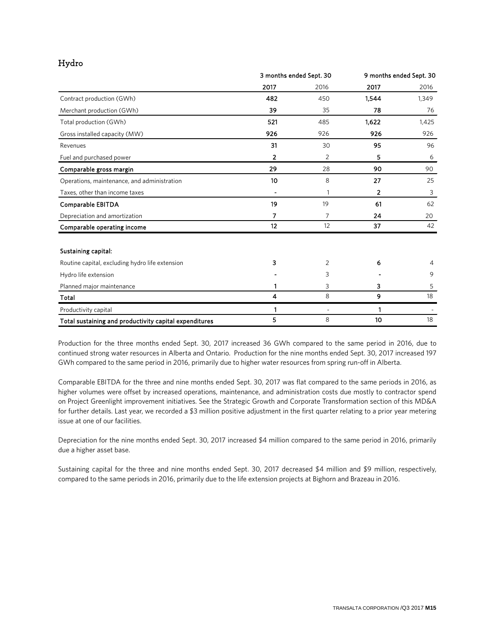# Hydro

|                                                        | 3 months ended Sept. 30 |      | 9 months ended Sept. 30 |       |
|--------------------------------------------------------|-------------------------|------|-------------------------|-------|
|                                                        | 2017                    | 2016 | 2017                    | 2016  |
| Contract production (GWh)                              | 482                     | 450  | 1.544                   | 1,349 |
| Merchant production (GWh)                              | 39                      | 35   | 78                      | 76    |
| Total production (GWh)                                 | 521                     | 485  | 1.622                   | 1,425 |
| Gross installed capacity (MW)                          | 926                     | 926  | 926                     | 926   |
| Revenues                                               | 31                      | 30   | 95                      | 96    |
| Fuel and purchased power                               | 2                       | 2    | 5                       | 6     |
| Comparable gross margin                                | 29                      | 28   | 90                      | 90    |
| Operations, maintenance, and administration            | 10                      | 8    | 27                      | 25    |
| Taxes, other than income taxes                         |                         | 1    | 2                       | 3     |
| Comparable EBITDA                                      | 19                      | 19   | 61                      | 62    |
| Depreciation and amortization                          | 7                       | 7    | 24                      | 20    |
| Comparable operating income                            | 12                      | 12   | 37                      | 42    |
| Sustaining capital:                                    |                         |      |                         |       |
| Routine capital, excluding hydro life extension        | 3                       | 2    | 6                       | 4     |
| Hydro life extension                                   |                         | 3    |                         | 9     |
| Planned major maintenance                              |                         | 3    | 3                       | 5     |
| Total                                                  | 4                       | 8    | 9                       | 18    |
| Productivity capital                                   | 1                       | ÷    | 1                       |       |
| Total sustaining and productivity capital expenditures | 5                       | 8    | 10                      | 18    |

Production for the three months ended Sept. 30, 2017 increased 36 GWh compared to the same period in 2016, due to continued strong water resources in Alberta and Ontario. Production for the nine months ended Sept. 30, 2017 increased 197 GWh compared to the same period in 2016, primarily due to higher water resources from spring run-off in Alberta.

Comparable EBITDA for the three and nine months ended Sept. 30, 2017 was flat compared to the same periods in 2016, as higher volumes were offset by increased operations, maintenance, and administration costs due mostly to contractor spend on Project Greenlight improvement initiatives. See the Strategic Growth and Corporate Transformation section of this MD&A for further details. Last year, we recorded a \$3 million positive adjustment in the first quarter relating to a prior year metering issue at one of our facilities.

Depreciation for the nine months ended Sept. 30, 2017 increased \$4 million compared to the same period in 2016, primarily due a higher asset base.

Sustaining capital for the three and nine months ended Sept. 30, 2017 decreased \$4 million and \$9 million, respectively, compared to the same periods in 2016, primarily due to the life extension projects at Bighorn and Brazeau in 2016.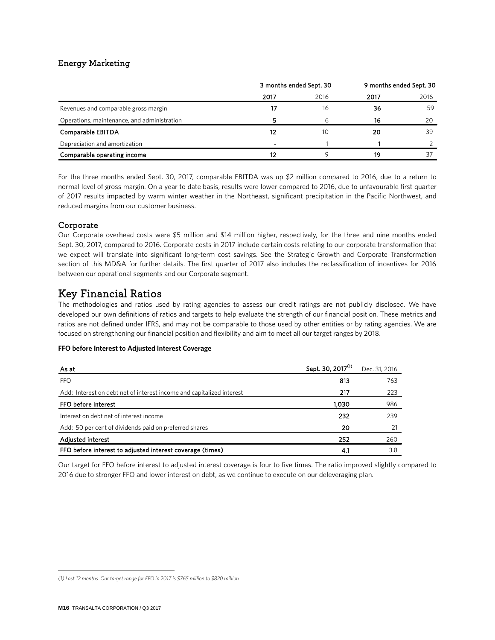# Energy Marketing

|                                             | 3 months ended Sept. 30  |      | 9 months ended Sept. 30 |      |
|---------------------------------------------|--------------------------|------|-------------------------|------|
|                                             | 2017                     | 2016 | 2017                    | 2016 |
| Revenues and comparable gross margin        | 17                       | 16   | 36                      | 59   |
| Operations, maintenance, and administration |                          | 6    | 16                      | 20   |
| Comparable EBITDA                           | 12                       | 1C   | 20                      | 39   |
| Depreciation and amortization               | $\overline{\phantom{0}}$ |      |                         |      |
| Comparable operating income                 | 12                       |      | 19                      |      |

For the three months ended Sept. 30, 2017, comparable EBITDA was up \$2 million compared to 2016, due to a return to normal level of gross margin. On a year to date basis, results were lower compared to 2016, due to unfavourable first quarter of 2017 results impacted by warm winter weather in the Northeast, significant precipitation in the Pacific Northwest, and reduced margins from our customer business.

# Corporate

Our Corporate overhead costs were \$5 million and \$14 million higher, respectively, for the three and nine months ended Sept. 30, 2017, compared to 2016. Corporate costs in 2017 include certain costs relating to our corporate transformation that we expect will translate into significant long-term cost savings. See the Strategic Growth and Corporate Transformation section of this MD&A for further details. The first quarter of 2017 also includes the reclassification of incentives for 2016 between our operational segments and our Corporate segment.

# Key Financial Ratios

The methodologies and ratios used by rating agencies to assess our credit ratings are not publicly disclosed. We have developed our own definitions of ratios and targets to help evaluate the strength of our financial position. These metrics and ratios are not defined under IFRS, and may not be comparable to those used by other entities or by rating agencies. We are focused on strengthening our financial position and flexibility and aim to meet all our target ranges by 2018.

#### **FFO** before Interest to Adjusted Interest Coverage

| As at                                                                 | Sept. 30, 2017 <sup>(1)</sup> | Dec. 31, 2016 |
|-----------------------------------------------------------------------|-------------------------------|---------------|
| <b>FFO</b>                                                            | 813                           | 763           |
| Add: Interest on debt net of interest income and capitalized interest | 217                           | 223           |
| FFO before interest                                                   | 1.030                         | 986           |
| Interest on debt net of interest income                               | 232                           | 239           |
| Add: 50 per cent of dividends paid on preferred shares                | 20                            |               |
| <b>Adjusted interest</b>                                              | 252                           | 260           |
| FFO before interest to adjusted interest coverage (times)             | 4.1                           | 3.8           |

Our target for FFO before interest to adjusted interest coverage is four to five times. The ratio improved slightly compared to 2016 due to stronger FFO and lower interest on debt, as we continue to execute on our deleveraging plan.

 $\overline{a}$ 

<span id="page-15-0"></span>*<sup>(1)</sup> Last 12 months. Our target range for FFO in 2017 is \$765 million to \$820 million.*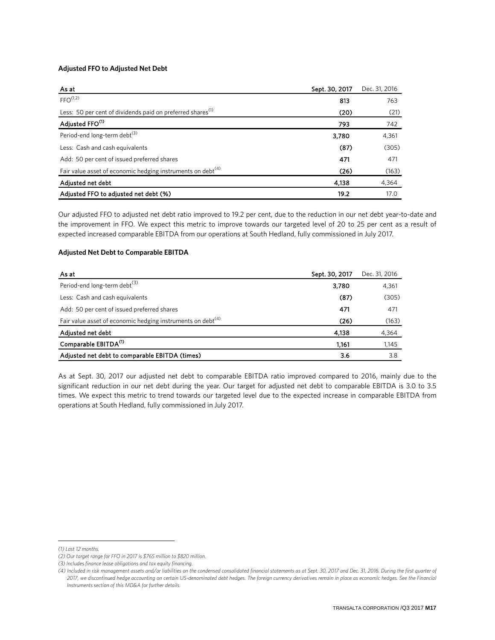#### **Adjusted FFO to Adjusted Net Debt**

| As at                                                                   | Sept. 30, 2017 | Dec. 31, 2016 |
|-------------------------------------------------------------------------|----------------|---------------|
| FFO <sup>(1,2)</sup>                                                    | 813            | 763           |
| Less: 50 per cent of dividends paid on preferred shares <sup>(1)</sup>  | (20)           | (21)          |
| Adjusted FFO <sup>(1)</sup>                                             | 793            | 742           |
| Period-end long-term debt <sup>(3)</sup>                                | 3,780          | 4,361         |
| Less: Cash and cash equivalents                                         | (87)           | (305)         |
| Add: 50 per cent of issued preferred shares                             | 471            | 471           |
| Fair value asset of economic hedging instruments on debt <sup>(4)</sup> | (26)           | (163)         |
| Adjusted net debt                                                       | 4,138          | 4,364         |
| Adjusted FFO to adjusted net debt (%)                                   | 19.2           | 17.0          |

Our adjusted FFO to adjusted net debt ratio improved to 19.2 per cent, due to the reduction in our net debt year-to-date and the improvement in FFO. We expect this metric to improve towards our targeted level of 20 to 25 per cent as a result of expected increased comparable EBITDA from our operations at South Hedland, fully commissioned in July 2017.

### **Adjusted Net Debt to Comparable EBITDA**

| As at                                                                   | Sept. 30, 2017 | Dec. 31, 2016 |
|-------------------------------------------------------------------------|----------------|---------------|
| Period-end long-term debt <sup>(3)</sup>                                | 3.780          | 4,361         |
| Less: Cash and cash equivalents                                         | (87)           | (305)         |
| Add: 50 per cent of issued preferred shares                             | 471            | 471           |
| Fair value asset of economic hedging instruments on debt <sup>(4)</sup> | (26)           | (163)         |
| Adjusted net debt                                                       | 4.138          | 4,364         |
| Comparable EBITDA <sup>(1)</sup>                                        | 1.161          | 1,145         |
| Adjusted net debt to comparable EBITDA (times)                          | 3.6            | 3.8           |

As at Sept. 30, 2017 our adjusted net debt to comparable EBITDA ratio improved compared to 2016, mainly due to the significant reduction in our net debt during the year. Our target for adjusted net debt to comparable EBITDA is 3.0 to 3.5 times. We expect this metric to trend towards our targeted level due to the expected increase in comparable EBITDA from operations at South Hedland, fully commissioned in July 2017.

 $\overline{a}$ 

<span id="page-16-0"></span>*<sup>(1)</sup> Last 12 months.* 

*<sup>(2)</sup> Our target range for FFO in 2017 is \$765 million to \$820 million.*

*<sup>(3)</sup> Includes finance lease obligations and tax equity financing.*

*<sup>(4)</sup> Included in risk management assets and/or liabilities on the condensed consolidated financial statements as at Sept. 30, 2017 and Dec. 31, 2016. During the first quarter of 2017, we discontinued hedge accounting on certain US-denominated debt hedges. The foreign currency derivatives remain in place as economic hedges. See the Financial Instruments section of this MD&A for further details.*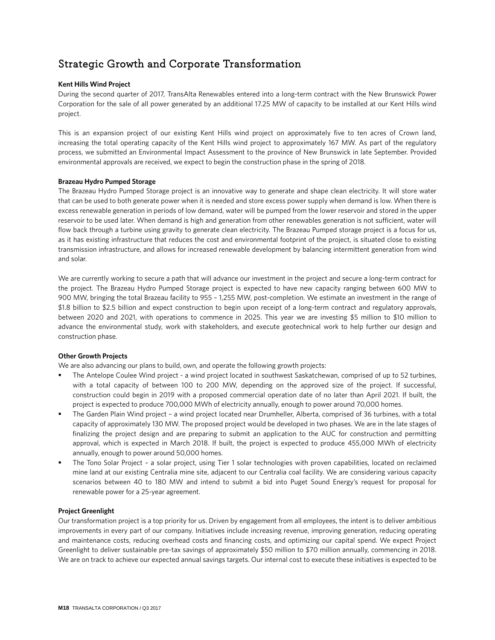# Strategic Growth and Corporate Transformation

### **Kent Hills Wind Project**

During the second quarter of 2017, TransAlta Renewables entered into a long-term contract with the New Brunswick Power Corporation for the sale of all power generated by an additional 17.25 MW of capacity to be installed at our Kent Hills wind project.

This is an expansion project of our existing Kent Hills wind project on approximately five to ten acres of Crown land, increasing the total operating capacity of the Kent Hills wind project to approximately 167 MW. As part of the regulatory process, we submitted an Environmental Impact Assessment to the province of New Brunswick in late September. Provided environmental approvals are received, we expect to begin the construction phase in the spring of 2018.

#### **Brazeau Hydro Pumped Storage**

The Brazeau Hydro Pumped Storage project is an innovative way to generate and shape clean electricity. It will store water that can be used to both generate power when it is needed and store excess power supply when demand is low. When there is excess renewable generation in periods of low demand, water will be pumped from the lower reservoir and stored in the upper reservoir to be used later. When demand is high and generation from other renewables generation is not sufficient, water will flow back through a turbine using gravity to generate clean electricity. The Brazeau Pumped storage project is a focus for us, as it has existing infrastructure that reduces the cost and environmental footprint of the project, is situated close to existing transmission infrastructure, and allows for increased renewable development by balancing intermittent generation from wind and solar.

We are currently working to secure a path that will advance our investment in the project and secure a long-term contract for the project. The Brazeau Hydro Pumped Storage project is expected to have new capacity ranging between 600 MW to 900 MW, bringing the total Brazeau facility to 955 – 1,255 MW, post-completion. We estimate an investment in the range of \$1.8 billion to \$2.5 billion and expect construction to begin upon receipt of a long-term contract and regulatory approvals, between 2020 and 2021, with operations to commence in 2025. This year we are investing \$5 million to \$10 million to advance the environmental study, work with stakeholders, and execute geotechnical work to help further our design and construction phase.

### **Other Growth Projects**

We are also advancing our plans to build, own, and operate the following growth projects:

- The Antelope Coulee Wind project a wind project located in southwest Saskatchewan, comprised of up to 52 turbines, with a total capacity of between 100 to 200 MW, depending on the approved size of the project. If successful, construction could begin in 2019 with a proposed commercial operation date of no later than April 2021. If built, the project is expected to produce 700,000 MWh of electricity annually, enough to power around 70,000 homes.
- The Garden Plain Wind project a wind project located near Drumheller, Alberta, comprised of 36 turbines, with a total capacity of approximately 130 MW. The proposed project would be developed in two phases. We are in the late stages of finalizing the project design and are preparing to submit an application to the AUC for construction and permitting approval, which is expected in March 2018. If built, the project is expected to produce 455,000 MWh of electricity annually, enough to power around 50,000 homes.
- The Tono Solar Project a solar project, using Tier 1 solar technologies with proven capabilities, located on reclaimed mine land at our existing Centralia mine site, adjacent to our Centralia coal facility. We are considering various capacity scenarios between 40 to 180 MW and intend to submit a bid into Puget Sound Energy's request for proposal for renewable power for a 25-year agreement.

#### **Project Greenlight**

Our transformation project is a top priority for us. Driven by engagement from all employees, the intent is to deliver ambitious improvements in every part of our company. Initiatives include increasing revenue, improving generation, reducing operating and maintenance costs, reducing overhead costs and financing costs, and optimizing our capital spend. We expect Project Greenlight to deliver sustainable pre-tax savings of approximately \$50 million to \$70 million annually, commencing in 2018. We are on track to achieve our expected annual savings targets. Our internal cost to execute these initiatives is expected to be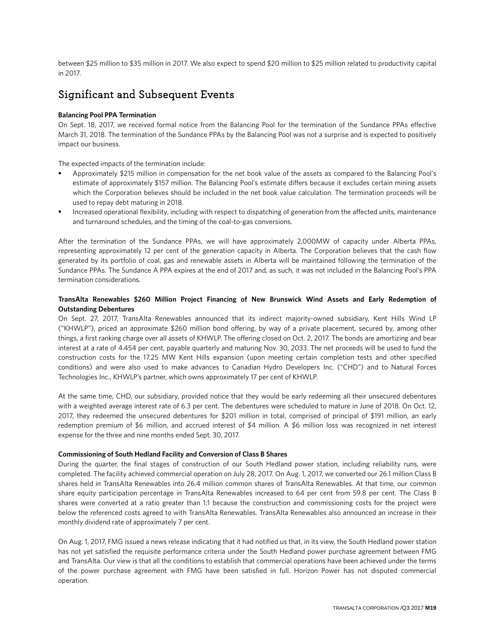between \$25 million to \$35 million in 2017. We also expect to spend \$20 million to \$25 million related to productivity capital in 2017.

# Significant and Subsequent Events

#### **Balancing Pool PPA Termination**

On Sept. 18, 2017, we received formal notice from the Balancing Pool for the termination of the Sundance PPAs effective March 31, 2018. The termination of the Sundance PPAs by the Balancing Pool was not a surprise and is expected to positively impact our business.

The expected impacts of the termination include:

- Approximately \$215 million in compensation for the net book value of the assets as compared to the Balancing Pool's estimate of approximately \$157 million. The Balancing Pool's estimate differs because it excludes certain mining assets which the Corporation believes should be included in the net book value calculation. The termination proceeds will be used to repay debt maturing in 2018.
- Increased operational flexibility, including with respect to dispatching of generation from the affected units, maintenance and turnaround schedules, and the timing of the coal-to-gas conversions.

After the termination of the Sundance PPAs, we will have approximately 2,000MW of capacity under Alberta PPAs, representing approximately 12 per cent of the generation capacity in Alberta. The Corporation believes that the cash flow generated by its portfolio of coal, gas and renewable assets in Alberta will be maintained following the termination of the Sundance PPAs. The Sundance A PPA expires at the end of 2017 and, as such, it was not included in the Balancing Pool's PPA termination considerations.

### **TransAlta Renewables \$260 Million Project Financing of New Brunswick Wind Assets and Early Redemption of Outstanding Debentures**

On Sept. 27, 2017, TransAlta Renewables announced that its indirect majority-owned subsidiary, Kent Hills Wind LP ("KHWLP"), priced an approximate \$260 million bond offering, by way of a private placement, secured by, among other things, a first ranking charge over all assets of KHWLP. The offering closed on Oct. 2, 2017. The bonds are amortizing and bear interest at a rate of 4.454 per cent, payable quarterly and maturing Nov. 30, 2033. The net proceeds will be used to fund the construction costs for the 17.25 MW Kent Hills expansion (upon meeting certain completion tests and other specified conditions) and were also used to make advances to Canadian Hydro Developers Inc. ("CHD") and to Natural Forces Technologies Inc., KHWLP's partner, which owns approximately 17 per cent of KHWLP.

At the same time, CHD, our subsidiary, provided notice that they would be early redeeming all their unsecured debentures with a weighted average interest rate of 6.3 per cent. The debentures were scheduled to mature in June of 2018. On Oct. 12, 2017, they redeemed the unsecured debentures for \$201 million in total, comprised of principal of \$191 million, an early redemption premium of \$6 million, and accrued interest of \$4 million. A \$6 million loss was recognized in net interest expense for the three and nine months ended Sept. 30, 2017.

#### **Commissioning of South Hedland Facility and Conversion of Class B Shares**

During the quarter, the final stages of construction of our South Hedland power station, including reliability runs, were completed. The facility achieved commercial operation on July 28, 2017. On Aug. 1, 2017, we converted our 26.1 million Class B shares held in TransAlta Renewables into 26.4 million common shares of TransAlta Renewables. At that time, our common share equity participation percentage in TransAlta Renewables increased to 64 per cent from 59.8 per cent. The Class B shares were converted at a ratio greater than 1:1 because the construction and commissioning costs for the project were below the referenced costs agreed to with TransAlta Renewables. TransAlta Renewables also announced an increase in their monthly dividend rate of approximately 7 per cent.

On Aug. 1, 2017, FMG issued a news release indicating that it had notified us that, in its view, the South Hedland power station has not yet satisfied the requisite performance criteria under the South Hedland power purchase agreement between FMG and TransAlta. Our view is that all the conditions to establish that commercial operations have been achieved under the terms of the power purchase agreement with FMG have been satisfied in full. Horizon Power has not disputed commercial operation.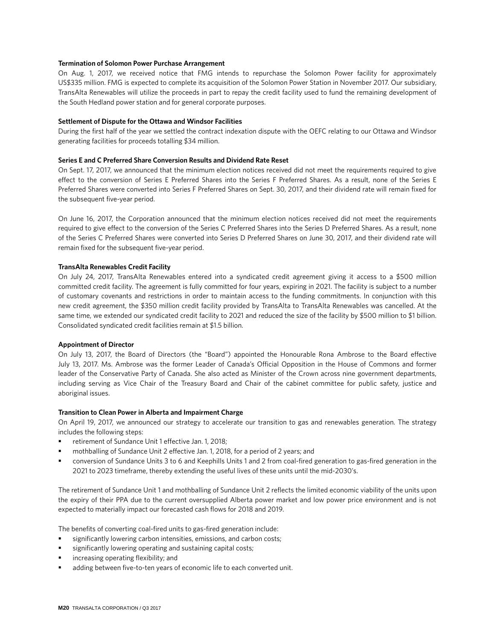#### **Termination of Solomon Power Purchase Arrangement**

On Aug. 1, 2017, we received notice that FMG intends to repurchase the Solomon Power facility for approximately US\$335 million. FMG is expected to complete its acquisition of the Solomon Power Station in November 2017. Our subsidiary, TransAlta Renewables will utilize the proceeds in part to repay the credit facility used to fund the remaining development of the South Hedland power station and for general corporate purposes.

#### **Settlement of Dispute for the Ottawa and Windsor Facilities**

During the first half of the year we settled the contract indexation dispute with the OEFC relating to our Ottawa and Windsor generating facilities for proceeds totalling \$34 million.

#### **Series E and C Preferred Share Conversion Results and Dividend Rate Reset**

On Sept. 17, 2017, we announced that the minimum election notices received did not meet the requirements required to give effect to the conversion of Series E Preferred Shares into the Series F Preferred Shares. As a result, none of the Series E Preferred Shares were converted into Series F Preferred Shares on Sept. 30, 2017, and their dividend rate will remain fixed for the subsequent five-year period.

On June 16, 2017, the Corporation announced that the minimum election notices received did not meet the requirements required to give effect to the conversion of the Series C Preferred Shares into the Series D Preferred Shares. As a result, none of the Series C Preferred Shares were converted into Series D Preferred Shares on June 30, 2017, and their dividend rate will remain fixed for the subsequent five-year period.

#### **TransAlta Renewables Credit Facility**

On July 24, 2017, TransAlta Renewables entered into a syndicated credit agreement giving it access to a \$500 million committed credit facility. The agreement is fully committed for four years, expiring in 2021. The facility is subject to a number of customary covenants and restrictions in order to maintain access to the funding commitments. In conjunction with this new credit agreement, the \$350 million credit facility provided by TransAlta to TransAlta Renewables was cancelled. At the same time, we extended our syndicated credit facility to 2021 and reduced the size of the facility by \$500 million to \$1 billion. Consolidated syndicated credit facilities remain at \$1.5 billion.

#### **Appointment of Director**

On July 13, 2017, the Board of Directors (the "Board") appointed the Honourable Rona Ambrose to the Board effective July 13, 2017. Ms. Ambrose was the former Leader of Canada's Official Opposition in the House of Commons and former leader of the Conservative Party of Canada. She also acted as Minister of the Crown across nine government departments, including serving as Vice Chair of the Treasury Board and Chair of the cabinet committee for public safety, justice and aboriginal issues.

#### **Transition to Clean Power in Alberta and Impairment Charge**

On April 19, 2017, we announced our strategy to accelerate our transition to gas and renewables generation. The strategy includes the following steps:

- retirement of Sundance Unit 1 effective Jan. 1, 2018;
- mothballing of Sundance Unit 2 effective Jan. 1, 2018, for a period of 2 years; and
- conversion of Sundance Units 3 to 6 and Keephills Units 1 and 2 from coal-fired generation to gas-fired generation in the 2021 to 2023 timeframe, thereby extending the useful lives of these units until the mid-2030's.

The retirement of Sundance Unit 1 and mothballing of Sundance Unit 2 reflects the limited economic viability of the units upon the expiry of their PPA due to the current oversupplied Alberta power market and low power price environment and is not expected to materially impact our forecasted cash flows for 2018 and 2019.

The benefits of converting coal-fired units to gas-fired generation include:

- significantly lowering carbon intensities, emissions, and carbon costs;
- significantly lowering operating and sustaining capital costs;
- increasing operating flexibility; and
- adding between five-to-ten years of economic life to each converted unit.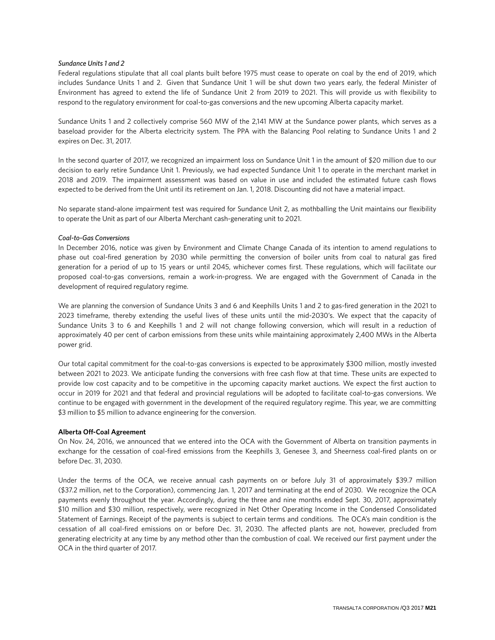#### *Sundance Units 1 and 2*

Federal regulations stipulate that all coal plants built before 1975 must cease to operate on coal by the end of 2019, which includes Sundance Units 1 and 2. Given that Sundance Unit 1 will be shut down two years early, the federal Minister of Environment has agreed to extend the life of Sundance Unit 2 from 2019 to 2021. This will provide us with flexibility to respond to the regulatory environment for coal-to-gas conversions and the new upcoming Alberta capacity market.

Sundance Units 1 and 2 collectively comprise 560 MW of the 2,141 MW at the Sundance power plants, which serves as a baseload provider for the Alberta electricity system. The PPA with the Balancing Pool relating to Sundance Units 1 and 2 expires on Dec. 31, 2017.

In the second quarter of 2017, we recognized an impairment loss on Sundance Unit 1 in the amount of \$20 million due to our decision to early retire Sundance Unit 1. Previously, we had expected Sundance Unit 1 to operate in the merchant market in 2018 and 2019. The impairment assessment was based on value in use and included the estimated future cash flows expected to be derived from the Unit until its retirement on Jan. 1, 2018. Discounting did not have a material impact.

No separate stand-alone impairment test was required for Sundance Unit 2, as mothballing the Unit maintains our flexibility to operate the Unit as part of our Alberta Merchant cash-generating unit to 2021.

#### *Coal-to-Gas Conversions*

In December 2016, notice was given by Environment and Climate Change Canada of its intention to amend regulations to phase out coal-fired generation by 2030 while permitting the conversion of boiler units from coal to natural gas fired generation for a period of up to 15 years or until 2045, whichever comes first. These regulations, which will facilitate our proposed coal-to-gas conversions, remain a work-in-progress. We are engaged with the Government of Canada in the development of required regulatory regime.

We are planning the conversion of Sundance Units 3 and 6 and Keephills Units 1 and 2 to gas-fired generation in the 2021 to 2023 timeframe, thereby extending the useful lives of these units until the mid-2030's. We expect that the capacity of Sundance Units 3 to 6 and Keephills 1 and 2 will not change following conversion, which will result in a reduction of approximately 40 per cent of carbon emissions from these units while maintaining approximately 2,400 MWs in the Alberta power grid.

Our total capital commitment for the coal-to-gas conversions is expected to be approximately \$300 million, mostly invested between 2021 to 2023. We anticipate funding the conversions with free cash flow at that time. These units are expected to provide low cost capacity and to be competitive in the upcoming capacity market auctions. We expect the first auction to occur in 2019 for 2021 and that federal and provincial regulations will be adopted to facilitate coal-to-gas conversions. We continue to be engaged with government in the development of the required regulatory regime. This year, we are committing \$3 million to \$5 million to advance engineering for the conversion.

#### **Alberta Off-Coal Agreement**

On Nov. 24, 2016, we announced that we entered into the OCA with the Government of Alberta on transition payments in exchange for the cessation of coal-fired emissions from the Keephills 3, Genesee 3, and Sheerness coal-fired plants on or before Dec. 31, 2030.

Under the terms of the OCA, we receive annual cash payments on or before July 31 of approximately \$39.7 million (\$37.2 million, net to the Corporation), commencing Jan. 1, 2017 and terminating at the end of 2030. We recognize the OCA payments evenly throughout the year. Accordingly, during the three and nine months ended Sept. 30, 2017, approximately \$10 million and \$30 million, respectively, were recognized in Net Other Operating Income in the Condensed Consolidated Statement of Earnings. Receipt of the payments is subject to certain terms and conditions. The OCA's main condition is the cessation of all coal-fired emissions on or before Dec. 31, 2030. The affected plants are not, however, precluded from generating electricity at any time by any method other than the combustion of coal. We received our first payment under the OCA in the third quarter of 2017.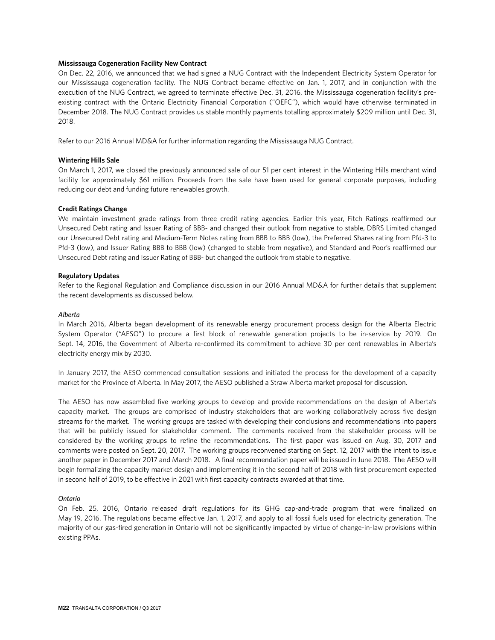#### **Mississauga Cogeneration Facility New Contract**

On Dec. 22, 2016, we announced that we had signed a NUG Contract with the Independent Electricity System Operator for our Mississauga cogeneration facility. The NUG Contract became effective on Jan. 1, 2017, and in conjunction with the execution of the NUG Contract, we agreed to terminate effective Dec. 31, 2016, the Mississauga cogeneration facility's preexisting contract with the Ontario Electricity Financial Corporation ("OEFC"), which would have otherwise terminated in December 2018. The NUG Contract provides us stable monthly payments totalling approximately \$209 million until Dec. 31, 2018.

Refer to our 2016 Annual MD&A for further information regarding the Mississauga NUG Contract.

#### **Wintering Hills Sale**

On March 1, 2017, we closed the previously announced sale of our 51 per cent interest in the Wintering Hills merchant wind facility for approximately \$61 million. Proceeds from the sale have been used for general corporate purposes, including reducing our debt and funding future renewables growth.

#### **Credit Ratings Change**

We maintain investment grade ratings from three credit rating agencies. Earlier this year, Fitch Ratings reaffirmed our Unsecured Debt rating and Issuer Rating of BBB- and changed their outlook from negative to stable, DBRS Limited changed our Unsecured Debt rating and Medium-Term Notes rating from BBB to BBB (low), the Preferred Shares rating from Pfd-3 to Pfd-3 (low), and Issuer Rating BBB to BBB (low) (changed to stable from negative), and Standard and Poor's reaffirmed our Unsecured Debt rating and Issuer Rating of BBB- but changed the outlook from stable to negative.

#### **Regulatory Updates**

Refer to the Regional Regulation and Compliance discussion in our 2016 Annual MD&A for further details that supplement the recent developments as discussed below.

#### *Alberta*

In March 2016, Alberta began development of its renewable energy procurement process design for the Alberta Electric System Operator ("AESO") to procure a first block of renewable generation projects to be in-service by 2019. On Sept. 14, 2016, the Government of Alberta re-confirmed its commitment to achieve 30 per cent renewables in Alberta's electricity energy mix by 2030.

In January 2017, the AESO commenced consultation sessions and initiated the process for the development of a capacity market for the Province of Alberta. In May 2017, the AESO published a Straw Alberta market proposal for discussion.

The AESO has now assembled five working groups to develop and provide recommendations on the design of Alberta's capacity market. The groups are comprised of industry stakeholders that are working collaboratively across five design streams for the market. The working groups are tasked with developing their conclusions and recommendations into papers that will be publicly issued for stakeholder comment. The comments received from the stakeholder process will be considered by the working groups to refine the recommendations. The first paper was issued on Aug. 30, 2017 and comments were posted on Sept. 20, 2017. The working groups reconvened starting on Sept. 12, 2017 with the intent to issue another paper in December 2017 and March 2018. A final recommendation paper will be issued in June 2018. The AESO will begin formalizing the capacity market design and implementing it in the second half of 2018 with first procurement expected in second half of 2019, to be effective in 2021 with first capacity contracts awarded at that time.

#### *Ontario*

On Feb. 25, 2016, Ontario released draft regulations for its GHG cap-and-trade program that were finalized on May 19, 2016. The regulations became effective Jan. 1, 2017, and apply to all fossil fuels used for electricity generation. The majority of our gas-fired generation in Ontario will not be significantly impacted by virtue of change-in-law provisions within existing PPAs.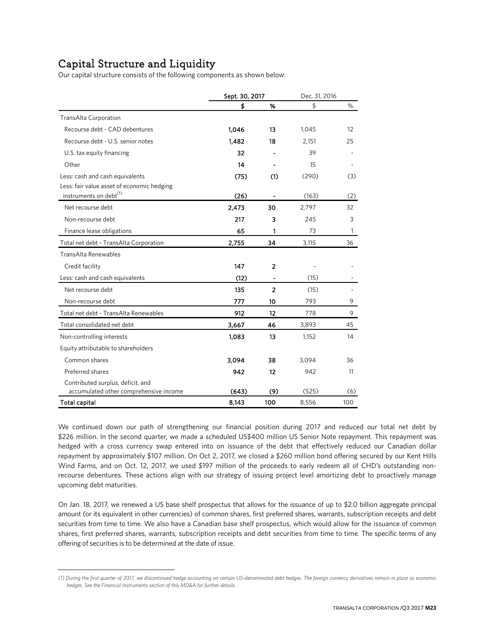# Capital Structure and Liquidity **[1](#page-22-0)**

 $\overline{a}$ 

Our capital structure consists of the following components as shown below:

|                                            | Sept. 30, 2017 |                          | Dec. 31, 2016 |              |
|--------------------------------------------|----------------|--------------------------|---------------|--------------|
|                                            | \$             | %                        | \$            | %            |
| TransAlta Corporation                      |                |                          |               |              |
| Recourse debt - CAD debentures             | 1,046          | 13                       | 1,045         | 12           |
| Recourse debt - U.S. senior notes          | 1,482          | 18                       | 2,151         | 25           |
| U.S. tax equity financing                  | 32             |                          | 39            |              |
| Other                                      | 14             |                          | 15            |              |
| Less: cash and cash equivalents            | (75)           | (1)                      | (290)         | (3)          |
| Less: fair value asset of economic hedging |                |                          |               |              |
| instruments on debt <sup>(1)</sup>         | (26)           |                          | (163)         | (2)          |
| Net recourse debt                          | 2,473          | 30                       | 2,797         | 32           |
| Non-recourse debt                          | 217            | 3                        | 245           | 3            |
| Finance lease obligations                  | 65             | 1                        | 73            | $\mathbf{1}$ |
| Total net debt - TransAlta Corporation     | 2,755          | 34                       | 3,115         | 36           |
| TransAlta Renewables                       |                |                          |               |              |
| Credit facility                            | 147            | 2                        |               |              |
| Less: cash and cash equivalents            | (12)           | $\overline{\phantom{a}}$ | (15)          |              |
| Net recourse debt                          | 135            | $\overline{2}$           | (15)          |              |
| Non-recourse debt                          | 777            | 10                       | 793           | 9            |
| Total net debt - TransAlta Renewables      | 912            | 12                       | 778           | 9            |
| Total consolidated net debt                | 3,667          | 46                       | 3,893         | 45           |
| Non-controlling interests                  | 1,083          | 13                       | 1,152         | 14           |
| Equity attributable to shareholders        |                |                          |               |              |
| Common shares                              | 3,094          | 38                       | 3,094         | 36           |
| Preferred shares                           | 942            | 12                       | 942           | 11           |
| Contributed surplus, deficit, and          |                |                          |               |              |
| accumulated other comprehensive income     | (643)          | (9)                      | (525)         | (6)          |
| Total capital                              | 8,143          | 100                      | 8,556         | 100          |

We continued down our path of strengthening our financial position during 2017 and reduced our total net debt by \$226 million. In the second quarter, we made a scheduled US\$400 million US Senior Note repayment. This repayment was hedged with a cross currency swap entered into on issuance of the debt that effectively reduced our Canadian dollar repayment by approximately \$107 million. On Oct 2, 2017, we closed a \$260 million bond offering secured by our Kent Hills Wind Farms, and on Oct. 12, 2017, we used \$197 million of the proceeds to early redeem all of CHD's outstanding nonrecourse debentures. These actions align with our strategy of issuing project level amortizing debt to proactively manage upcoming debt maturities.

On Jan. 18, 2017, we renewed a US base shelf prospectus that allows for the issuance of up to \$2.0 billion aggregate principal amount (or its equivalent in other currencies) of common shares, first preferred shares, warrants, subscription receipts and debt securities from time to time. We also have a Canadian base shelf prospectus, which would allow for the issuance of common shares, first preferred shares, warrants, subscription receipts and debt securities from time to time. The specific terms of any offering of securities is to be determined at the date of issue.

<span id="page-22-0"></span>*<sup>(1)</sup> During the first quarter of 2017, we discontinued hedge accounting on certain US-denominated debt hedges. The foreign currency derivatives remain in place as economic hedges. See the Financial Instruments section of this MD&A for further details.*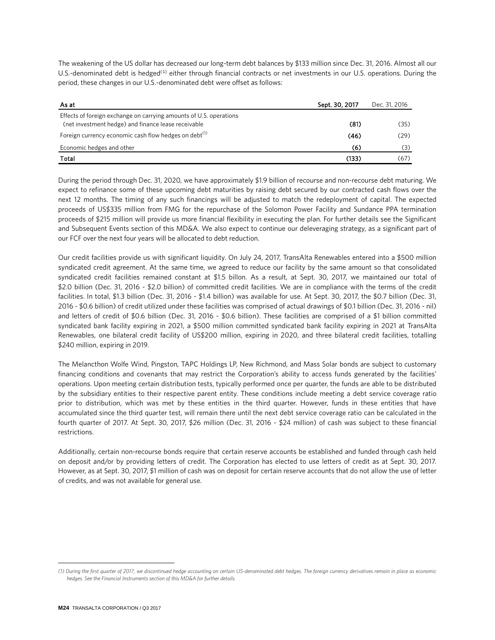The weakening of the US dollar has decreased our long-term debt balances by \$133 million since Dec. 31, 2016. Almost all our U.S.-denominated debt is hedged<sup>([1](#page-23-0))</sup> either through financial contracts or net investments in our U.S. operations. During the period, these changes in our U.S.-denominated debt were offset as follows:

| As at                                                              | Sept. 30, 2017 | Dec. 31, 2016 |
|--------------------------------------------------------------------|----------------|---------------|
| Effects of foreign exchange on carrying amounts of U.S. operations |                |               |
| (net investment hedge) and finance lease receivable                | (81)           | (35)          |
| Foreign currency economic cash flow hedges on debt <sup>(1)</sup>  | (46)           | (29)          |
| Economic hedges and other                                          | (6)            | (3)           |
| Total                                                              | (133)          | (67)          |

During the period through Dec. 31, 2020, we have approximately \$1.9 billion of recourse and non-recourse debt maturing. We expect to refinance some of these upcoming debt maturities by raising debt secured by our contracted cash flows over the next 12 months. The timing of any such financings will be adjusted to match the redeployment of capital. The expected proceeds of US\$335 million from FMG for the repurchase of the Solomon Power Facility and Sundance PPA termination proceeds of \$215 million will provide us more financial flexibility in executing the plan. For further details see the Significant and Subsequent Events section of this MD&A. We also expect to continue our deleveraging strategy, as a significant part of our FCF over the next four years will be allocated to debt reduction.

Our credit facilities provide us with significant liquidity. On July 24, 2017, TransAlta Renewables entered into a \$500 million syndicated credit agreement. At the same time, we agreed to reduce our facility by the same amount so that consolidated syndicated credit facilities remained constant at \$1.5 billon. As a result, at Sept. 30, 2017, we maintained our total of \$2.0 billion (Dec. 31, 2016 - \$2.0 billion) of committed credit facilities. We are in compliance with the terms of the credit facilities. In total, \$1.3 billion (Dec. 31, 2016 - \$1.4 billion) was available for use. At Sept. 30, 2017, the \$0.7 billion (Dec. 31, 2016 - \$0.6 billion) of credit utilized under these facilities was comprised of actual drawings of \$0.1 billion (Dec. 31, 2016 - nil) and letters of credit of \$0.6 billion (Dec. 31, 2016 - \$0.6 billion). These facilities are comprised of a \$1 billion committed syndicated bank facility expiring in 2021, a \$500 million committed syndicated bank facility expiring in 2021 at TransAlta Renewables, one bilateral credit facility of US\$200 million, expiring in 2020, and three bilateral credit facilities, totalling \$240 million, expiring in 2019.

The Melancthon Wolfe Wind, Pingston, TAPC Holdings LP, New Richmond, and Mass Solar bonds are subject to customary financing conditions and covenants that may restrict the Corporation's ability to access funds generated by the facilities' operations. Upon meeting certain distribution tests, typically performed once per quarter, the funds are able to be distributed by the subsidiary entities to their respective parent entity. These conditions include meeting a debt service coverage ratio prior to distribution, which was met by these entities in the third quarter. However, funds in these entities that have accumulated since the third quarter test, will remain there until the next debt service coverage ratio can be calculated in the fourth quarter of 2017. At Sept. 30, 2017, \$26 million (Dec. 31, 2016 - \$24 million) of cash was subject to these financial restrictions.

Additionally, certain non-recourse bonds require that certain reserve accounts be established and funded through cash held on deposit and/or by providing letters of credit. The Corporation has elected to use letters of credit as at Sept. 30, 2017. However, as at Sept. 30, 2017, \$1 million of cash was on deposit for certain reserve accounts that do not allow the use of letter of credits, and was not available for general use.

 $\overline{a}$ 

<span id="page-23-0"></span>*<sup>(1)</sup> During the first quarter of 2017, we discontinued hedge accounting on certain US-denominated debt hedges. The foreign currency derivatives remain in place as economic hedges. See the Financial Instruments section of this MD&A for further details.*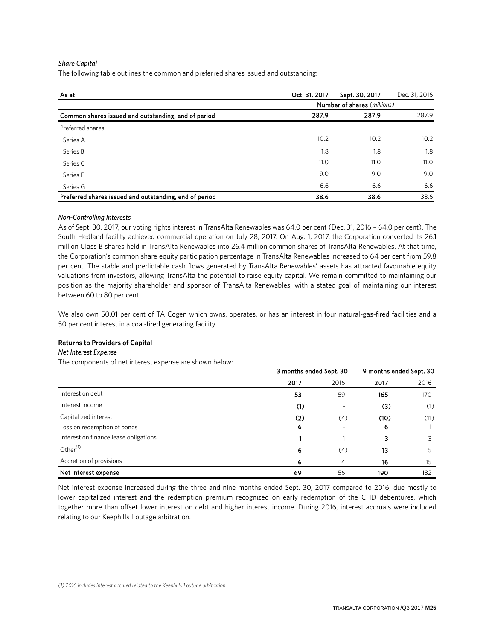#### *Share Capital*

The following table outlines the common and preferred shares issued and outstanding:

| As at                                                  | Oct. 31, 2017 | Sept. 30, 2017              | Dec. 31, 2016 |
|--------------------------------------------------------|---------------|-----------------------------|---------------|
|                                                        |               | Number of shares (millions) |               |
| Common shares issued and outstanding, end of period    | 287.9         | 287.9                       | 287.9         |
| Preferred shares                                       |               |                             |               |
| Series A                                               | 10.2          | 10.2                        | 10.2          |
| Series B                                               | 1.8           | 1.8                         | 1.8           |
| Series C                                               | 11.0          | 11.0                        | 11.0          |
| Series E                                               | 9.0           | 9.0                         | 9.0           |
| Series G                                               | 6.6           | 6.6                         | 6.6           |
| Preferred shares issued and outstanding, end of period | 38.6          | 38.6                        | 38.6          |

#### *Non-Controlling Interests*

As of Sept. 30, 2017, our voting rights interest in TransAlta Renewables was 64.0 per cent (Dec. 31, 2016 – 64.0 per cent). The South Hedland facility achieved commercial operation on July 28, 2017. On Aug. 1, 2017, the Corporation converted its 26.1 million Class B shares held in TransAlta Renewables into 26.4 million common shares of TransAlta Renewables. At that time, the Corporation's common share equity participation percentage in TransAlta Renewables increased to 64 per cent from 59.8 per cent. The stable and predictable cash flows generated by TransAlta Renewables' assets has attracted favourable equity valuations from investors, allowing TransAlta the potential to raise equity capital. We remain committed to maintaining our position as the majority shareholder and sponsor of TransAlta Renewables, with a stated goal of maintaining our interest between 60 to 80 per cent.

We also own 50.01 per cent of TA Cogen which owns, operates, or has an interest in four natural-gas-fired facilities and a 50 per cent interest in a coal-fired generating facility.

#### **Returns to Providers of Capital**

#### **Net Interest Expense**

The components of net interest expense are shown below:

|                                       | 3 months ended Sept. 30 |      | 9 months ended Sept. 30 |      |  |
|---------------------------------------|-------------------------|------|-------------------------|------|--|
|                                       | 2017                    | 2016 | 2017                    | 2016 |  |
| Interest on debt                      | 53                      | 59   | 165                     | 170  |  |
| Interest income                       | (1)                     | -    | (3)                     | (1)  |  |
| Capitalized interest                  | (2)                     | (4)  | (10)                    | (11) |  |
| Loss on redemption of bonds           | 6                       | ٠    | 6                       |      |  |
| Interest on finance lease obligations |                         |      | 3                       | 3    |  |
| Other $(1)$                           | 6                       | (4)  | 13                      | 5    |  |
| Accretion of provisions               | 6                       | 4    | 16                      | 15   |  |
| Net interest expense                  | 69                      | 56   | 190                     | 182  |  |

Net interest expense increased during the three and nine months ended Sept. 30, 2017 compared to 2016, due mostly to lower capitalized interest and the redemption premium recognized on early redemption of the CHD debentures, which together more than offset lower interest on debt and higher interest income. During 2016, interest accruals were included relating to our Keephills 1 outage arbitration.

<span id="page-24-0"></span> $\overline{a}$ *(1) 2016 includes interest accrued related to the Keephills 1 outage arbitration.*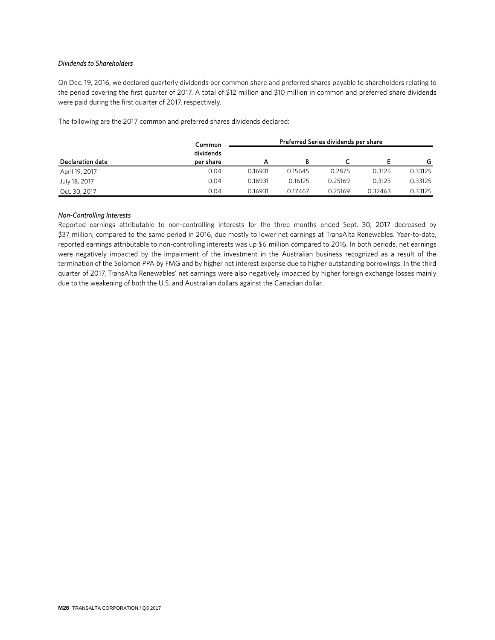#### *Dividends to Shareholders*

On Dec. 19, 2016, we declared quarterly dividends per common share and preferred shares payable to shareholders relating to the period covering the first quarter of 2017. A total of \$12 million and \$10 million in common and preferred share dividends were paid during the first quarter of 2017, respectively.

The following are the 2017 common and preferred shares dividends declared:

|                  | Common                 |         |         | Preferred Series dividends per share |         |         |
|------------------|------------------------|---------|---------|--------------------------------------|---------|---------|
| Declaration date | dividends<br>per share |         |         | ◡                                    |         | G       |
| April 19, 2017   | 0.04                   | 0.16931 | 0.15645 | 0.2875                               | 0.3125  | 0.33125 |
| July 18, 2017    | 0.04                   | 0.16931 | 0.16125 | 0.25169                              | 0.3125  | 0.33125 |
| Oct. 30, 2017    | 0.04                   | 0.16931 | 0.17467 | 0.25169                              | 0.32463 | 0.33125 |

#### *Non-Controlling Interests*

Reported earnings attributable to non-controlling interests for the three months ended Sept. 30, 2017 decreased by \$37 million, compared to the same period in 2016, due mostly to lower net earnings at TransAlta Renewables. Year-to-date, reported earnings attributable to non-controlling interests was up \$6 million compared to 2016. In both periods, net earnings were negatively impacted by the impairment of the investment in the Australian business recognized as a result of the termination of the Solomon PPA by FMG and by higher net interest expense due to higher outstanding borrowings. In the third quarter of 2017, TransAlta Renewables' net earnings were also negatively impacted by higher foreign exchange losses mainly due to the weakening of both the U.S. and Australian dollars against the Canadian dollar.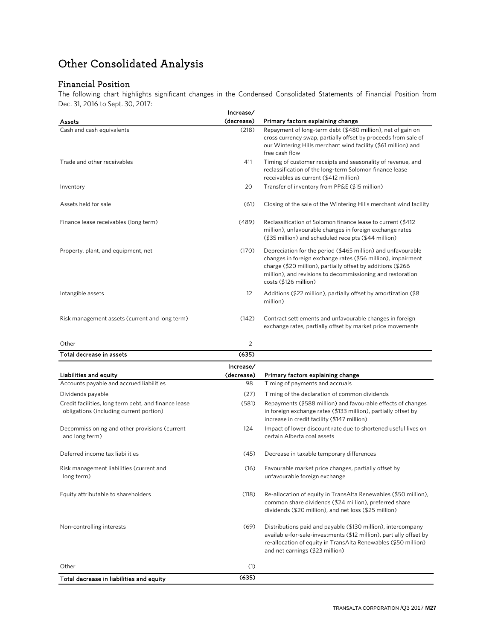# Other Consolidated Analysis

# Financial Position

The following chart highlights significant changes in the Condensed Consolidated Statements of Financial Position from Dec. 31, 2016 to Sept. 30, 2017:

|                                                | Increase/  |                                                                                                                                                                                                                                                                                    |
|------------------------------------------------|------------|------------------------------------------------------------------------------------------------------------------------------------------------------------------------------------------------------------------------------------------------------------------------------------|
| Assets                                         | (decrease) | Primary factors explaining change                                                                                                                                                                                                                                                  |
| Cash and cash equivalents                      | (218)      | Repayment of long-term debt (\$480 million), net of gain on<br>cross currency swap, partially offset by proceeds from sale of<br>our Wintering Hills merchant wind facility (\$61 million) and<br>free cash flow                                                                   |
| Trade and other receivables                    | 411        | Timing of customer receipts and seasonality of revenue, and<br>reclassification of the long-term Solomon finance lease<br>receivables as current (\$412 million)                                                                                                                   |
| Inventory                                      | 20         | Transfer of inventory from PP&E (\$15 million)                                                                                                                                                                                                                                     |
| Assets held for sale                           | (61)       | Closing of the sale of the Wintering Hills merchant wind facility                                                                                                                                                                                                                  |
| Finance lease receivables (long term)          | (489)      | Reclassification of Solomon finance lease to current (\$412)<br>million), unfavourable changes in foreign exchange rates<br>(\$35 million) and scheduled receipts (\$44 million)                                                                                                   |
| Property, plant, and equipment, net            | (170)      | Depreciation for the period (\$465 million) and unfavourable<br>changes in foreign exchange rates (\$56 million), impairment<br>charge (\$20 million), partially offset by additions (\$266<br>million), and revisions to decommissioning and restoration<br>costs (\$126 million) |
| Intangible assets                              | 12         | Additions (\$22 million), partially offset by amortization (\$8<br>million)                                                                                                                                                                                                        |
| Risk management assets (current and long term) | (142)      | Contract settlements and unfavourable changes in foreign<br>exchange rates, partially offset by market price movements                                                                                                                                                             |

| Other                                                                                           |            |                                                                                                                                                                               |
|-------------------------------------------------------------------------------------------------|------------|-------------------------------------------------------------------------------------------------------------------------------------------------------------------------------|
| Total decrease in assets                                                                        | (635)      |                                                                                                                                                                               |
|                                                                                                 | Increase/  |                                                                                                                                                                               |
| Liabilities and equity                                                                          | (decrease) | Primary factors explaining change                                                                                                                                             |
| Accounts payable and accrued liabilities                                                        | 98         | Timing of payments and accruals                                                                                                                                               |
| Dividends payable                                                                               | (27)       | Timing of the declaration of common dividends                                                                                                                                 |
| Credit facilities, long term debt, and finance lease<br>obligations (including current portion) | (581)      | Repayments (\$588 million) and favourable effects of changes<br>in foreign exchange rates (\$133 million), partially offset by<br>increase in credit facility (\$147 million) |

| Total decrease in liabilities and equity                        | (635) |                                                                                                                                                                                                                                         |
|-----------------------------------------------------------------|-------|-----------------------------------------------------------------------------------------------------------------------------------------------------------------------------------------------------------------------------------------|
| Other                                                           | (1)   |                                                                                                                                                                                                                                         |
| Non-controlling interests                                       | (69)  | Distributions paid and payable (\$130 million), intercompany<br>available-for-sale-investments (\$12 million), partially offset by<br>re-allocation of equity in TransAlta Renewables (\$50 million)<br>and net earnings (\$23 million) |
| Equity attributable to shareholders                             | (118) | Re-allocation of equity in TransAlta Renewables (\$50 million),<br>common share dividends (\$24 million), preferred share<br>dividends (\$20 million), and net loss (\$25 million)                                                      |
| Risk management liabilities (current and<br>long term)          | (16)  | Favourable market price changes, partially offset by<br>unfavourable foreign exchange                                                                                                                                                   |
| Deferred income tax liabilities                                 | (45)  | Decrease in taxable temporary differences                                                                                                                                                                                               |
| Decommissioning and other provisions (current<br>and long term) | 124   | Impact of lower discount rate due to shortened useful lives on<br>certain Alberta coal assets                                                                                                                                           |
|                                                                 |       |                                                                                                                                                                                                                                         |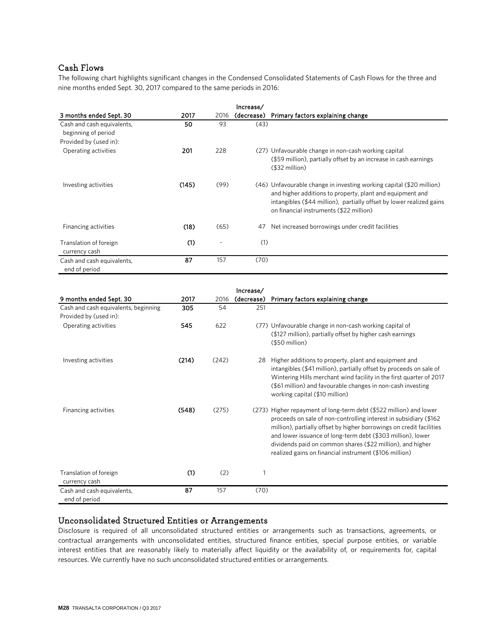# Cash Flows

The following chart highlights significant changes in the Condensed Consolidated Statements of Cash Flows for the three and nine months ended Sept. 30, 2017 compared to the same periods in 2016:

|                                                   |       |      | Increase/  |                                                                                                                                                                                                                                                      |
|---------------------------------------------------|-------|------|------------|------------------------------------------------------------------------------------------------------------------------------------------------------------------------------------------------------------------------------------------------------|
| 3 months ended Sept. 30                           | 2017  | 2016 | (decrease) | Primary factors explaining change                                                                                                                                                                                                                    |
| Cash and cash equivalents,<br>beginning of period | 50    | 93   | (43)       |                                                                                                                                                                                                                                                      |
| Provided by (used in):                            |       |      |            |                                                                                                                                                                                                                                                      |
| Operating activities                              | 201   | 228  |            | (27) Unfavourable change in non-cash working capital<br>(\$59 million), partially offset by an increase in cash earnings<br>$($32$ million)                                                                                                          |
| Investing activities                              | (145) | (99) |            | (46) Unfavourable change in investing working capital (\$20 million)<br>and higher additions to property, plant and equipment and<br>intangibles (\$44 million), partially offset by lower realized gains<br>on financial instruments (\$22 million) |
| Financing activities                              | (18)  | (65) | 47         | Net increased borrowings under credit facilities                                                                                                                                                                                                     |
| Translation of foreign<br>currency cash           | (1)   | ٠    | (1)        |                                                                                                                                                                                                                                                      |
| Cash and cash equivalents,<br>end of period       | 87    | 157  | (70)       |                                                                                                                                                                                                                                                      |

|                                             |       |       | Increase/  |                                                                                                                                                                                                                                                                                                                                                                                                         |
|---------------------------------------------|-------|-------|------------|---------------------------------------------------------------------------------------------------------------------------------------------------------------------------------------------------------------------------------------------------------------------------------------------------------------------------------------------------------------------------------------------------------|
| 9 months ended Sept. 30                     | 2017  | 2016  | (decrease) | Primary factors explaining change                                                                                                                                                                                                                                                                                                                                                                       |
| Cash and cash equivalents, beginning        | 305   | 54    | 251        |                                                                                                                                                                                                                                                                                                                                                                                                         |
| Provided by (used in):                      |       |       |            |                                                                                                                                                                                                                                                                                                                                                                                                         |
| Operating activities                        | 545   | 622   |            | (77) Unfavourable change in non-cash working capital of<br>(\$127 million), partially offset by higher cash earnings<br>$($50$ million)                                                                                                                                                                                                                                                                 |
| Investing activities                        | (214) | (242) | 28         | Higher additions to property, plant and equipment and<br>intangibles (\$41 million), partially offset by proceeds on sale of<br>Wintering Hills merchant wind facility in the first quarter of 2017<br>(\$61 million) and favourable changes in non-cash investing<br>working capital (\$10 million)                                                                                                    |
| Financing activities                        | (548) | (275) |            | (273) Higher repayment of long-term debt (\$522 million) and lower<br>proceeds on sale of non-controlling interest in subsidiary (\$162)<br>million), partially offset by higher borrowings on credit facilities<br>and lower issuance of long-term debt (\$303 million), lower<br>dividends paid on common shares (\$22 million), and higher<br>realized gains on financial instrument (\$106 million) |
| Translation of foreign<br>currency cash     | (1)   | (2)   |            |                                                                                                                                                                                                                                                                                                                                                                                                         |
| Cash and cash equivalents,<br>end of period | 87    | 157   | (70)       |                                                                                                                                                                                                                                                                                                                                                                                                         |

# Unconsolidated Structured Entities or Arrangements

Disclosure is required of all unconsolidated structured entities or arrangements such as transactions, agreements, or contractual arrangements with unconsolidated entities, structured finance entities, special purpose entities, or variable interest entities that are reasonably likely to materially affect liquidity or the availability of, or requirements for, capital resources. We currently have no such unconsolidated structured entities or arrangements.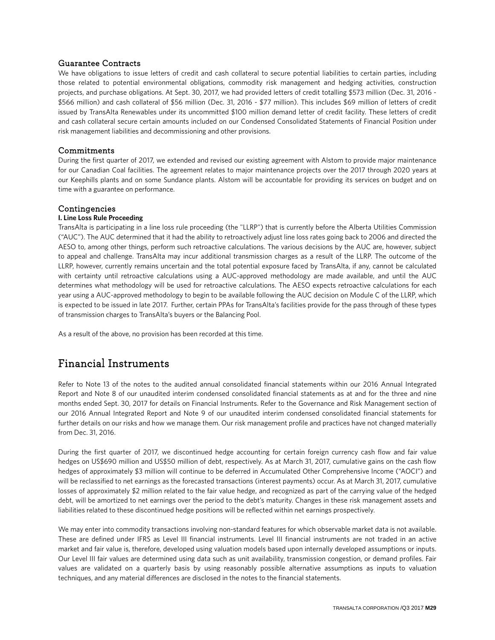### Guarantee Contracts

We have obligations to issue letters of credit and cash collateral to secure potential liabilities to certain parties, including those related to potential environmental obligations, commodity risk management and hedging activities, construction projects, and purchase obligations. At Sept. 30, 2017, we had provided letters of credit totalling \$573 million (Dec. 31, 2016 - \$566 million) and cash collateral of \$56 million (Dec. 31, 2016 - \$77 million). This includes \$69 million of letters of credit issued by TransAlta Renewables under its uncommitted \$100 million demand letter of credit facility. These letters of credit and cash collateral secure certain amounts included on our Condensed Consolidated Statements of Financial Position under risk management liabilities and decommissioning and other provisions.

### **Commitments**

During the first quarter of 2017, we extended and revised our existing agreement with Alstom to provide major maintenance for our Canadian Coal facilities. The agreement relates to major maintenance projects over the 2017 through 2020 years at our Keephills plants and on some Sundance plants. Alstom will be accountable for providing its services on budget and on time with a guarantee on performance.

### **Contingencies**

#### **I. Line Loss Rule Proceeding**

TransAlta is participating in a line loss rule proceeding (the "LLRP") that is currently before the Alberta Utilities Commission ("AUC"). The AUC determined that it had the ability to retroactively adjust line loss rates going back to 2006 and directed the AESO to, among other things, perform such retroactive calculations. The various decisions by the AUC are, however, subject to appeal and challenge. TransAlta may incur additional transmission charges as a result of the LLRP. The outcome of the LLRP, however, currently remains uncertain and the total potential exposure faced by TransAlta, if any, cannot be calculated with certainty until retroactive calculations using a AUC-approved methodology are made available, and until the AUC determines what methodology will be used for retroactive calculations. The AESO expects retroactive calculations for each year using a AUC-approved methodology to begin to be available following the AUC decision on Module C of the LLRP, which is expected to be issued in late 2017. Further, certain PPAs for TransAlta's facilities provide for the pass through of these types of transmission charges to TransAlta's buyers or the Balancing Pool.

As a result of the above, no provision has been recorded at this time.

# Financial Instruments

Refer to Note 13 of the notes to the audited annual consolidated financial statements within our 2016 Annual Integrated Report and Note 8 of our unaudited interim condensed consolidated financial statements as at and for the three and nine months ended Sept. 30, 2017 for details on Financial Instruments. Refer to the Governance and Risk Management section of our 2016 Annual Integrated Report and Note 9 of our unaudited interim condensed consolidated financial statements for further details on our risks and how we manage them. Our risk management profile and practices have not changed materially from Dec. 31, 2016.

During the first quarter of 2017, we discontinued hedge accounting for certain foreign currency cash flow and fair value hedges on US\$690 million and US\$50 million of debt, respectively. As at March 31, 2017, cumulative gains on the cash flow hedges of approximately \$3 million will continue to be deferred in Accumulated Other Comprehensive Income ("AOCI") and will be reclassified to net earnings as the forecasted transactions (interest payments) occur. As at March 31, 2017, cumulative losses of approximately \$2 million related to the fair value hedge, and recognized as part of the carrying value of the hedged debt, will be amortized to net earnings over the period to the debt's maturity. Changes in these risk management assets and liabilities related to these discontinued hedge positions will be reflected within net earnings prospectively.

We may enter into commodity transactions involving non-standard features for which observable market data is not available. These are defined under IFRS as Level III financial instruments. Level III financial instruments are not traded in an active market and fair value is, therefore, developed using valuation models based upon internally developed assumptions or inputs. Our Level III fair values are determined using data such as unit availability, transmission congestion, or demand profiles. Fair values are validated on a quarterly basis by using reasonably possible alternative assumptions as inputs to valuation techniques, and any material differences are disclosed in the notes to the financial statements.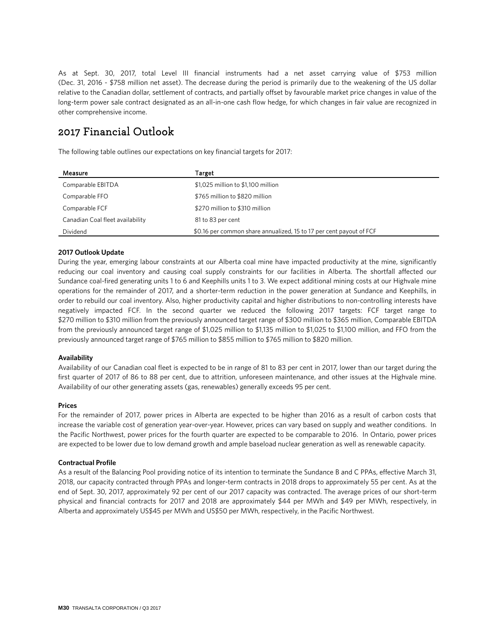As at Sept. 30, 2017, total Level III financial instruments had a net asset carrying value of \$753 million (Dec. 31, 2016 - \$758 million net asset). The decrease during the period is primarily due to the weakening of the US dollar relative to the Canadian dollar, settlement of contracts, and partially offset by favourable market price changes in value of the long-term power sale contract designated as an all-in-one cash flow hedge, for which changes in fair value are recognized in other comprehensive income.

# 2017 Financial Outlook

The following table outlines our expectations on key financial targets for 2017:

| Measure                          | Target                                                              |
|----------------------------------|---------------------------------------------------------------------|
| Comparable EBITDA                | \$1,025 million to \$1,100 million                                  |
| Comparable FFO                   | \$765 million to \$820 million                                      |
| Comparable FCF                   | \$270 million to \$310 million                                      |
| Canadian Coal fleet availability | 81 to 83 per cent                                                   |
| Dividend                         | \$0.16 per common share annualized, 15 to 17 per cent payout of FCF |

#### **2017 Outlook Update**

During the year, emerging labour constraints at our Alberta coal mine have impacted productivity at the mine, significantly reducing our coal inventory and causing coal supply constraints for our facilities in Alberta. The shortfall affected our Sundance coal-fired generating units 1 to 6 and Keephills units 1 to 3. We expect additional mining costs at our Highvale mine operations for the remainder of 2017, and a shorter-term reduction in the power generation at Sundance and Keephills, in order to rebuild our coal inventory. Also, higher productivity capital and higher distributions to non-controlling interests have negatively impacted FCF. In the second quarter we reduced the following 2017 targets: FCF target range to \$270 million to \$310 million from the previously announced target range of \$300 million to \$365 million, Comparable EBITDA from the previously announced target range of \$1,025 million to \$1,135 million to \$1,025 to \$1,100 million, and FFO from the previously announced target range of \$765 million to \$855 million to \$765 million to \$820 million.

#### **Availability**

Availability of our Canadian coal fleet is expected to be in range of 81 to 83 per cent in 2017, lower than our target during the first quarter of 2017 of 86 to 88 per cent, due to attrition, unforeseen maintenance, and other issues at the Highvale mine. Availability of our other generating assets (gas, renewables) generally exceeds 95 per cent.

#### **Prices**

For the remainder of 2017, power prices in Alberta are expected to be higher than 2016 as a result of carbon costs that increase the variable cost of generation year-over-year. However, prices can vary based on supply and weather conditions. In the Pacific Northwest, power prices for the fourth quarter are expected to be comparable to 2016. In Ontario, power prices are expected to be lower due to low demand growth and ample baseload nuclear generation as well as renewable capacity.

#### **Contractual Profile**

As a result of the Balancing Pool providing notice of its intention to terminate the Sundance B and C PPAs, effective March 31, 2018, our capacity contracted through PPAs and longer-term contracts in 2018 drops to approximately 55 per cent. As at the end of Sept. 30, 2017, approximately 92 per cent of our 2017 capacity was contracted. The average prices of our short-term physical and financial contracts for 2017 and 2018 are approximately \$44 per MWh and \$49 per MWh, respectively, in Alberta and approximately US\$45 per MWh and US\$50 per MWh, respectively, in the Pacific Northwest.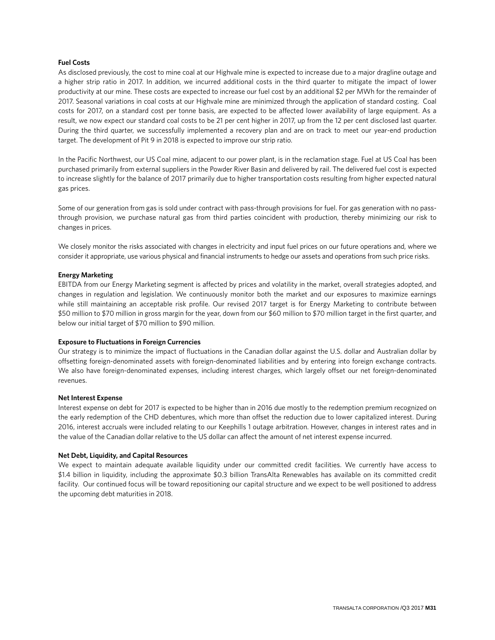#### **Fuel Costs**

As disclosed previously, the cost to mine coal at our Highvale mine is expected to increase due to a major dragline outage and a higher strip ratio in 2017. In addition, we incurred additional costs in the third quarter to mitigate the impact of lower productivity at our mine. These costs are expected to increase our fuel cost by an additional \$2 per MWh for the remainder of 2017. Seasonal variations in coal costs at our Highvale mine are minimized through the application of standard costing. Coal costs for 2017, on a standard cost per tonne basis, are expected to be affected lower availability of large equipment. As a result, we now expect our standard coal costs to be 21 per cent higher in 2017, up from the 12 per cent disclosed last quarter. During the third quarter, we successfully implemented a recovery plan and are on track to meet our year-end production target. The development of Pit 9 in 2018 is expected to improve our strip ratio.

In the Pacific Northwest, our US Coal mine, adjacent to our power plant, is in the reclamation stage. Fuel at US Coal has been purchased primarily from external suppliers in the Powder River Basin and delivered by rail. The delivered fuel cost is expected to increase slightly for the balance of 2017 primarily due to higher transportation costs resulting from higher expected natural gas prices.

Some of our generation from gas is sold under contract with pass-through provisions for fuel. For gas generation with no passthrough provision, we purchase natural gas from third parties coincident with production, thereby minimizing our risk to changes in prices.

We closely monitor the risks associated with changes in electricity and input fuel prices on our future operations and, where we consider it appropriate, use various physical and financial instruments to hedge our assets and operations from such price risks.

#### **Energy Marketing**

EBITDA from our Energy Marketing segment is affected by prices and volatility in the market, overall strategies adopted, and changes in regulation and legislation. We continuously monitor both the market and our exposures to maximize earnings while still maintaining an acceptable risk profile. Our revised 2017 target is for Energy Marketing to contribute between \$50 million to \$70 million in gross margin for the year, down from our \$60 million to \$70 million target in the first quarter, and below our initial target of \$70 million to \$90 million.

#### **Exposure to Fluctuations in Foreign Currencies**

Our strategy is to minimize the impact of fluctuations in the Canadian dollar against the U.S. dollar and Australian dollar by offsetting foreign-denominated assets with foreign-denominated liabilities and by entering into foreign exchange contracts. We also have foreign-denominated expenses, including interest charges, which largely offset our net foreign-denominated revenues.

#### **Net Interest Expense**

Interest expense on debt for 2017 is expected to be higher than in 2016 due mostly to the redemption premium recognized on the early redemption of the CHD debentures, which more than offset the reduction due to lower capitalized interest. During 2016, interest accruals were included relating to our Keephills 1 outage arbitration. However, changes in interest rates and in the value of the Canadian dollar relative to the US dollar can affect the amount of net interest expense incurred.

#### **Net Debt, Liquidity, and Capital Resources**

We expect to maintain adequate available liquidity under our committed credit facilities. We currently have access to \$1.4 billion in liquidity, including the approximate \$0.3 billion TransAlta Renewables has available on its committed credit facility. Our continued focus will be toward repositioning our capital structure and we expect to be well positioned to address the upcoming debt maturities in 2018.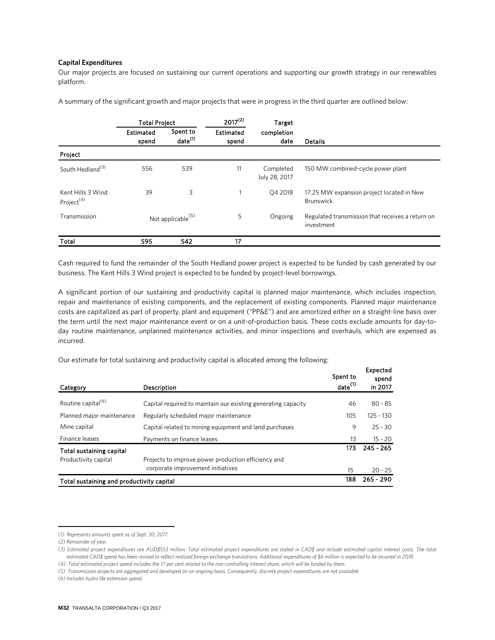#### **Capital Expenditures**

Our major projects are focused on sustaining our current operations and supporting our growth strategy in our renewables platform.

A summary of the significant growth and major projects that were in progress in the third quarter are outlined below: [1](#page-31-0)

|                                             | <b>Total Project</b> |                                 | $2017^{(2)}$              | Target                     |                                                                |
|---------------------------------------------|----------------------|---------------------------------|---------------------------|----------------------------|----------------------------------------------------------------|
|                                             | Estimated<br>spend   | Spent to<br>date <sup>(1)</sup> | <b>Estimated</b><br>spend | completion<br>date         | <b>Details</b>                                                 |
| Project                                     |                      |                                 |                           |                            |                                                                |
| South Hedland <sup>(3)</sup>                | 556                  | 539                             | 11                        | Completed<br>July 28, 2017 | 150 MW combined-cycle power plant                              |
| Kent Hills 3 Wind<br>Project <sup>(4)</sup> | 39                   | 3                               |                           | Q4 2018                    | 17.25 MW expansion project located in New<br><b>Brunswick</b>  |
| Transmission                                |                      | Not applicable <sup>(5)</sup>   | 5                         | Ongoing                    | Regulated transmission that receives a return on<br>investment |
| Total                                       | 595                  | 542                             | 17                        |                            |                                                                |

Cash required to fund the remainder of the South Hedland power project is expected to be funded by cash generated by our business. The Kent Hills 3 Wind project is expected to be funded by project-level borrowings.

A significant portion of our sustaining and productivity capital is planned major maintenance, which includes inspection, repair and maintenance of existing components, and the replacement of existing components. Planned major maintenance costs are capitalized as part of property, plant and equipment ("PP&E") and are amortized either on a straight-line basis over the term until the next major maintenance event or on a unit-of-production basis. These costs exclude amounts for day-today routine maintenance, unplanned maintenance activities, and minor inspections and overhauls, which are expensed as incurred.

Our estimate for total sustaining and productivity capital is allocated among the following: [2](#page-31-1)

| Category                                  | Description                                                   | Spent to<br>date <sup>(1)</sup> | Expected<br>spend<br>in 2017 |
|-------------------------------------------|---------------------------------------------------------------|---------------------------------|------------------------------|
| Routine capital <sup>(6)</sup>            | Capital required to maintain our existing generating capacity | 46                              | $80 - 85$                    |
| Planned major maintenance                 | Regularly scheduled major maintenance                         | 105                             | $125 - 130$                  |
| Mine capital                              | Capital related to mining equipment and land purchases        | 9                               | $25 - 30$                    |
| Finance leases                            | Payments on finance leases                                    | 13                              | $15 - 20$                    |
| Total sustaining capital                  |                                                               | 173                             | $245 - 265$                  |
| Productivity capital                      | Projects to improve power production efficiency and           |                                 |                              |
|                                           | corporate improvement initiatives                             | 15                              | $20 - 25$                    |
| Total sustaining and productivity capital |                                                               | 188                             | $265 - 290$                  |

 $\overline{a}$ *(1) Represents amounts spent as of Sept. 30, 2017.*

<span id="page-31-0"></span>*<sup>(2)</sup> Remainder of year.*

*<sup>(3)</sup> Estimated project expenditures are AUD\$553 million. Total estimated project expenditures are stated in CAD\$ and include estimated capital interest costs. The total estimated CAD\$ spend has been revised to reflect realized foreign exchange translations. Additional expenditures of \$6 million is expected to be incurred in 2018.*

*<sup>(4)</sup> Total estimated project spend includes the 17 per cent related to the non-controlling interest share, which will be funded by them.*

<span id="page-31-1"></span>*<sup>(5)</sup> Transmission projects are aggregated and developed on an ongoing basis. Consequently, discrete project expenditures are not available.*

*<sup>(6)</sup> Includes hydro life extension spend.*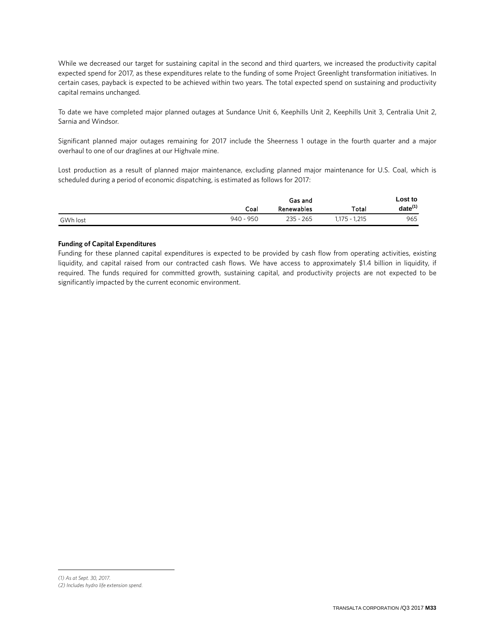While we decreased our target for sustaining capital in the second and third quarters, we increased the productivity capital expected spend for 2017, as these expenditures relate to the funding of some Project Greenlight transformation initiatives. In certain cases, payback is expected to be achieved within two years. The total expected spend on sustaining and productivity capital remains unchanged.

To date we have completed major planned outages at Sundance Unit 6, Keephills Unit 2, Keephills Unit 3, Centralia Unit 2, Sarnia and Windsor.

Significant planned major outages remaining for 2017 include the Sheerness 1 outage in the fourth quarter and a major overhaul to one of our draglines at our Highvale mine.

Lost production as a result of planned major maintenance, excluding planned major maintenance for U.S. Coal, which is scheduled during a period of economic dispatching, is estimated as follows for 20[1](#page-32-0)7:

|          |             | Gas and           |                 | Lost to      |
|----------|-------------|-------------------|-----------------|--------------|
|          | Coal        | <b>Renewables</b> | Total           | $date^{(1)}$ |
| GWh lost | $940 - 950$ | $235 - 265$       | $1.175 - 1.215$ | 965          |

#### **Funding of Capital Expenditures**

Funding for these planned capital expenditures is expected to be provided by cash flow from operating activities, existing liquidity, and capital raised from our contracted cash flows. We have access to approximately \$1.4 billion in liquidity, if required. The funds required for committed growth, sustaining capital, and productivity projects are not expected to be significantly impacted by the current economic environment.

<span id="page-32-0"></span>*(1) As at Sept. 30, 2017. (2) Includes hydro life extension spend.*

 $\overline{a}$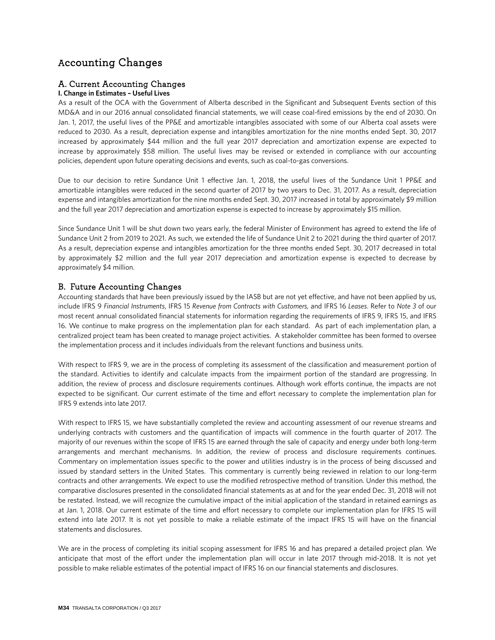# Accounting Changes

# A. Current Accounting Changes

### **I. Change in Estimates – Useful Lives**

As a result of the OCA with the Government of Alberta described in the Significant and Subsequent Events section of this MD&A and in our 2016 annual consolidated financial statements, we will cease coal-fired emissions by the end of 2030. On Jan. 1, 2017, the useful lives of the PP&E and amortizable intangibles associated with some of our Alberta coal assets were reduced to 2030. As a result, depreciation expense and intangibles amortization for the nine months ended Sept. 30, 2017 increased by approximately \$44 million and the full year 2017 depreciation and amortization expense are expected to increase by approximately \$58 million. The useful lives may be revised or extended in compliance with our accounting policies, dependent upon future operating decisions and events, such as coal-to-gas conversions.

Due to our decision to retire Sundance Unit 1 effective Jan. 1, 2018, the useful lives of the Sundance Unit 1 PP&E and amortizable intangibles were reduced in the second quarter of 2017 by two years to Dec. 31, 2017. As a result, depreciation expense and intangibles amortization for the nine months ended Sept. 30, 2017 increased in total by approximately \$9 million and the full year 2017 depreciation and amortization expense is expected to increase by approximately \$15 million.

Since Sundance Unit 1 will be shut down two years early, the federal Minister of Environment has agreed to extend the life of Sundance Unit 2 from 2019 to 2021. As such, we extended the life of Sundance Unit 2 to 2021 during the third quarter of 2017. As a result, depreciation expense and intangibles amortization for the three months ended Sept. 30, 2017 decreased in total by approximately \$2 million and the full year 2017 depreciation and amortization expense is expected to decrease by approximately \$4 million.

# B. Future Accounting Changes

Accounting standards that have been previously issued by the IASB but are not yet effective, and have not been applied by us, include IFRS 9 *Financial Instruments*, IFRS 15 *Revenue from Contracts with Customers,* and IFRS 16 *Leases*. Refer to *Note 3* of our most recent annual consolidated financial statements for information regarding the requirements of IFRS 9, IFRS 15, and IFRS 16. We continue to make progress on the implementation plan for each standard. As part of each implementation plan, a centralized project team has been created to manage project activities. A stakeholder committee has been formed to oversee the implementation process and it includes individuals from the relevant functions and business units.

With respect to IFRS 9, we are in the process of completing its assessment of the classification and measurement portion of the standard. Activities to identify and calculate impacts from the impairment portion of the standard are progressing. In addition, the review of process and disclosure requirements continues. Although work efforts continue, the impacts are not expected to be significant. Our current estimate of the time and effort necessary to complete the implementation plan for IFRS 9 extends into late 2017.

With respect to IFRS 15, we have substantially completed the review and accounting assessment of our revenue streams and underlying contracts with customers and the quantification of impacts will commence in the fourth quarter of 2017. The majority of our revenues within the scope of IFRS 15 are earned through the sale of capacity and energy under both long-term arrangements and merchant mechanisms. In addition, the review of process and disclosure requirements continues. Commentary on implementation issues specific to the power and utilities industry is in the process of being discussed and issued by standard setters in the United States. This commentary is currently being reviewed in relation to our long-term contracts and other arrangements. We expect to use the modified retrospective method of transition. Under this method, the comparative disclosures presented in the consolidated financial statements as at and for the year ended Dec. 31, 2018 will not be restated. Instead, we will recognize the cumulative impact of the initial application of the standard in retained earnings as at Jan. 1, 2018. Our current estimate of the time and effort necessary to complete our implementation plan for IFRS 15 will extend into late 2017. It is not yet possible to make a reliable estimate of the impact IFRS 15 will have on the financial statements and disclosures.

We are in the process of completing its initial scoping assessment for IFRS 16 and has prepared a detailed project plan. We anticipate that most of the effort under the implementation plan will occur in late 2017 through mid-2018. It is not yet possible to make reliable estimates of the potential impact of IFRS 16 on our financial statements and disclosures.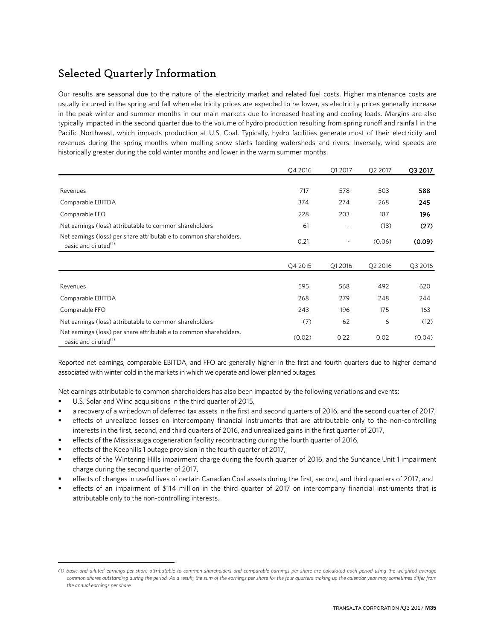# Selected Quarterly Information

Our results are seasonal due to the nature of the electricity market and related fuel costs. Higher maintenance costs are usually incurred in the spring and fall when electricity prices are expected to be lower, as electricity prices generally increase in the peak winter and summer months in our main markets due to increased heating and cooling loads. Margins are also typically impacted in the second quarter due to the volume of hydro production resulting from spring runoff and rainfall in the Pacific Northwest, which impacts production at U.S. Coal. Typically, hydro facilities generate most of their electricity and revenues during the spring months when melting snow starts feeding watersheds and rivers. Inversely, wind speeds are historically greater during the cold winter months and lower in the warm summer months.

|                                                                                                        | Q4 2016 | Q1 2017 | Q2 2017 | Q3 2017 |
|--------------------------------------------------------------------------------------------------------|---------|---------|---------|---------|
|                                                                                                        |         |         |         |         |
| Revenues                                                                                               | 717     | 578     | 503     | 588     |
| Comparable EBITDA                                                                                      | 374     | 274     | 268     | 245     |
| Comparable FFO                                                                                         | 228     | 203     | 187     | 196     |
| Net earnings (loss) attributable to common shareholders                                                | 61      |         | (18)    | (27)    |
| Net earnings (loss) per share attributable to common shareholders,<br>basic and diluted <sup>(1)</sup> | 0.21    | ۰       | (0.06)  | (0.09)  |
|                                                                                                        | Q4 2015 | Q1 2016 | Q2 2016 | Q3 2016 |
|                                                                                                        |         |         |         |         |
| Revenues                                                                                               | 595     | 568     | 492     | 620     |
| Comparable EBITDA                                                                                      | 268     | 279     | 248     | 244     |
| Comparable FFO                                                                                         | 243     | 196     | 175     | 163     |
| Net earnings (loss) attributable to common shareholders                                                | (7)     | 62      | 6       | (12)    |
| Net earnings (loss) per share attributable to common shareholders,<br>basic and diluted <sup>(1)</sup> | (0.02)  | 0.22    | 0.02    | (0.04)  |

Reported net earnings, comparable EBITDA, and FFO are generally higher in the first and fourth quarters due to higher demand associated with winter cold in the markets in which we operate and lower planned outages.

Net earnings attributable to common shareholders has also been impacted by the following variations and events:

U.S. Solar and Wind acquisitions in the third quarter of 2015,

 $\overline{a}$ 

- a recovery of a writedown of deferred tax assets in the first and second quarters of 2016, and the second quarter of 2017,
- effects of unrealized losses on intercompany financial instruments that are attributable only to the non-controlling interests in the first, second, and third quarters of 2016, and unrealized gains in the first quarter of 2017,
- effects of the Mississauga cogeneration facility recontracting during the fourth quarter of 2016,
- effects of the Keephills 1 outage provision in the fourth quarter of 2017,
- effects of the Wintering Hills impairment charge during the fourth quarter of 2016, and the Sundance Unit 1 impairment charge during the second quarter of 2017,
- effects of changes in useful lives of certain Canadian Coal assets during the first, second, and third quarters of 2017, and
- effects of an impairment of \$114 million in the third quarter of 2017 on intercompany financial instruments that is attributable only to the non-controlling interests.

<span id="page-34-0"></span>*<sup>(1)</sup> Basic and diluted earnings per share attributable to common shareholders and comparable earnings per share are calculated each period using the weighted average common shares outstanding during the period. As a result, the sum of the earnings per share for the four quarters making up the calendar year may sometimes differ from the annual earnings per share.*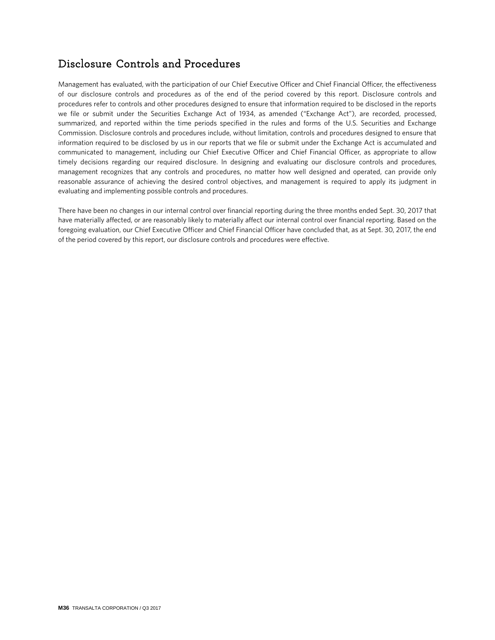# Disclosure Controls and Procedures

Management has evaluated, with the participation of our Chief Executive Officer and Chief Financial Officer, the effectiveness of our disclosure controls and procedures as of the end of the period covered by this report. Disclosure controls and procedures refer to controls and other procedures designed to ensure that information required to be disclosed in the reports we file or submit under the Securities Exchange Act of 1934, as amended ("Exchange Act"), are recorded, processed, summarized, and reported within the time periods specified in the rules and forms of the U.S. Securities and Exchange Commission. Disclosure controls and procedures include, without limitation, controls and procedures designed to ensure that information required to be disclosed by us in our reports that we file or submit under the Exchange Act is accumulated and communicated to management, including our Chief Executive Officer and Chief Financial Officer, as appropriate to allow timely decisions regarding our required disclosure. In designing and evaluating our disclosure controls and procedures, management recognizes that any controls and procedures, no matter how well designed and operated, can provide only reasonable assurance of achieving the desired control objectives, and management is required to apply its judgment in evaluating and implementing possible controls and procedures.

There have been no changes in our internal control over financial reporting during the three months ended Sept. 30, 2017 that have materially affected, or are reasonably likely to materially affect our internal control over financial reporting. Based on the foregoing evaluation, our Chief Executive Officer and Chief Financial Officer have concluded that, as at Sept. 30, 2017, the end of the period covered by this report, our disclosure controls and procedures were effective.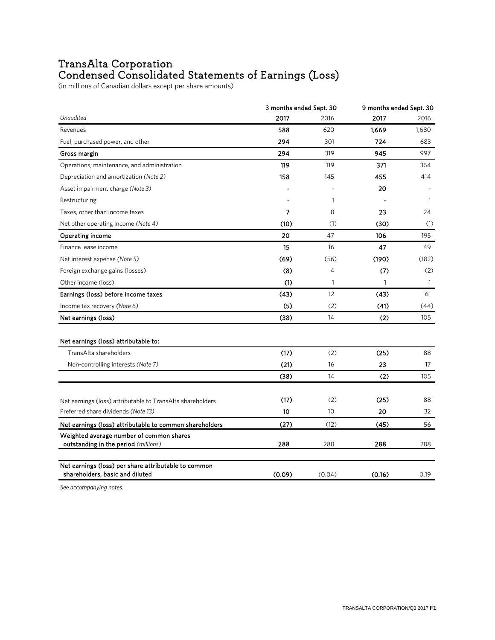# TransAlta Corporation<br>Condensed Consolidated Statements of Earnings (Loss)

(in millions of Canadian dollars except per share amounts)

|                                                                                                     | 3 months ended Sept. 30                                                                                                                                   |      | 9 months ended Sept. 30 |       |  |
|-----------------------------------------------------------------------------------------------------|-----------------------------------------------------------------------------------------------------------------------------------------------------------|------|-------------------------|-------|--|
| Unaudited                                                                                           | 2017                                                                                                                                                      | 2016 | 2017                    | 2016  |  |
| Revenues                                                                                            | 588                                                                                                                                                       | 620  | 1,669                   | 1,680 |  |
| Fuel, purchased power, and other                                                                    | 294                                                                                                                                                       | 301  | 724                     | 683   |  |
| Gross margin                                                                                        | 294                                                                                                                                                       | 319  | 945                     | 997   |  |
| Operations, maintenance, and administration                                                         | 119                                                                                                                                                       | 119  | 371                     | 364   |  |
| Depreciation and amortization (Note 2)                                                              | 158                                                                                                                                                       | 145  | 455                     | 414   |  |
| Asset impairment charge (Note 3)                                                                    |                                                                                                                                                           |      | 20                      |       |  |
| Restructuring                                                                                       |                                                                                                                                                           | 1    |                         | 1     |  |
| Taxes, other than income taxes                                                                      | 7                                                                                                                                                         | 8    | 23                      | 24    |  |
| Net other operating income (Note 4)                                                                 | (10)                                                                                                                                                      | (1)  | (30)                    | (1)   |  |
| <b>Operating income</b>                                                                             | 20                                                                                                                                                        | 47   | 106                     | 195   |  |
| Finance lease income                                                                                | 15                                                                                                                                                        | 16   | 47                      | 49    |  |
| Net interest expense (Note 5)                                                                       | (69)                                                                                                                                                      | (56) | (190)                   | (182) |  |
| Foreign exchange gains (losses)                                                                     | (8)                                                                                                                                                       | 4    | (7)                     | (2)   |  |
| Other income (loss)                                                                                 | (1)                                                                                                                                                       | 1    | 1                       | 1     |  |
| Earnings (loss) before income taxes                                                                 | (43)                                                                                                                                                      | 12   | (43)                    | 61    |  |
| Income tax recovery (Note 6)                                                                        | (5)                                                                                                                                                       | (2)  | (41)                    | (44)  |  |
| Net earnings (loss)                                                                                 | (38)                                                                                                                                                      | 14   | (2)                     | 105   |  |
| Net earnings (loss) attributable to:                                                                |                                                                                                                                                           |      |                         |       |  |
| TransAlta shareholders                                                                              | (17)                                                                                                                                                      | (2)  | (25)                    | 88    |  |
| Non-controlling interests (Note 7)                                                                  | (21)<br>23<br>16<br>14<br>(38)<br>(2)<br>(17)<br>(2)<br>(25)<br>20<br>10<br>10<br>(27)<br>(12)<br>(45)<br>288<br>288<br>288<br>(0.09)<br>(0.04)<br>(0.16) | 17   |                         |       |  |
|                                                                                                     |                                                                                                                                                           |      |                         | 105   |  |
| Net earnings (loss) attributable to TransAlta shareholders                                          |                                                                                                                                                           |      |                         | 88    |  |
| Preferred share dividends (Note 13)                                                                 |                                                                                                                                                           |      |                         | 32    |  |
|                                                                                                     |                                                                                                                                                           |      |                         | 56    |  |
| Net earnings (loss) attributable to common shareholders<br>Weighted average number of common shares |                                                                                                                                                           |      |                         |       |  |
| outstanding in the period (millions)                                                                |                                                                                                                                                           |      |                         | 288   |  |
| Net earnings (loss) per share attributable to common<br>shareholders, basic and diluted             |                                                                                                                                                           |      |                         | 0.19  |  |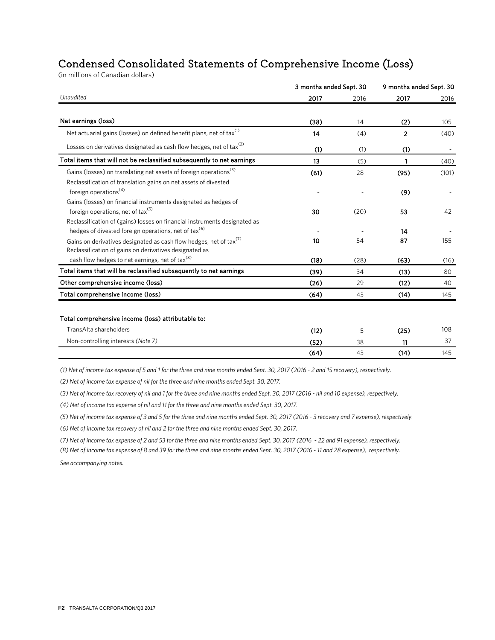# Condensed Consolidated Statements of Comprehensive Income (Loss)

(in millions of Canadian dollars)

|                                                                                                                                          | 3 months ended Sept. 30 |      | 9 months ended Sept. 30 |                          |
|------------------------------------------------------------------------------------------------------------------------------------------|-------------------------|------|-------------------------|--------------------------|
| Unaudited                                                                                                                                | 2017                    | 2016 | 2017                    | 2016                     |
| Net earnings (loss)                                                                                                                      | (38)                    | 14   | (2)                     | 105                      |
| Net actuarial gains (losses) on defined benefit plans, net of tax(1)                                                                     | 14                      | (4)  | $\overline{2}$          | (40)                     |
| Losses on derivatives designated as cash flow hedges, net of tax <sup>(2)</sup>                                                          | (1)                     | (1)  | (1)                     | $\overline{\phantom{a}}$ |
| Total items that will not be reclassified subsequently to net earnings                                                                   | 13                      | (5)  | 1                       | (40)                     |
| Gains (losses) on translating net assets of foreign operations <sup>(3)</sup>                                                            | (61)                    | 28   | (95)                    | (101)                    |
| Reclassification of translation gains on net assets of divested<br>foreign operations <sup>(4)</sup>                                     |                         |      | (9)                     |                          |
| Gains (losses) on financial instruments designated as hedges of                                                                          |                         |      |                         |                          |
| foreign operations, net of tax $(5)$                                                                                                     | 30                      | (20) | 53                      | 42                       |
| Reclassification of (gains) losses on financial instruments designated as                                                                |                         |      |                         |                          |
| hedges of divested foreign operations, net of tax <sup>(6)</sup>                                                                         |                         |      | 14                      |                          |
| Gains on derivatives designated as cash flow hedges, net of tax <sup>(7)</sup><br>Reclassification of gains on derivatives designated as | 10                      | 54   | 87                      | 155                      |
| cash flow hedges to net earnings, net of tax <sup>(8)</sup>                                                                              | (18)                    | (28) | (63)                    | (16)                     |
| Total items that will be reclassified subsequently to net earnings                                                                       | (39)                    | 34   | (13)                    | 80                       |
| Other comprehensive income (loss)                                                                                                        | (26)                    | 29   | (12)                    | 40                       |
| Total comprehensive income (loss)                                                                                                        | (64)                    | 43   | (14)                    | 145                      |
|                                                                                                                                          |                         |      |                         |                          |
| Total comprehensive income (loss) attributable to:                                                                                       |                         |      |                         |                          |
| TransAlta shareholders                                                                                                                   | (12)                    | 5    | (25)                    | 108                      |
| Non-controlling interests (Note 7)                                                                                                       | (52)                    | 38   | 11                      | 37                       |
|                                                                                                                                          | (64)                    | 43   | (14)                    | 145                      |

*(1) Net of income tax expense of 5 and 1 for the three and nine months ended Sept. 30, 2017 (2016 - 2 and 15 recovery), respectively.*

*(2) Net of income tax expense of nil for the three and nine months ended Sept. 30, 2017.*

*(3) Net of income tax recovery of nil and 1 for the three and nine months ended Sept. 30, 2017 (2016 - nil and 10 expense), respectively.*

*(4) Net of income tax expense of nil and 11 for the three and nine months ended Sept. 30, 2017.*

*(5) Net of income tax expense of 3 and 5 for the three and nine months ended Sept. 30, 2017 (2016 - 3 recovery and 7 expense), respectively.*

*(6) Net of income tax recovery of nil and 2 for the three and nine months ended Sept. 30, 2017.*

*(7) Net of income tax expense of 2 and 53 for the three and nine months ended Sept. 30, 2017 (2016 - 22 and 91 expense), respectively.*

*(8) Net of income tax expense of 8 and 39 for the three and nine months ended Sept. 30, 2017 (2016 - 11 and 28 expense), respectively. See accompanying notes.*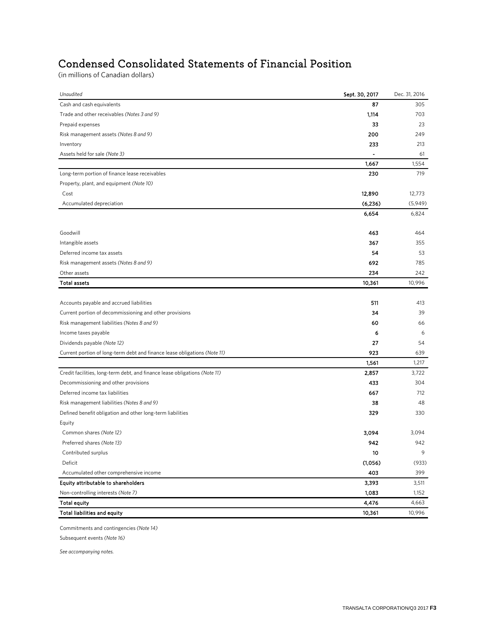# Condensed Consolidated Statements of Financial Position

(in millions of Canadian dollars)

| Unaudited                                                                  | Sept. 30, 2017 | Dec. 31, 2016 |
|----------------------------------------------------------------------------|----------------|---------------|
| Cash and cash equivalents                                                  | 87             | 305           |
| Trade and other receivables (Notes 3 and 9)                                | 1,114          | 703           |
| Prepaid expenses                                                           | 33             | 23            |
| Risk management assets (Notes 8 and 9)                                     | 200            | 249           |
| Inventory                                                                  | 233            | 213           |
| Assets held for sale (Note 3)                                              | ۰              | 61            |
|                                                                            | 1,667          | 1,554         |
| Long-term portion of finance lease receivables                             | 230            | 719           |
| Property, plant, and equipment (Note 10)                                   |                |               |
| Cost                                                                       | 12,890         | 12,773        |
| Accumulated depreciation                                                   | (6, 236)       | (5,949)       |
|                                                                            | 6,654          | 6,824         |
| Goodwill                                                                   | 463            | 464           |
| Intangible assets                                                          | 367            | 355           |
| Deferred income tax assets                                                 | 54             | 53            |
| Risk management assets (Notes 8 and 9)                                     | 692            | 785           |
| Other assets                                                               | 234            | 242           |
| <b>Total assets</b>                                                        | 10,361         | 10,996        |
|                                                                            |                |               |
| Accounts payable and accrued liabilities                                   | 511            | 413           |
| Current portion of decommissioning and other provisions                    | 34             | 39            |
| Risk management liabilities (Notes 8 and 9)                                | 60             | 66            |
| Income taxes payable                                                       | 6              | 6             |
| Dividends payable (Note 12)                                                | 27             | 54            |
| Current portion of long-term debt and finance lease obligations (Note 11)  | 923            | 639           |
|                                                                            | 1,561          | 1,217         |
| Credit facilities, long-term debt, and finance lease obligations (Note 11) | 2,857          | 3,722         |
| Decommissioning and other provisions                                       | 433            | 304           |
| Deferred income tax liabilities                                            | 667            | 712           |
| Risk management liabilities (Notes 8 and 9)                                | 38             | 48            |
| Defined benefit obligation and other long-term liabilities                 | 329            | 330           |
| Equity                                                                     |                |               |
| Common shares (Note 12)                                                    | 3,094          | 3,094         |
| Preferred shares (Note 13)                                                 | 942            | 942           |
| Contributed surplus                                                        | 10             | 9             |
| Deficit                                                                    | (1,056)        | (933)         |
| Accumulated other comprehensive income                                     | 403            | 399           |
| Equity attributable to shareholders                                        | 3,393          | 3,511         |
| Non-controlling interests (Note 7)                                         | 1,083          | 1,152         |
| <b>Total equity</b>                                                        | 4,476          | 4,663         |
| Total liabilities and equity                                               | 10,361         | 10,996        |
|                                                                            |                |               |

Commitments and contingencies *(Note 14)*

Subsequent events *(Note 16)*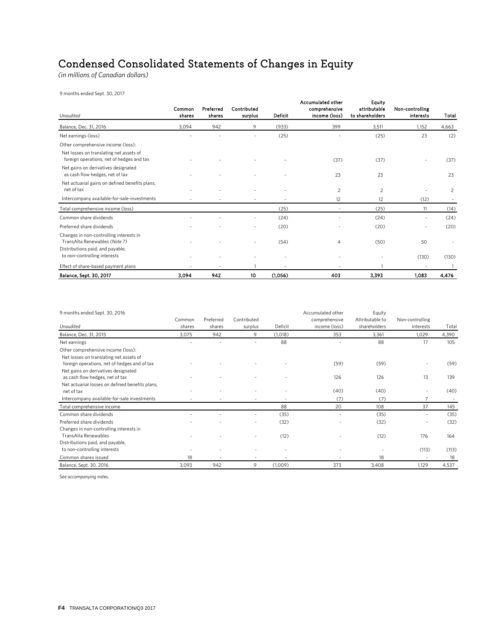# Condensed Consolidated Statements of Changes in Equity

*(in millions of Canadian dollars)*

9 months ended Sept. 30, 2017

| Unaudited                                                                                                    | Common<br>shares | Preferred<br>shares | Contributed<br>surplus | Deficit | Accumulated other<br>comprehensive<br>income (loss) | <b>Equity</b><br>attributable<br>to shareholders | Non-controlling<br><b>interests</b> | Total |
|--------------------------------------------------------------------------------------------------------------|------------------|---------------------|------------------------|---------|-----------------------------------------------------|--------------------------------------------------|-------------------------------------|-------|
| Balance, Dec. 31, 2016                                                                                       | 3,094            | 942                 | 9                      | (933)   | 399                                                 | 3,511                                            | 1,152                               | 4,663 |
| Net earnings (loss)                                                                                          |                  |                     |                        | (25)    |                                                     | (25)                                             | 23                                  | (2)   |
| Other comprehensive income (loss):                                                                           |                  |                     |                        |         |                                                     |                                                  |                                     |       |
| Net losses on translating net assets of<br>foreign operations, net of hedges and tax                         |                  |                     |                        |         | (37)                                                | (37)                                             |                                     | (37)  |
| Net gains on derivatives designated<br>as cash flow hedges, net of tax                                       |                  |                     |                        |         | 23                                                  | 23                                               |                                     | 23    |
| Net actuarial gains on defined benefits plans,<br>net of tax                                                 |                  |                     |                        |         | 2                                                   | 2                                                |                                     | 2     |
| Intercompany available-for-sale-investments                                                                  |                  |                     |                        |         | 12                                                  | 12                                               | (12)                                |       |
| Total comprehensive income (loss)                                                                            |                  |                     |                        | (25)    | ٠                                                   | (25)                                             | 11                                  | (14)  |
| Common share dividends                                                                                       |                  |                     |                        | (24)    |                                                     | (24)                                             |                                     | (24)  |
| Preferred share dividends                                                                                    |                  |                     | ٠                      | (20)    | $\overline{\phantom{a}}$                            | (20)                                             |                                     | (20)  |
| Changes in non-controlling interests in<br>TransAlta Renewables (Note 7)<br>Distributions paid, and payable, |                  |                     |                        | (54)    | 4                                                   | (50)                                             | 50                                  |       |
| to non-controlling interests                                                                                 |                  |                     |                        |         |                                                     |                                                  | (130)                               | (130) |
| Effect of share-based payment plans                                                                          |                  |                     |                        |         |                                                     |                                                  |                                     |       |
| Balance, Sept. 30, 2017                                                                                      | 3,094            | 942                 | 10                     | (1,056) | 403                                                 | 3,393                                            | 1,083                               | 4,476 |

| 9 months ended Sept. 30, 2016                   |        |           |                |         | Accumulated other | Equity          |                 |       |
|-------------------------------------------------|--------|-----------|----------------|---------|-------------------|-----------------|-----------------|-------|
|                                                 | Common | Preferred | Contributed    |         | comprehensive     | Attributable to | Non-controlling |       |
| Unaudited                                       | shares | shares    | surplus        | Deficit | income (loss)     | shareholders    | interests       | Total |
| Balance, Dec. 31, 2015                          | 3,075  | 942       | 9              | (1,018) | 353               | 3,361           | 1,029           | 4,390 |
| Net earnings                                    |        |           |                | 88      |                   | 88              | 17              | 105   |
| Other comprehensive income (loss):              |        |           |                |         |                   |                 |                 |       |
| Net losses on translating net assets of         |        |           |                |         |                   |                 |                 |       |
| foreign operations, net of hedges and of tax    |        |           |                |         | (59)              | (59)            |                 | (59)  |
| Net gains on derivatives designated             |        |           |                |         |                   |                 |                 |       |
| as cash flow hedges, net of tax                 |        |           |                |         | 126               | 126             | 13              | 139   |
| Net actuarial losses on defined benefits plans, |        |           |                |         |                   |                 |                 |       |
| net of tax                                      |        |           |                |         | (40)              | (40)            |                 | (40)  |
| Intercompany available-for-sale investments     |        |           |                |         | (7)               | (7)             |                 |       |
| Total comprehensive income                      |        |           |                | 88      | 20                | 108             | 37              | 145   |
| Common share dividends                          |        |           |                | (35)    |                   | (35)            |                 | (35)  |
| Preferred share dividends                       |        |           |                | (32)    |                   | (32)            |                 | (32)  |
| Changes in non-controlling interests in         |        |           |                |         |                   |                 |                 |       |
| <b>TransAlta Renewables</b>                     |        |           |                | (12)    |                   | (12)            | 176             | 164   |
| Distributions paid, and payable,                |        |           |                |         |                   |                 |                 |       |
| to non-controlling interests                    |        |           |                |         |                   |                 | (113)           | (113) |
| Common shares issued                            | 18     |           | $\overline{a}$ |         |                   | 18              |                 | 18    |
| Balance, Sept. 30, 2016                         | 3.093  | 942       | 9              | (1,009) | 373               | 3,408           | 1.129           | 4,537 |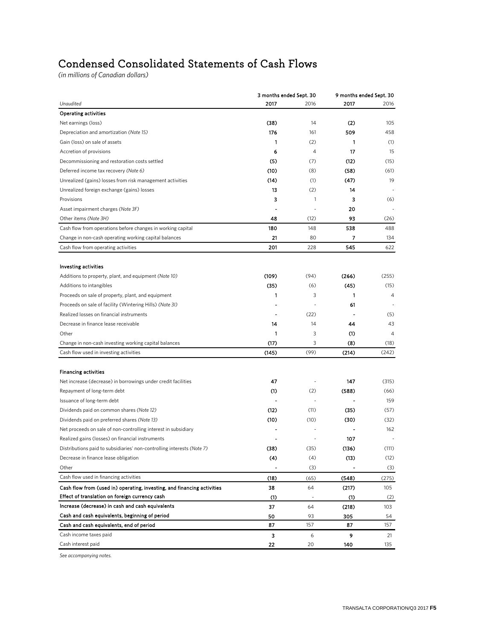# Condensed Consolidated Statements of Cash Flows

*(in millions of Canadian dollars)*

|                                                                         | 3 months ended Sept. 30 |                          | 9 months ended Sept. 30 |                |  |
|-------------------------------------------------------------------------|-------------------------|--------------------------|-------------------------|----------------|--|
| Unaudited                                                               | 2017                    | 2016                     | 2017                    | 2016           |  |
| <b>Operating activities</b>                                             |                         |                          |                         |                |  |
| Net earnings (loss)                                                     | (38)                    | 14                       | (2)                     | 105            |  |
| Depreciation and amortization (Note 15)                                 | 176                     | 161                      | 509                     | 458            |  |
| Gain (loss) on sale of assets                                           | 1                       | (2)                      | 1                       | (1)            |  |
| Accretion of provisions                                                 | 6                       | 4                        | 17                      | 15             |  |
| Decommissioning and restoration costs settled                           | (5)                     | (7)                      | (12)                    | (15)           |  |
| Deferred income tax recovery (Note 6)                                   | (10)                    | (8)                      | (58)                    | (61)           |  |
| Unrealized (gains) losses from risk management activities               | (14)                    | (1)                      | (47)                    | 19             |  |
| Unrealized foreign exchange (gains) losses                              | 13                      | (2)                      | 14                      |                |  |
| Provisions                                                              | з                       | 1                        | 3                       | (6)            |  |
| Asset impairment charges (Note 3F)                                      |                         |                          | 20                      |                |  |
| Other items (Note 3H)                                                   | 48                      | (12)                     | 93                      | (26)           |  |
| Cash flow from operations before changes in working capital             | 180                     | 148                      | 538                     | 488            |  |
| Change in non-cash operating working capital balances                   | 21                      | 80                       | 7                       | 134            |  |
| Cash flow from operating activities                                     | 201                     | 228                      | 545                     | 622            |  |
|                                                                         |                         |                          |                         |                |  |
| <b>Investing activities</b>                                             |                         |                          |                         |                |  |
| Additions to property, plant, and equipment (Note 10)                   | (109)                   | (94)                     | (266)                   | (255)          |  |
| Additions to intangibles                                                | (35)                    | (6)                      | (45)                    | (15)           |  |
| Proceeds on sale of property, plant, and equipment                      | 1                       | 3                        | 1                       | 4              |  |
| Proceeds on sale of facility (Wintering Hills) (Note 3I)                |                         |                          | 61                      |                |  |
| Realized losses on financial instruments                                |                         | (22)                     |                         | (5)            |  |
| Decrease in finance lease receivable                                    | 14                      | 14                       | 44                      | 43             |  |
| Other                                                                   | 1                       | 3                        | (1)                     | $\overline{4}$ |  |
| Change in non-cash investing working capital balances                   | (17)                    | 3                        | (8)                     | (18)           |  |
| Cash flow used in investing activities                                  | (145)                   | (99)                     | (214)                   | (242)          |  |
|                                                                         |                         |                          |                         |                |  |
| <b>Financing activities</b>                                             |                         |                          |                         |                |  |
| Net increase (decrease) in borrowings under credit facilities           | 47                      |                          | 147                     | (315)          |  |
| Repayment of long-term debt                                             | (1)                     | (2)                      | (588)                   | (66)           |  |
| Issuance of long-term debt                                              |                         |                          |                         | 159            |  |
| Dividends paid on common shares (Note 12)                               | (12)                    | (11)                     | (35)                    | (57)           |  |
| Dividends paid on preferred shares (Note 13)                            | (10)                    | (10)                     | (30)                    | (32)           |  |
| Net proceeds on sale of non-controlling interest in subsidiary          |                         |                          |                         | 162            |  |
| Realized gains (losses) on financial instruments                        |                         |                          | 107                     |                |  |
| Distributions paid to subsidiaries' non-controlling interests (Note 7)  | (38)                    | (35)                     | (136)                   | (111)          |  |
| Decrease in finance lease obligation                                    | (4)                     | (4)                      | (13)                    | (12)           |  |
| Other                                                                   |                         | (3)                      |                         | (3)            |  |
| Cash flow used in financing activities                                  | (18)                    | (65)                     | (548)                   | (275)          |  |
| Cash flow from (used in) operating, investing, and financing activities | 38                      | 64                       | (217)                   | 105            |  |
| Effect of translation on foreign currency cash                          | (1)                     | $\overline{\phantom{a}}$ | (1)                     | (2)            |  |
| Increase (decrease) in cash and cash equivalents                        | 37                      | 64                       | (218)                   | 103            |  |
| Cash and cash equivalents, beginning of period                          | 50                      | 93                       | 305                     | 54             |  |
| Cash and cash equivalents, end of period                                | 87                      | 157                      | 87                      | 157            |  |
| Cash income taxes paid                                                  | з                       | 6                        | 9                       | 21             |  |
| Cash interest paid                                                      | 22                      | 20                       | 140                     | 135            |  |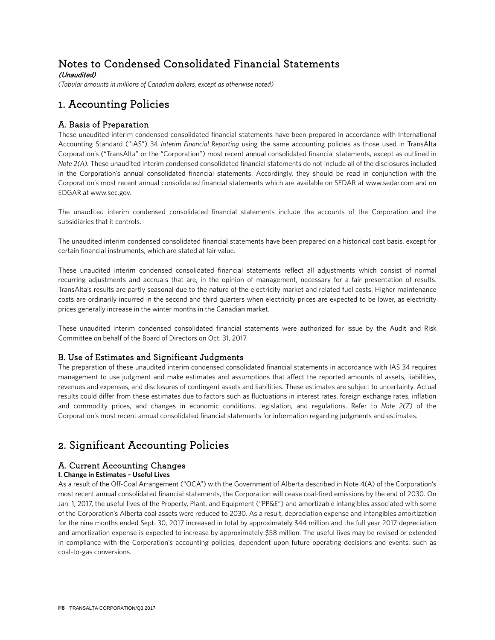# Notes to Condensed Consolidated Financial Statements (Unaudited)

*(Tabular amounts in millions of Canadian dollars, except as otherwise noted)*

# 1. Accounting Policies

# A. Basis of Preparation

These unaudited interim condensed consolidated financial statements have been prepared in accordance with International Accounting Standard ("IAS") 34 *Interim Financial Reporting* using the same accounting policies as those used in TransAlta Corporation's ("TransAlta" or the "Corporation") most recent annual consolidated financial statements, except as outlined in *Note 2(A).* These unaudited interim condensed consolidated financial statements do not include all of the disclosures included in the Corporation's annual consolidated financial statements. Accordingly, they should be read in conjunction with the Corporation's most recent annual consolidated financial statements which are available on SEDAR at www.sedar.com and on EDGAR at www.sec.gov.

The unaudited interim condensed consolidated financial statements include the accounts of the Corporation and the subsidiaries that it controls.

The unaudited interim condensed consolidated financial statements have been prepared on a historical cost basis, except for certain financial instruments, which are stated at fair value.

These unaudited interim condensed consolidated financial statements reflect all adjustments which consist of normal recurring adjustments and accruals that are, in the opinion of management, necessary for a fair presentation of results. TransAlta's results are partly seasonal due to the nature of the electricity market and related fuel costs. Higher maintenance costs are ordinarily incurred in the second and third quarters when electricity prices are expected to be lower, as electricity prices generally increase in the winter months in the Canadian market.

These unaudited interim condensed consolidated financial statements were authorized for issue by the Audit and Risk Committee on behalf of the Board of Directors on Oct. 31, 2017.

# B. Use of Estimates and Significant Judgments

The preparation of these unaudited interim condensed consolidated financial statements in accordance with IAS 34 requires management to use judgment and make estimates and assumptions that affect the reported amounts of assets, liabilities, revenues and expenses, and disclosures of contingent assets and liabilities. These estimates are subject to uncertainty. Actual results could differ from these estimates due to factors such as fluctuations in interest rates, foreign exchange rates, inflation and commodity prices, and changes in economic conditions, legislation, and regulations. Refer to *Note 2(Z)* of the Corporation's most recent annual consolidated financial statements for information regarding judgments and estimates.

# 2. Significant Accounting Policies

# A. Current Accounting Changes

### **I. Change in Estimates – Useful Lives**

As a result of the Off-Coal Arrangement ("OCA") with the Government of Alberta described in Note 4(A) of the Corporation's most recent annual consolidated financial statements, the Corporation will cease coal-fired emissions by the end of 2030. On Jan. 1, 2017, the useful lives of the Property, Plant, and Equipment ("PP&E") and amortizable intangibles associated with some of the Corporation's Alberta coal assets were reduced to 2030. As a result, depreciation expense and intangibles amortization for the nine months ended Sept. 30, 2017 increased in total by approximately \$44 million and the full year 2017 depreciation and amortization expense is expected to increase by approximately \$58 million. The useful lives may be revised or extended in compliance with the Corporation's accounting policies, dependent upon future operating decisions and events, such as coal-to-gas conversions.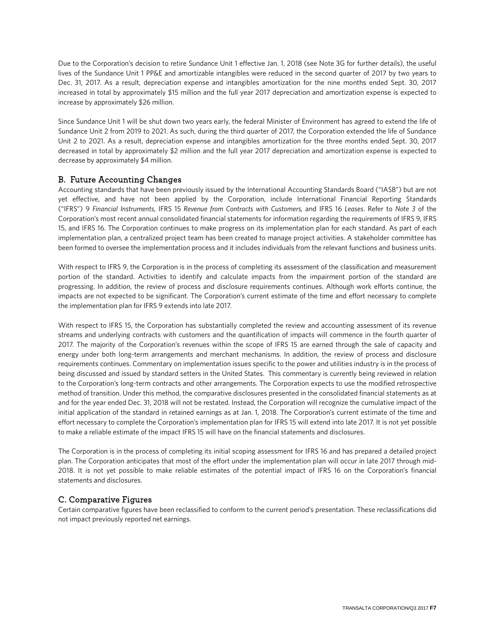Due to the Corporation's decision to retire Sundance Unit 1 effective Jan. 1, 2018 (see Note 3G for further details), the useful lives of the Sundance Unit 1 PP&E and amortizable intangibles were reduced in the second quarter of 2017 by two years to Dec. 31, 2017. As a result, depreciation expense and intangibles amortization for the nine months ended Sept. 30, 2017 increased in total by approximately \$15 million and the full year 2017 depreciation and amortization expense is expected to increase by approximately \$26 million.

Since Sundance Unit 1 will be shut down two years early, the federal Minister of Environment has agreed to extend the life of Sundance Unit 2 from 2019 to 2021. As such, during the third quarter of 2017, the Corporation extended the life of Sundance Unit 2 to 2021. As a result, depreciation expense and intangibles amortization for the three months ended Sept. 30, 2017 decreased in total by approximately \$2 million and the full year 2017 depreciation and amortization expense is expected to decrease by approximately \$4 million.

# B. Future Accounting Changes

Accounting standards that have been previously issued by the International Accounting Standards Board ("IASB") but are not yet effective, and have not been applied by the Corporation, include International Financial Reporting Standards ("IFRS") 9 *Financial Instruments*, IFRS 15 *Revenue from Contracts with Customers,* and IFRS 16 *Leases*. Refer to *Note 3* of the Corporation's most recent annual consolidated financial statements for information regarding the requirements of IFRS 9, IFRS 15, and IFRS 16. The Corporation continues to make progress on its implementation plan for each standard. As part of each implementation plan, a centralized project team has been created to manage project activities. A stakeholder committee has been formed to oversee the implementation process and it includes individuals from the relevant functions and business units.

With respect to IFRS 9, the Corporation is in the process of completing its assessment of the classification and measurement portion of the standard. Activities to identify and calculate impacts from the impairment portion of the standard are progressing. In addition, the review of process and disclosure requirements continues. Although work efforts continue, the impacts are not expected to be significant. The Corporation's current estimate of the time and effort necessary to complete the implementation plan for IFRS 9 extends into late 2017.

With respect to IFRS 15, the Corporation has substantially completed the review and accounting assessment of its revenue streams and underlying contracts with customers and the quantification of impacts will commence in the fourth quarter of 2017. The majority of the Corporation's revenues within the scope of IFRS 15 are earned through the sale of capacity and energy under both long-term arrangements and merchant mechanisms. In addition, the review of process and disclosure requirements continues. Commentary on implementation issues specific to the power and utilities industry is in the process of being discussed and issued by standard setters in the United States. This commentary is currently being reviewed in relation to the Corporation's long-term contracts and other arrangements. The Corporation expects to use the modified retrospective method of transition. Under this method, the comparative disclosures presented in the consolidated financial statements as at and for the year ended Dec. 31, 2018 will not be restated. Instead, the Corporation will recognize the cumulative impact of the initial application of the standard in retained earnings as at Jan. 1, 2018. The Corporation's current estimate of the time and effort necessary to complete the Corporation's implementation plan for IFRS 15 will extend into late 2017. It is not yet possible to make a reliable estimate of the impact IFRS 15 will have on the financial statements and disclosures.

The Corporation is in the process of completing its initial scoping assessment for IFRS 16 and has prepared a detailed project plan. The Corporation anticipates that most of the effort under the implementation plan will occur in late 2017 through mid-2018. It is not yet possible to make reliable estimates of the potential impact of IFRS 16 on the Corporation's financial statements and disclosures.

# C. Comparative Figures

Certain comparative figures have been reclassified to conform to the current period's presentation. These reclassifications did not impact previously reported net earnings.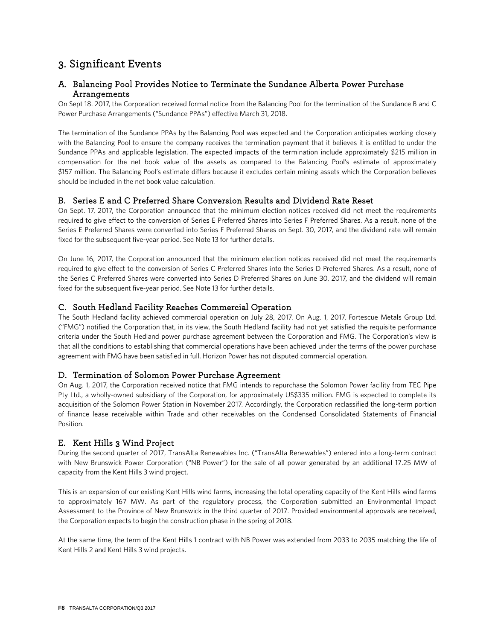# 3. Significant Events

# A. Balancing Pool Provides Notice to Terminate the Sundance Alberta Power Purchase Arrangements

On Sept 18. 2017, the Corporation received formal notice from the Balancing Pool for the termination of the Sundance B and C Power Purchase Arrangements ("Sundance PPAs") effective March 31, 2018.

The termination of the Sundance PPAs by the Balancing Pool was expected and the Corporation anticipates working closely with the Balancing Pool to ensure the company receives the termination payment that it believes it is entitled to under the Sundance PPAs and applicable legislation. The expected impacts of the termination include approximately \$215 million in compensation for the net book value of the assets as compared to the Balancing Pool's estimate of approximately \$157 million. The Balancing Pool's estimate differs because it excludes certain mining assets which the Corporation believes should be included in the net book value calculation.

# B. Series E and C Preferred Share Conversion Results and Dividend Rate Reset

On Sept. 17, 2017, the Corporation announced that the minimum election notices received did not meet the requirements required to give effect to the conversion of Series E Preferred Shares into Series F Preferred Shares. As a result, none of the Series E Preferred Shares were converted into Series F Preferred Shares on Sept. 30, 2017, and the dividend rate will remain fixed for the subsequent five-year period. See Note 13 for further details.

On June 16, 2017, the Corporation announced that the minimum election notices received did not meet the requirements required to give effect to the conversion of Series C Preferred Shares into the Series D Preferred Shares. As a result, none of the Series C Preferred Shares were converted into Series D Preferred Shares on June 30, 2017, and the dividend will remain fixed for the subsequent five-year period. See Note 13 for further details.

# C. South Hedland Facility Reaches Commercial Operation

The South Hedland facility achieved commercial operation on July 28, 2017. On Aug. 1, 2017, Fortescue Metals Group Ltd. ("FMG") notified the Corporation that, in its view, the South Hedland facility had not yet satisfied the requisite performance criteria under the South Hedland power purchase agreement between the Corporation and FMG. The Corporation's view is that all the conditions to establishing that commercial operations have been achieved under the terms of the power purchase agreement with FMG have been satisfied in full. Horizon Power has not disputed commercial operation.

# D. Termination of Solomon Power Purchase Agreement

On Aug. 1, 2017, the Corporation received notice that FMG intends to repurchase the Solomon Power facility from TEC Pipe Pty Ltd., a wholly-owned subsidiary of the Corporation, for approximately US\$335 million. FMG is expected to complete its acquisition of the Solomon Power Station in November 2017. Accordingly, the Corporation reclassified the long-term portion of finance lease receivable within Trade and other receivables on the Condensed Consolidated Statements of Financial Position.

# E. Kent Hills 3 Wind Project

During the second quarter of 2017, TransAlta Renewables Inc. ("TransAlta Renewables") entered into a long-term contract with New Brunswick Power Corporation ("NB Power") for the sale of all power generated by an additional 17.25 MW of capacity from the Kent Hills 3 wind project.

This is an expansion of our existing Kent Hills wind farms, increasing the total operating capacity of the Kent Hills wind farms to approximately 167 MW. As part of the regulatory process, the Corporation submitted an Environmental Impact Assessment to the Province of New Brunswick in the third quarter of 2017. Provided environmental approvals are received, the Corporation expects to begin the construction phase in the spring of 2018.

At the same time, the term of the Kent Hills 1 contract with NB Power was extended from 2033 to 2035 matching the life of Kent Hills 2 and Kent Hills 3 wind projects.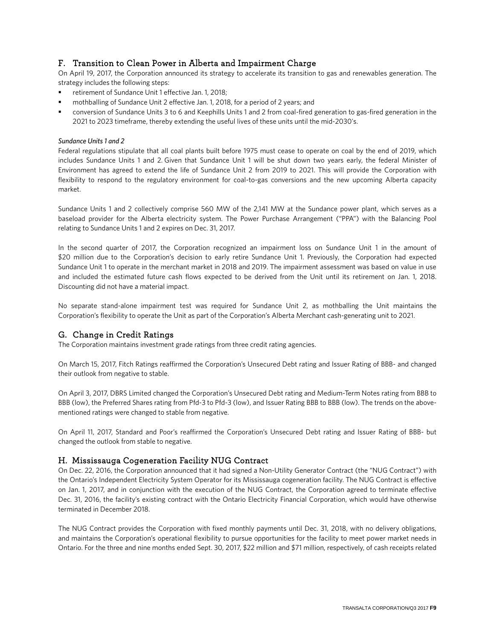# F. Transition to Clean Power in Alberta and Impairment Charge

On April 19, 2017, the Corporation announced its strategy to accelerate its transition to gas and renewables generation. The strategy includes the following steps:

- retirement of Sundance Unit 1 effective Jan. 1, 2018;
- mothballing of Sundance Unit 2 effective Jan. 1, 2018, for a period of 2 years; and
- conversion of Sundance Units 3 to 6 and Keephills Units 1 and 2 from coal-fired generation to gas-fired generation in the 2021 to 2023 timeframe, thereby extending the useful lives of these units until the mid-2030's.

#### *Sundance Units 1 and 2*

Federal regulations stipulate that all coal plants built before 1975 must cease to operate on coal by the end of 2019, which includes Sundance Units 1 and 2. Given that Sundance Unit 1 will be shut down two years early, the federal Minister of Environment has agreed to extend the life of Sundance Unit 2 from 2019 to 2021. This will provide the Corporation with flexibility to respond to the regulatory environment for coal-to-gas conversions and the new upcoming Alberta capacity market.

Sundance Units 1 and 2 collectively comprise 560 MW of the 2,141 MW at the Sundance power plant, which serves as a baseload provider for the Alberta electricity system. The Power Purchase Arrangement ("PPA") with the Balancing Pool relating to Sundance Units 1 and 2 expires on Dec. 31, 2017.

In the second quarter of 2017, the Corporation recognized an impairment loss on Sundance Unit 1 in the amount of \$20 million due to the Corporation's decision to early retire Sundance Unit 1. Previously, the Corporation had expected Sundance Unit 1 to operate in the merchant market in 2018 and 2019. The impairment assessment was based on value in use and included the estimated future cash flows expected to be derived from the Unit until its retirement on Jan. 1, 2018. Discounting did not have a material impact.

No separate stand-alone impairment test was required for Sundance Unit 2, as mothballing the Unit maintains the Corporation's flexibility to operate the Unit as part of the Corporation's Alberta Merchant cash-generating unit to 2021.

# G. Change in Credit Ratings

The Corporation maintains investment grade ratings from three credit rating agencies.

On March 15, 2017, Fitch Ratings reaffirmed the Corporation's Unsecured Debt rating and Issuer Rating of BBB- and changed their outlook from negative to stable.

On April 3, 2017, DBRS Limited changed the Corporation's Unsecured Debt rating and Medium-Term Notes rating from BBB to BBB (low), the Preferred Shares rating from Pfd-3 to Pfd-3 (low), and Issuer Rating BBB to BBB (low). The trends on the abovementioned ratings were changed to stable from negative.

On April 11, 2017, Standard and Poor's reaffirmed the Corporation's Unsecured Debt rating and Issuer Rating of BBB- but changed the outlook from stable to negative.

# H. Mississauga Cogeneration Facility NUG Contract

On Dec. 22, 2016, the Corporation announced that it had signed a Non-Utility Generator Contract (the "NUG Contract") with the Ontario's Independent Electricity System Operator for its Mississauga cogeneration facility. The NUG Contract is effective on Jan. 1, 2017, and in conjunction with the execution of the NUG Contract, the Corporation agreed to terminate effective Dec. 31, 2016, the facility's existing contract with the Ontario Electricity Financial Corporation, which would have otherwise terminated in December 2018.

The NUG Contract provides the Corporation with fixed monthly payments until Dec. 31, 2018, with no delivery obligations, and maintains the Corporation's operational flexibility to pursue opportunities for the facility to meet power market needs in Ontario. For the three and nine months ended Sept. 30, 2017, \$22 million and \$71 million, respectively, of cash receipts related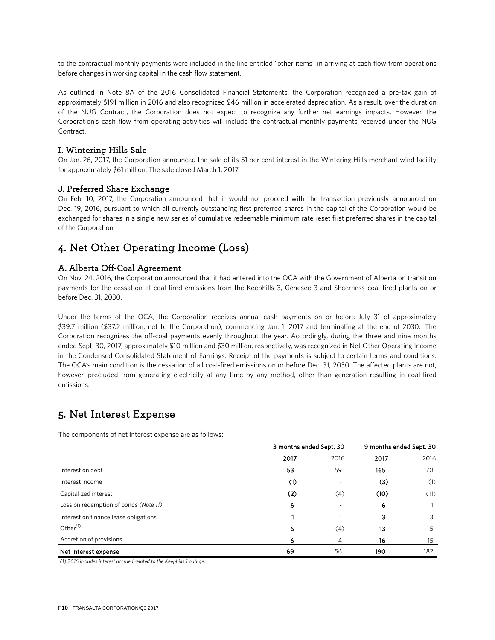to the contractual monthly payments were included in the line entitled "other items" in arriving at cash flow from operations before changes in working capital in the cash flow statement.

As outlined in Note 8A of the 2016 Consolidated Financial Statements, the Corporation recognized a pre-tax gain of approximately \$191 million in 2016 and also recognized \$46 million in accelerated depreciation. As a result, over the duration of the NUG Contract, the Corporation does not expect to recognize any further net earnings impacts. However, the Corporation's cash flow from operating activities will include the contractual monthly payments received under the NUG Contract.

### I. Wintering Hills Sale

On Jan. 26, 2017, the Corporation announced the sale of its 51 per cent interest in the Wintering Hills merchant wind facility for approximately \$61 million. The sale closed March 1, 2017.

### J. Preferred Share Exchange

On Feb. 10, 2017, the Corporation announced that it would not proceed with the transaction previously announced on Dec. 19, 2016, pursuant to which all currently outstanding first preferred shares in the capital of the Corporation would be exchanged for shares in a single new series of cumulative redeemable minimum rate reset first preferred shares in the capital of the Corporation.

# 4. Net Other Operating Income (Loss)

### A. Alberta Off-Coal Agreement

On Nov. 24, 2016, the Corporation announced that it had entered into the OCA with the Government of Alberta on transition payments for the cessation of coal-fired emissions from the Keephills 3, Genesee 3 and Sheerness coal-fired plants on or before Dec. 31, 2030.

Under the terms of the OCA, the Corporation receives annual cash payments on or before July 31 of approximately \$39.7 million (\$37.2 million, net to the Corporation), commencing Jan. 1, 2017 and terminating at the end of 2030. The Corporation recognizes the off-coal payments evenly throughout the year. Accordingly, during the three and nine months ended Sept. 30, 2017, approximately \$10 million and \$30 million, respectively, was recognized in Net Other Operating Income in the Condensed Consolidated Statement of Earnings. Receipt of the payments is subject to certain terms and conditions. The OCA's main condition is the cessation of all coal-fired emissions on or before Dec. 31, 2030. The affected plants are not, however, precluded from generating electricity at any time by any method, other than generation resulting in coal-fired emissions.

# 5. Net Interest Expense

The components of net interest expense are as follows:

|                                       | 3 months ended Sept. 30 |      | 9 months ended Sept. 30 |      |
|---------------------------------------|-------------------------|------|-------------------------|------|
|                                       | 2017                    | 2016 | 2017                    | 2016 |
| Interest on debt                      | 53                      | 59   | 165                     | 170  |
| Interest income                       | (1)                     |      | (3)                     | (1)  |
| Capitalized interest                  | (2)                     | (4)  | (10)                    | (11) |
| Loss on redemption of bonds (Note 11) | 6                       |      | 6                       |      |
| Interest on finance lease obligations |                         |      | 3                       | 3    |
| Other $(1)$                           | 6                       | (4)  | 13                      | 5    |
| Accretion of provisions               | 6                       | 4    | 16                      | 15   |
| Net interest expense                  | 69                      | 56   | 190                     | 182  |

*(1) 2016 includes interest accrued related to the Keephills 1 outage.*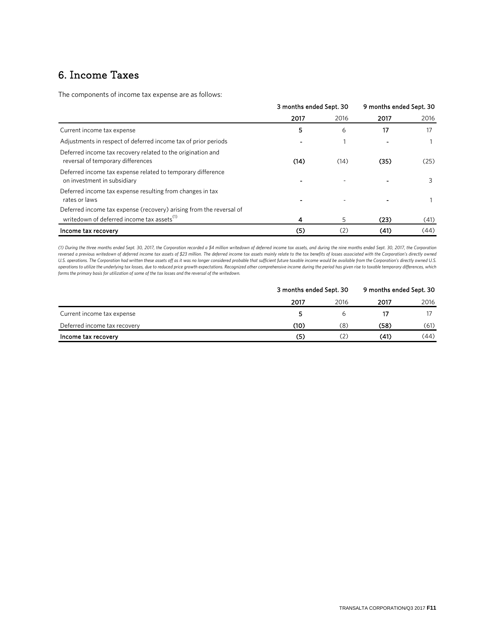# 6. Income Taxes

The components of income tax expense are as follows:

|                                                                                                                               | 3 months ended Sept. 30 |      | 9 months ended Sept. 30 |      |
|-------------------------------------------------------------------------------------------------------------------------------|-------------------------|------|-------------------------|------|
|                                                                                                                               | 2017                    | 2016 | 2017                    | 2016 |
| Current income tax expense                                                                                                    | 5                       | 6    | 17                      | 17   |
| Adjustments in respect of deferred income tax of prior periods                                                                |                         |      |                         |      |
| Deferred income tax recovery related to the origination and<br>reversal of temporary differences                              | (14)                    | (14) | (35)                    | (25) |
| Deferred income tax expense related to temporary difference<br>on investment in subsidiary                                    |                         |      |                         | 3    |
| Deferred income tax expense resulting from changes in tax<br>rates or laws                                                    |                         |      |                         |      |
| Deferred income tax expense (recovery) arising from the reversal of<br>writedown of deferred income tax assets <sup>(1)</sup> |                         | 5    | (23)                    | (41) |
| Income tax recovery                                                                                                           | (5)                     | (2)  | (41)                    | (44) |

*(1) During the three months ended Sept. 30, 2017, the Corporation recorded a \$4 million writedown of deferred income tax assets, and during the nine months ended Sept. 30, 2017, the Corporation reversed a previous writedown of deferred income tax assets of \$23 million. The deferred income tax assets mainly relate to the tax benefits of losses associated with the Corporation's directly owned*  U.S. operations. The Corporation had written these assets off as it was no longer considered probable that sufficient future taxable income would be available from the Corporation's directly owned U.S. *operations to utilize the underlying tax losses, due to reduced price growth expectations. Recognized other comprehensive income during the period has given rise to taxable temporary differences, which forms the primary basis for utilization of some of the tax losses and the reversal of the writedown.*

|                              | 3 months ended Sept. 30 | 9 months ended Sept. 30 |      |      |
|------------------------------|-------------------------|-------------------------|------|------|
|                              | 2017                    | 2016                    | 2017 | 2016 |
| Current income tax expense   | 5.                      | ь                       |      |      |
| Deferred income tax recovery | (10)                    | (8)                     | (58) | (61) |
| Income tax recovery          | (5)                     | (2)                     | (41) | (44) |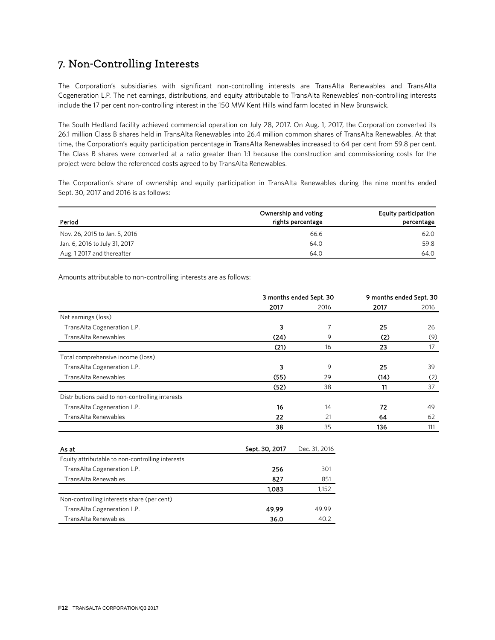# 7. Non-Controlling Interests

The Corporation's subsidiaries with significant non-controlling interests are TransAlta Renewables and TransAlta Cogeneration L.P. The net earnings, distributions, and equity attributable to TransAlta Renewables' non-controlling interests include the 17 per cent non-controlling interest in the 150 MW Kent Hills wind farm located in New Brunswick.

The South Hedland facility achieved commercial operation on July 28, 2017. On Aug. 1, 2017, the Corporation converted its 26.1 million Class B shares held in TransAlta Renewables into 26.4 million common shares of TransAlta Renewables. At that time, the Corporation's equity participation percentage in TransAlta Renewables increased to 64 per cent from 59.8 per cent. The Class B shares were converted at a ratio greater than 1:1 because the construction and commissioning costs for the project were below the referenced costs agreed to by TransAlta Renewables.

The Corporation's share of ownership and equity participation in TransAlta Renewables during the nine months ended Sept. 30, 2017 and 2016 is as follows:

| Period                        | Ownership and voting<br>rights percentage | <b>Equity participation</b><br>percentage |
|-------------------------------|-------------------------------------------|-------------------------------------------|
| Nov. 26, 2015 to Jan. 5, 2016 | 66.6                                      | 62.0                                      |
| Jan. 6, 2016 to July 31, 2017 | 64.0                                      | 59.8                                      |
| Aug. 12017 and thereafter     | 64.0                                      | 64.0                                      |

Amounts attributable to non-controlling interests are as follows:

|                                                 | 3 months ended Sept. 30 |      | 9 months ended Sept. 30 |      |
|-------------------------------------------------|-------------------------|------|-------------------------|------|
|                                                 | 2017                    | 2016 | 2017                    | 2016 |
| Net earnings (loss)                             |                         |      |                         |      |
| TransAlta Cogeneration L.P.                     | 3                       | 7    | 25                      | 26   |
| TransAlta Renewables                            | (24)                    | 9    | (2)                     | (9)  |
|                                                 | (21)                    | 16   | 23                      | 17   |
| Total comprehensive income (loss)               |                         |      |                         |      |
| TransAlta Cogeneration L.P.                     | 3                       | 9    | 25                      | 39   |
| TransAlta Renewables                            | (55)                    | 29   | (14)                    | (2)  |
|                                                 | (52)                    | 38   | 11                      | 37   |
| Distributions paid to non-controlling interests |                         |      |                         |      |
| TransAlta Cogeneration L.P.                     | 16                      | 14   | 72                      | 49   |
| TransAlta Renewables                            | 22                      | 21   | 64                      | 62   |
|                                                 | 38                      | 35   | 136                     | 111  |
|                                                 |                         |      |                         |      |

| As at                                            | Sept. 30, 2017 | Dec. 31, 2016 |
|--------------------------------------------------|----------------|---------------|
| Equity attributable to non-controlling interests |                |               |
| Trans Alta Cogeneration L.P.                     | 256            | 301           |
| TransAlta Renewables                             | 827            | 851           |
|                                                  | 1.083          | 1,152         |
| Non-controlling interests share (per cent)       |                |               |
| TransAlta Cogeneration L.P.                      | 49.99          | 49.99         |
| TransAlta Renewables                             | 36.0           | 40.2          |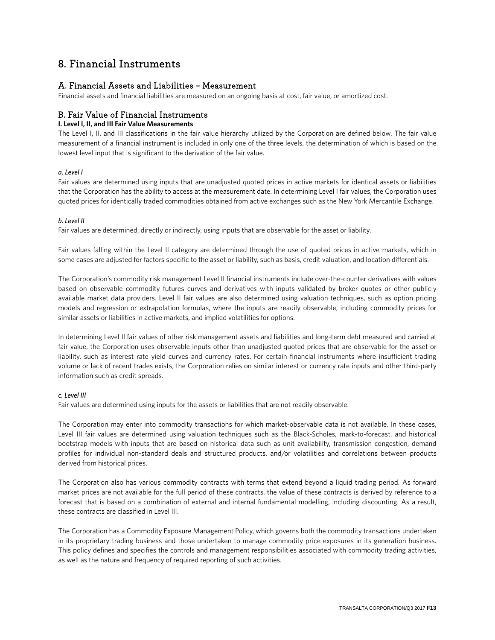# 8. Financial Instruments

# A. Financial Assets and Liabilities – Measurement

Financial assets and financial liabilities are measured on an ongoing basis at cost, fair value, or amortized cost.

# B. Fair Value of Financial Instruments

### **I. Level I, II, and III Fair Value Measurements**

The Level I, II, and III classifications in the fair value hierarchy utilized by the Corporation are defined below. The fair value measurement of a financial instrument is included in only one of the three levels, the determination of which is based on the lowest level input that is significant to the derivation of the fair value.

### *a. Level I*

Fair values are determined using inputs that are unadjusted quoted prices in active markets for identical assets or liabilities that the Corporation has the ability to access at the measurement date. In determining Level I fair values, the Corporation uses quoted prices for identically traded commodities obtained from active exchanges such as the New York Mercantile Exchange.

### *b. Level II*

Fair values are determined, directly or indirectly, using inputs that are observable for the asset or liability.

Fair values falling within the Level II category are determined through the use of quoted prices in active markets, which in some cases are adjusted for factors specific to the asset or liability, such as basis, credit valuation, and location differentials.

The Corporation's commodity risk management Level II financial instruments include over-the-counter derivatives with values based on observable commodity futures curves and derivatives with inputs validated by broker quotes or other publicly available market data providers. Level II fair values are also determined using valuation techniques, such as option pricing models and regression or extrapolation formulas, where the inputs are readily observable, including commodity prices for similar assets or liabilities in active markets, and implied volatilities for options.

In determining Level II fair values of other risk management assets and liabilities and long-term debt measured and carried at fair value, the Corporation uses observable inputs other than unadjusted quoted prices that are observable for the asset or liability, such as interest rate yield curves and currency rates. For certain financial instruments where insufficient trading volume or lack of recent trades exists, the Corporation relies on similar interest or currency rate inputs and other third-party information such as credit spreads.

#### *c. Level III*

Fair values are determined using inputs for the assets or liabilities that are not readily observable.

The Corporation may enter into commodity transactions for which market-observable data is not available. In these cases, Level III fair values are determined using valuation techniques such as the Black-Scholes, mark-to-forecast, and historical bootstrap models with inputs that are based on historical data such as unit availability, transmission congestion, demand profiles for individual non-standard deals and structured products, and/or volatilities and correlations between products derived from historical prices.

The Corporation also has various commodity contracts with terms that extend beyond a liquid trading period. As forward market prices are not available for the full period of these contracts, the value of these contracts is derived by reference to a forecast that is based on a combination of external and internal fundamental modelling, including discounting. As a result, these contracts are classified in Level III.

The Corporation has a Commodity Exposure Management Policy, which governs both the commodity transactions undertaken in its proprietary trading business and those undertaken to manage commodity price exposures in its generation business. This policy defines and specifies the controls and management responsibilities associated with commodity trading activities, as well as the nature and frequency of required reporting of such activities.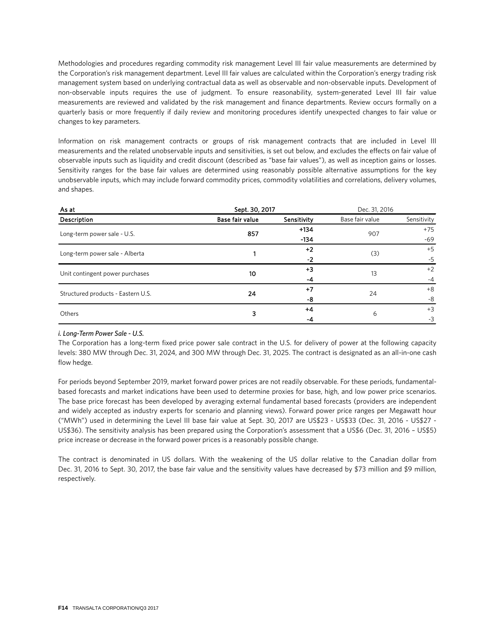Methodologies and procedures regarding commodity risk management Level III fair value measurements are determined by the Corporation's risk management department. Level III fair values are calculated within the Corporation's energy trading risk management system based on underlying contractual data as well as observable and non-observable inputs. Development of non-observable inputs requires the use of judgment. To ensure reasonability, system-generated Level III fair value measurements are reviewed and validated by the risk management and finance departments. Review occurs formally on a quarterly basis or more frequently if daily review and monitoring procedures identify unexpected changes to fair value or changes to key parameters.

Information on risk management contracts or groups of risk management contracts that are included in Level III measurements and the related unobservable inputs and sensitivities, is set out below, and excludes the effects on fair value of observable inputs such as liquidity and credit discount (described as "base fair values"), as well as inception gains or losses. Sensitivity ranges for the base fair values are determined using reasonably possible alternative assumptions for the key unobservable inputs, which may include forward commodity prices, commodity volatilities and correlations, delivery volumes, and shapes.

| As at                              | Sept. 30, 2017  |             | Dec. 31, 2016   |             |      |
|------------------------------------|-----------------|-------------|-----------------|-------------|------|
| Description                        | Base fair value | Sensitivity | Base fair value | Sensitivity |      |
| Long-term power sale - U.S.        | 857             |             | 907             | $+75$       |      |
|                                    | $-134$          |             | $-69$           |             |      |
| Long-term power sale - Alberta     |                 | $+2$        | (3)             | $+5$        |      |
|                                    |                 | $-2$        |                 | $-5$        |      |
| Unit contingent power purchases    |                 | 10          | $+3$            | 13          | $+2$ |
|                                    |                 | -4          |                 | $-4$        |      |
| Structured products - Eastern U.S. | 24              | $+7$        | 24              | $+8$        |      |
|                                    |                 | -8          |                 | -8          |      |
|                                    | 3               | $+4$        | 6               | $+3$        |      |
| Others                             |                 | -4          |                 | $-3$        |      |

#### *i. Long-Term Power Sale - U.S.*

The Corporation has a long-term fixed price power sale contract in the U.S. for delivery of power at the following capacity levels: 380 MW through Dec. 31, 2024, and 300 MW through Dec. 31, 2025. The contract is designated as an all-in-one cash flow hedge.

For periods beyond September 2019, market forward power prices are not readily observable. For these periods, fundamentalbased forecasts and market indications have been used to determine proxies for base, high, and low power price scenarios. The base price forecast has been developed by averaging external fundamental based forecasts (providers are independent and widely accepted as industry experts for scenario and planning views). Forward power price ranges per Megawatt hour ("MWh") used in determining the Level III base fair value at Sept. 30, 2017 are US\$23 - US\$33 (Dec. 31, 2016 - US\$27 - US\$36). The sensitivity analysis has been prepared using the Corporation's assessment that a US\$6 (Dec. 31, 2016 – US\$5) price increase or decrease in the forward power prices is a reasonably possible change.

The contract is denominated in US dollars. With the weakening of the US dollar relative to the Canadian dollar from Dec. 31, 2016 to Sept. 30, 2017, the base fair value and the sensitivity values have decreased by \$73 million and \$9 million, respectively.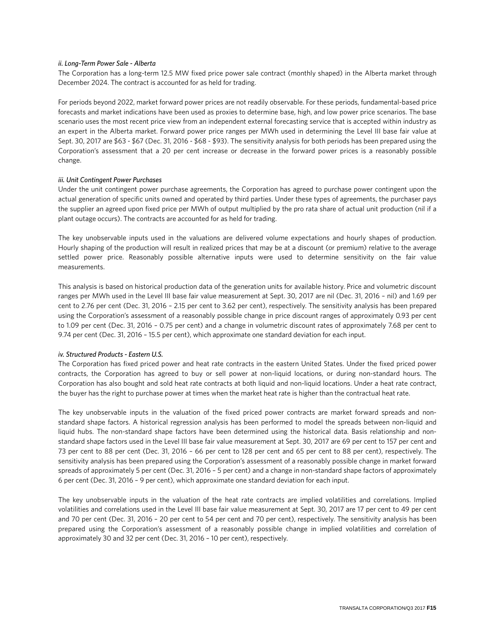#### *ii. Long-Term Power Sale - Alberta*

The Corporation has a long-term 12.5 MW fixed price power sale contract (monthly shaped) in the Alberta market through December 2024. The contract is accounted for as held for trading.

For periods beyond 2022, market forward power prices are not readily observable. For these periods, fundamental-based price forecasts and market indications have been used as proxies to determine base, high, and low power price scenarios. The base scenario uses the most recent price view from an independent external forecasting service that is accepted within industry as an expert in the Alberta market. Forward power price ranges per MWh used in determining the Level III base fair value at Sept. 30, 2017 are \$63 - \$67 (Dec. 31, 2016 - \$68 - \$93). The sensitivity analysis for both periods has been prepared using the Corporation's assessment that a 20 per cent increase or decrease in the forward power prices is a reasonably possible change.

#### *iii. Unit Contingent Power Purchases*

Under the unit contingent power purchase agreements, the Corporation has agreed to purchase power contingent upon the actual generation of specific units owned and operated by third parties. Under these types of agreements, the purchaser pays the supplier an agreed upon fixed price per MWh of output multiplied by the pro rata share of actual unit production (nil if a plant outage occurs). The contracts are accounted for as held for trading.

The key unobservable inputs used in the valuations are delivered volume expectations and hourly shapes of production. Hourly shaping of the production will result in realized prices that may be at a discount (or premium) relative to the average settled power price. Reasonably possible alternative inputs were used to determine sensitivity on the fair value measurements.

This analysis is based on historical production data of the generation units for available history. Price and volumetric discount ranges per MWh used in the Level III base fair value measurement at Sept. 30, 2017 are nil (Dec. 31, 2016 – nil) and 1.69 per cent to 2.76 per cent (Dec. 31, 2016 – 2.15 per cent to 3.62 per cent), respectively. The sensitivity analysis has been prepared using the Corporation's assessment of a reasonably possible change in price discount ranges of approximately 0.93 per cent to 1.09 per cent (Dec. 31, 2016 – 0.75 per cent) and a change in volumetric discount rates of approximately 7.68 per cent to 9.74 per cent (Dec. 31, 2016 – 15.5 per cent), which approximate one standard deviation for each input.

#### *iv. Structured Products - Eastern U.S.*

The Corporation has fixed priced power and heat rate contracts in the eastern United States. Under the fixed priced power contracts, the Corporation has agreed to buy or sell power at non-liquid locations, or during non-standard hours. The Corporation has also bought and sold heat rate contracts at both liquid and non-liquid locations. Under a heat rate contract, the buyer has the right to purchase power at times when the market heat rate is higher than the contractual heat rate.

The key unobservable inputs in the valuation of the fixed priced power contracts are market forward spreads and nonstandard shape factors. A historical regression analysis has been performed to model the spreads between non-liquid and liquid hubs. The non-standard shape factors have been determined using the historical data. Basis relationship and nonstandard shape factors used in the Level III base fair value measurement at Sept. 30, 2017 are 69 per cent to 157 per cent and 73 per cent to 88 per cent (Dec. 31, 2016 – 66 per cent to 128 per cent and 65 per cent to 88 per cent), respectively. The sensitivity analysis has been prepared using the Corporation's assessment of a reasonably possible change in market forward spreads of approximately 5 per cent (Dec. 31, 2016 – 5 per cent) and a change in non-standard shape factors of approximately 6 per cent (Dec. 31, 2016 – 9 per cent), which approximate one standard deviation for each input.

The key unobservable inputs in the valuation of the heat rate contracts are implied volatilities and correlations. Implied volatilities and correlations used in the Level III base fair value measurement at Sept. 30, 2017 are 17 per cent to 49 per cent and 70 per cent (Dec. 31, 2016 – 20 per cent to 54 per cent and 70 per cent), respectively. The sensitivity analysis has been prepared using the Corporation's assessment of a reasonably possible change in implied volatilities and correlation of approximately 30 and 32 per cent (Dec. 31, 2016 – 10 per cent), respectively.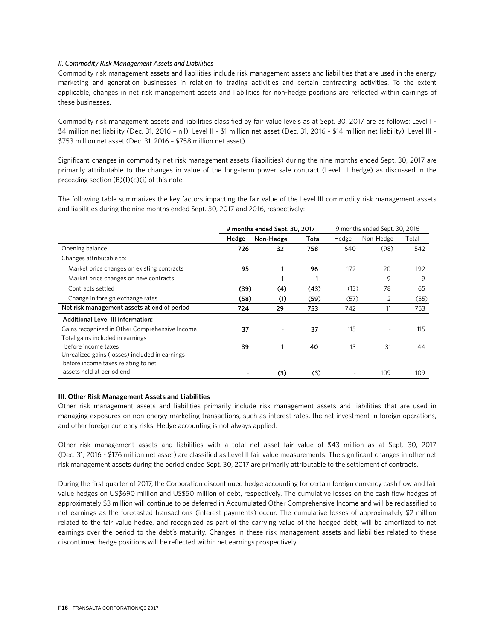#### *II. Commodity Risk Management Assets and Liabilities*

Commodity risk management assets and liabilities include risk management assets and liabilities that are used in the energy marketing and generation businesses in relation to trading activities and certain contracting activities. To the extent applicable, changes in net risk management assets and liabilities for non-hedge positions are reflected within earnings of these businesses.

Commodity risk management assets and liabilities classified by fair value levels as at Sept. 30, 2017 are as follows: Level I - \$4 million net liability (Dec. 31, 2016 – nil), Level II - \$1 million net asset (Dec. 31, 2016 - \$14 million net liability), Level III - \$753 million net asset (Dec. 31, 2016 – \$758 million net asset).

Significant changes in commodity net risk management assets (liabilities) during the nine months ended Sept. 30, 2017 are primarily attributable to the changes in value of the long-term power sale contract (Level III hedge) as discussed in the preceding section  $(B)(I)(c)(i)$  of this note.

The following table summarizes the key factors impacting the fair value of the Level III commodity risk management assets and liabilities during the nine months ended Sept. 30, 2017 and 2016, respectively:

|                                                | 9 months ended Sept. 30, 2017 |           |       |       | 9 months ended Sept. 30, 2016 |       |
|------------------------------------------------|-------------------------------|-----------|-------|-------|-------------------------------|-------|
|                                                | Hedge                         | Non-Hedge | Total | Hedge | Non-Hedge                     | Total |
| Opening balance                                | 726                           | 32        | 758   | 640   | (98)                          | 542   |
| Changes attributable to:                       |                               |           |       |       |                               |       |
| Market price changes on existing contracts     | 95                            |           | 96    | 172   | 20                            | 192   |
| Market price changes on new contracts          |                               |           |       |       | 9                             | 9     |
| Contracts settled                              | (39)                          | (4)       | (43)  | (13)  | 78                            | 65    |
| Change in foreign exchange rates               | (58)                          | (1)       | (59)  | (57)  | 2                             | (55)  |
| Net risk management assets at end of period    | 724                           | 29        | 753   | 742   | 11                            | 753   |
| Additional Level III information:              |                               |           |       |       |                               |       |
| Gains recognized in Other Comprehensive Income | 37                            |           | 37    | 115   |                               | 115   |
| Total gains included in earnings               |                               |           |       |       |                               |       |
| before income taxes                            | 39                            |           | 40    | 13    | 31                            | 44    |
| Unrealized gains (losses) included in earnings |                               |           |       |       |                               |       |
| before income taxes relating to net            |                               |           |       |       |                               |       |
| assets held at period end                      |                               | (3)       | (3)   |       | 109                           | 109   |

#### **III. Other Risk Management Assets and Liabilities**

Other risk management assets and liabilities primarily include risk management assets and liabilities that are used in managing exposures on non-energy marketing transactions, such as interest rates, the net investment in foreign operations, and other foreign currency risks. Hedge accounting is not always applied.

Other risk management assets and liabilities with a total net asset fair value of \$43 million as at Sept. 30, 2017 (Dec. 31, 2016 - \$176 million net asset) are classified as Level II fair value measurements. The significant changes in other net risk management assets during the period ended Sept. 30, 2017 are primarily attributable to the settlement of contracts.

During the first quarter of 2017, the Corporation discontinued hedge accounting for certain foreign currency cash flow and fair value hedges on US\$690 million and US\$50 million of debt, respectively. The cumulative losses on the cash flow hedges of approximately \$3 million will continue to be deferred in Accumulated Other Comprehensive Income and will be reclassified to net earnings as the forecasted transactions (interest payments) occur. The cumulative losses of approximately \$2 million related to the fair value hedge, and recognized as part of the carrying value of the hedged debt, will be amortized to net earnings over the period to the debt's maturity. Changes in these risk management assets and liabilities related to these discontinued hedge positions will be reflected within net earnings prospectively.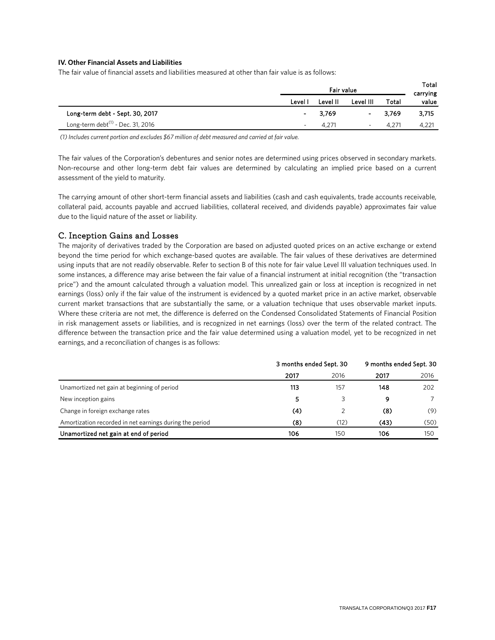### **IV. Other Financial Assets and Liabilities**

The fair value of financial assets and liabilities measured at other than fair value is as follows:

|                                               | Fair value               |                |                          |       | Total<br>carrying |
|-----------------------------------------------|--------------------------|----------------|--------------------------|-------|-------------------|
|                                               | Level I                  | Level II       | Level III                | Total | value             |
| Long-term debt - Sept. 30, 2017               | $\sim$                   | 3.769          | $\sim$                   | 3.769 | 3,715             |
| Long-term debt <sup>(1)</sup> - Dec. 31, 2016 | $\overline{\phantom{a}}$ | $4.27^{\circ}$ | $\overline{\phantom{a}}$ | 4.271 | 4,221             |

*(1) Includes current portion and excludes \$67 million of debt measured and carried at fair value.*

The fair values of the Corporation's debentures and senior notes are determined using prices observed in secondary markets. Non-recourse and other long-term debt fair values are determined by calculating an implied price based on a current assessment of the yield to maturity.

The carrying amount of other short-term financial assets and liabilities (cash and cash equivalents, trade accounts receivable, collateral paid, accounts payable and accrued liabilities, collateral received, and dividends payable) approximates fair value due to the liquid nature of the asset or liability.

### C. Inception Gains and Losses

The majority of derivatives traded by the Corporation are based on adjusted quoted prices on an active exchange or extend beyond the time period for which exchange-based quotes are available. The fair values of these derivatives are determined using inputs that are not readily observable. Refer to section B of this note for fair value Level III valuation techniques used. In some instances, a difference may arise between the fair value of a financial instrument at initial recognition (the "transaction price") and the amount calculated through a valuation model. This unrealized gain or loss at inception is recognized in net earnings (loss) only if the fair value of the instrument is evidenced by a quoted market price in an active market, observable current market transactions that are substantially the same, or a valuation technique that uses observable market inputs. Where these criteria are not met, the difference is deferred on the Condensed Consolidated Statements of Financial Position in risk management assets or liabilities, and is recognized in net earnings (loss) over the term of the related contract. The difference between the transaction price and the fair value determined using a valuation model, yet to be recognized in net earnings, and a reconciliation of changes is as follows:

|                                                         | 3 months ended Sept. 30 |      | 9 months ended Sept. 30 |      |
|---------------------------------------------------------|-------------------------|------|-------------------------|------|
|                                                         | 2017                    | 2016 | 2017                    | 2016 |
| Unamortized net gain at beginning of period             | 113                     | 157  | 148                     | 202  |
| New inception gains                                     | 5                       | 3    | 9                       |      |
| Change in foreign exchange rates                        | (4)                     |      | (8)                     | (9)  |
| Amortization recorded in net earnings during the period | (8)                     | (12) | (43)                    | (50) |
| Unamortized net gain at end of period                   | 106                     | 150  | 106                     | 150  |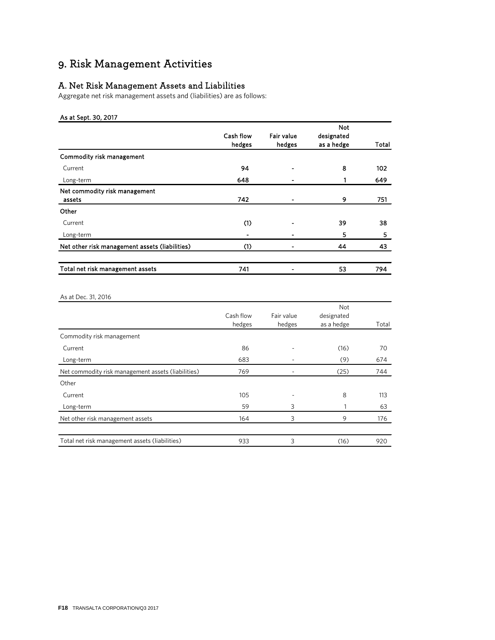# 9. Risk Management Activities

# A. Net Risk Management Assets and Liabilities

Aggregate net risk management assets and (liabilities) are as follows:

### As at Sept. 30, 2017

|                                                |           |            | <b>Not</b> |       |
|------------------------------------------------|-----------|------------|------------|-------|
|                                                | Cash flow | Fair value | designated |       |
|                                                | hedges    | hedges     | as a hedge | Total |
| Commodity risk management                      |           |            |            |       |
| Current                                        | 94        |            | 8          | 102   |
| Long-term                                      | 648       |            |            | 649   |
| Net commodity risk management                  |           |            |            |       |
| assets                                         | 742       | ۰          | 9          | 751   |
| Other                                          |           |            |            |       |
| Current                                        | (1)       |            | 39         | 38    |
| Long-term                                      |           |            | 5          | 5     |
| Net other risk management assets (liabilities) | (1)       | ۰          | 44         | 43    |
|                                                |           |            |            |       |
| Total net risk management assets               | 741       | ۰          | 53         | 794   |
|                                                |           |            |            |       |

### As at Dec. 31, 2016

|                                                    |           |            | Not        |       |
|----------------------------------------------------|-----------|------------|------------|-------|
|                                                    | Cash flow | Fair value | designated |       |
|                                                    | hedges    | hedges     | as a hedge | Total |
| Commodity risk management                          |           |            |            |       |
| Current                                            | 86        |            | (16)       | 70    |
| Long-term                                          | 683       |            | (9)        | 674   |
| Net commodity risk management assets (liabilities) | 769       |            | (25)       | 744   |
| Other                                              |           |            |            |       |
| Current                                            | 105       |            | 8          | 113   |
| Long-term                                          | 59        | 3          |            | 63    |
| Net other risk management assets                   | 164       | 3          | 9          | 176   |
|                                                    |           |            |            |       |
| Total net risk management assets (liabilities)     | 933       | 3          | (16)       | 920   |
|                                                    |           |            |            |       |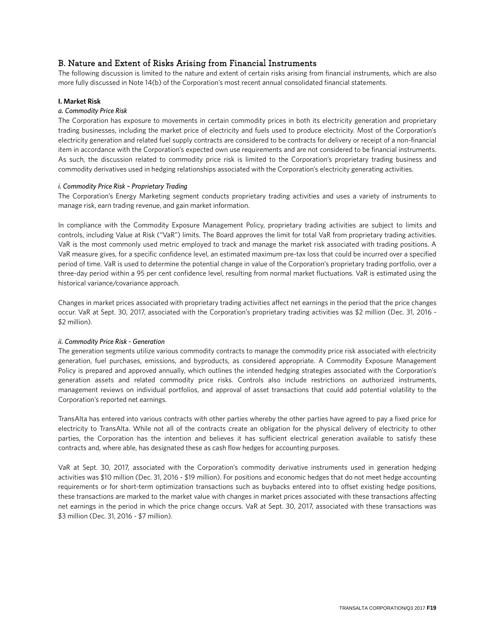# B. Nature and Extent of Risks Arising from Financial Instruments

The following discussion is limited to the nature and extent of certain risks arising from financial instruments, which are also more fully discussed in Note 14(b) of the Corporation's most recent annual consolidated financial statements.

### **I. Market Risk**

### *a. Commodity Price Risk*

The Corporation has exposure to movements in certain commodity prices in both its electricity generation and proprietary trading businesses, including the market price of electricity and fuels used to produce electricity. Most of the Corporation's electricity generation and related fuel supply contracts are considered to be contracts for delivery or receipt of a non-financial item in accordance with the Corporation's expected own use requirements and are not considered to be financial instruments. As such, the discussion related to commodity price risk is limited to the Corporation's proprietary trading business and commodity derivatives used in hedging relationships associated with the Corporation's electricity generating activities.

#### *i. Commodity Price Risk – Proprietary Trading*

The Corporation's Energy Marketing segment conducts proprietary trading activities and uses a variety of instruments to manage risk, earn trading revenue, and gain market information.

In compliance with the Commodity Exposure Management Policy, proprietary trading activities are subject to limits and controls, including Value at Risk ("VaR") limits. The Board approves the limit for total VaR from proprietary trading activities. VaR is the most commonly used metric employed to track and manage the market risk associated with trading positions. A VaR measure gives, for a specific confidence level, an estimated maximum pre-tax loss that could be incurred over a specified period of time. VaR is used to determine the potential change in value of the Corporation's proprietary trading portfolio, over a three-day period within a 95 per cent confidence level, resulting from normal market fluctuations. VaR is estimated using the historical variance/covariance approach.

Changes in market prices associated with proprietary trading activities affect net earnings in the period that the price changes occur. VaR at Sept. 30, 2017, associated with the Corporation's proprietary trading activities was \$2 million (Dec. 31, 2016 - \$2 million).

#### *ii. Commodity Price Risk - Generation*

The generation segments utilize various commodity contracts to manage the commodity price risk associated with electricity generation, fuel purchases, emissions, and byproducts, as considered appropriate. A Commodity Exposure Management Policy is prepared and approved annually, which outlines the intended hedging strategies associated with the Corporation's generation assets and related commodity price risks. Controls also include restrictions on authorized instruments, management reviews on individual portfolios, and approval of asset transactions that could add potential volatility to the Corporation's reported net earnings.

TransAlta has entered into various contracts with other parties whereby the other parties have agreed to pay a fixed price for electricity to TransAlta. While not all of the contracts create an obligation for the physical delivery of electricity to other parties, the Corporation has the intention and believes it has sufficient electrical generation available to satisfy these contracts and, where able, has designated these as cash flow hedges for accounting purposes.

VaR at Sept. 30, 2017, associated with the Corporation's commodity derivative instruments used in generation hedging activities was \$10 million (Dec. 31, 2016 - \$19 million). For positions and economic hedges that do not meet hedge accounting requirements or for short-term optimization transactions such as buybacks entered into to offset existing hedge positions, these transactions are marked to the market value with changes in market prices associated with these transactions affecting net earnings in the period in which the price change occurs. VaR at Sept. 30, 2017, associated with these transactions was \$3 million (Dec. 31, 2016 - \$7 million).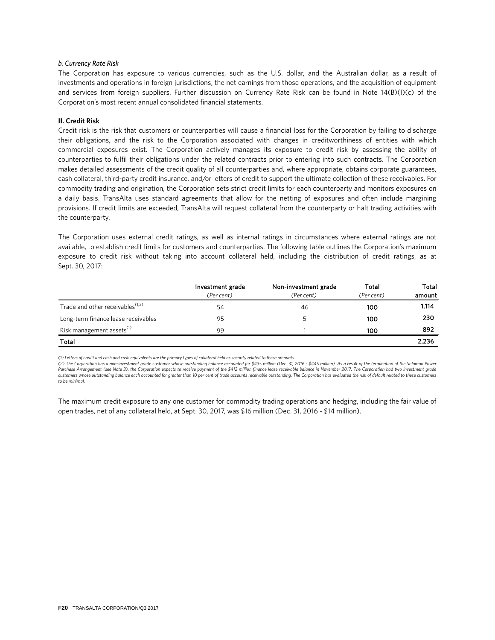#### *b. Currency Rate Risk*

The Corporation has exposure to various currencies, such as the U.S. dollar, and the Australian dollar, as a result of investments and operations in foreign jurisdictions, the net earnings from those operations, and the acquisition of equipment and services from foreign suppliers. Further discussion on Currency Rate Risk can be found in Note 14(B)(I)(c) of the Corporation's most recent annual consolidated financial statements.

#### **II. Credit Risk**

Credit risk is the risk that customers or counterparties will cause a financial loss for the Corporation by failing to discharge their obligations, and the risk to the Corporation associated with changes in creditworthiness of entities with which commercial exposures exist. The Corporation actively manages its exposure to credit risk by assessing the ability of counterparties to fulfil their obligations under the related contracts prior to entering into such contracts. The Corporation makes detailed assessments of the credit quality of all counterparties and, where appropriate, obtains corporate guarantees, cash collateral, third-party credit insurance, and/or letters of credit to support the ultimate collection of these receivables. For commodity trading and origination, the Corporation sets strict credit limits for each counterparty and monitors exposures on a daily basis. TransAlta uses standard agreements that allow for the netting of exposures and often include margining provisions. If credit limits are exceeded, TransAlta will request collateral from the counterparty or halt trading activities with the counterparty.

The Corporation uses external credit ratings, as well as internal ratings in circumstances where external ratings are not available, to establish credit limits for customers and counterparties. The following table outlines the Corporation's maximum exposure to credit risk without taking into account collateral held, including the distribution of credit ratings, as at Sept. 30, 2017:

|                                              | Investment grade | Non-investment grade | Total      | Total  |
|----------------------------------------------|------------------|----------------------|------------|--------|
|                                              | (Per cent)       | (Per cent)           | (Per cent) | amount |
| Trade and other receivables <sup>(1,2)</sup> | 54               | 46                   | 100        | 1,114  |
| Long-term finance lease receivables          | 95               |                      | 100        | 230    |
| Risk management assets <sup>(1)</sup>        | 99               |                      | 100        | 892    |
| Total                                        |                  |                      |            | 2,236  |

*(1) Letters of credit and cash and cash equivalents are the primary types of collateral held as security related to these amounts.* 

(2) The Corporation has a non-investment grade customer whose outstanding balance accounted for \$435 million (Dec. 31, 2016 - \$445 million). As a result of the termination of the Solomon Power<br>Purchase Arrangement (see Not *customers whose outstanding balance each accounted for greater than 10 per cent of trade accounts receivable outstanding. The Corporation has evaluated the risk of default related to these customers to be minimal.* 

The maximum credit exposure to any one customer for commodity trading operations and hedging, including the fair value of open trades, net of any collateral held, at Sept. 30, 2017, was \$16 million (Dec. 31, 2016 - \$14 million).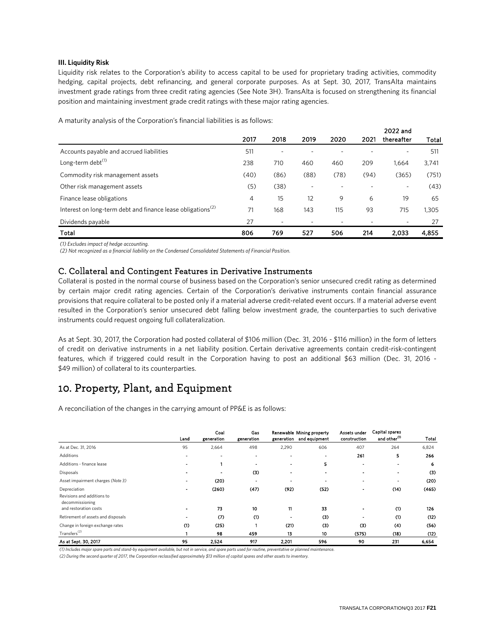#### **III. Liquidity Risk**

Liquidity risk relates to the Corporation's ability to access capital to be used for proprietary trading activities, commodity hedging, capital projects, debt refinancing, and general corporate purposes. As at Sept. 30, 2017, TransAlta maintains investment grade ratings from three credit rating agencies (See Note 3H). TransAlta is focused on strengthening its financial position and maintaining investment grade credit ratings with these major rating agencies.

A maturity analysis of the Corporation's financial liabilities is as follows:

|                                                                         |      |      |      |      |      | 2022 and   |       |
|-------------------------------------------------------------------------|------|------|------|------|------|------------|-------|
|                                                                         | 2017 | 2018 | 2019 | 2020 | 2021 | thereafter | Total |
| Accounts payable and accrued liabilities                                | 511  |      |      |      |      |            | 511   |
| Long-term debt <sup>(1)</sup>                                           | 238  | 710  | 460  | 460  | 209  | 1,664      | 3,741 |
| Commodity risk management assets                                        | (40) | (86) | (88) | (78) | (94) | (365)      | (751) |
| Other risk management assets                                            | (5)  | (38) | ٠    |      |      | ٠          | (43)  |
| Finance lease obligations                                               | 4    | 15   | 12   | 9    | 6    | 19         | 65    |
| Interest on long-term debt and finance lease obligations <sup>(2)</sup> | 71   | 168  | 143  | 115  | 93   | 715        | 1,305 |
| Dividends payable                                                       | 27   |      |      |      |      |            | 27    |
| Total                                                                   | 806  | 769  | 527  | 506  | 214  | 2.033      | 4.855 |

*(1) Excludes impact of hedge accounting.*

*(2) Not recognized as a financial liability on the Condensed Consolidated Statements of Financial Position.*

### C. Collateral and Contingent Features in Derivative Instruments

Collateral is posted in the normal course of business based on the Corporation's senior unsecured credit rating as determined by certain major credit rating agencies. Certain of the Corporation's derivative instruments contain financial assurance provisions that require collateral to be posted only if a material adverse credit-related event occurs. If a material adverse event resulted in the Corporation's senior unsecured debt falling below investment grade, the counterparties to such derivative instruments could request ongoing full collateralization.

As at Sept. 30, 2017, the Corporation had posted collateral of \$106 million (Dec. 31, 2016 - \$116 million) in the form of letters of credit on derivative instruments in a net liability position. Certain derivative agreements contain credit-risk-contingent features, which if triggered could result in the Corporation having to post an additional \$63 million (Dec. 31, 2016 - \$49 million) of collateral to its counterparties.

# 10. Property, Plant, and Equipment

A reconciliation of the changes in the carrying amount of PP&E is as follows:

|                                            | Land                     | Coal<br>generation       | Gas<br>generation |                          | Renewable Mining property<br>generation and equipment | Assets under<br>construction | <b>Capital spares</b><br>and other <sup>(1)</sup> | Total |
|--------------------------------------------|--------------------------|--------------------------|-------------------|--------------------------|-------------------------------------------------------|------------------------------|---------------------------------------------------|-------|
| As at Dec. 31, 2016                        | 95                       | 2,664                    | 498               | 2,290                    | 606                                                   | 407                          | 264                                               | 6,824 |
| <b>Additions</b>                           | $\overline{\phantom{a}}$ | $\overline{\phantom{a}}$ | -                 | $\blacksquare$           |                                                       | 261                          | 5                                                 | 266   |
| Additions - finance lease                  |                          |                          |                   |                          | 5                                                     |                              |                                                   | 6     |
| <b>Disposals</b>                           |                          | $\overline{\phantom{0}}$ | (3)               |                          |                                                       |                              |                                                   | (3)   |
| Asset impairment charges (Note 3)          | $\blacksquare$           | (20)                     | $\blacksquare$    | $\overline{\phantom{0}}$ |                                                       |                              |                                                   | (20)  |
| Depreciation<br>Revisions and additions to |                          | (260)                    | (47)              | (92)                     | (52)                                                  |                              | (14)                                              | (465) |
| decommissioning<br>and restoration costs   |                          | 73                       | 10                | 11                       | 33                                                    |                              | (1)                                               | 126   |
| Retirement of assets and disposals         |                          | (7)                      | (1)               |                          | (3)                                                   | $\blacksquare$               | (1)                                               | (12)  |
| Change in foreign exchange rates           | (1)                      | (25)                     |                   | (21)                     | (3)                                                   | (3)                          | (4)                                               | (56)  |
| Transfers <sup>(2)</sup>                   |                          | 98                       | 459               | 13                       | 10                                                    | (575)                        | (18)                                              | (12)  |
| As at Sept. 30, 2017                       | 95                       | 2,524                    | 917               | 2,201                    | 596                                                   | 90                           | 231                                               | 6.654 |

*(1) Includes major spare parts and stand-by equipment available, but not in service, and spare parts used for routine, preventative or planned maintenance.*

*(2) During the second quarter of 2017, the Corporation reclassified approximately \$13 million of capital spares and other assets to inventory.*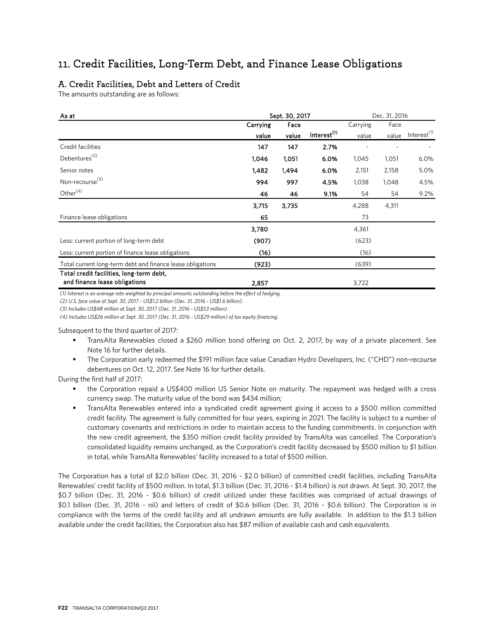# 11. Credit Facilities, Long-Term Debt, and Finance Lease Obligations

# A. Credit Facilities, Debt and Letters of Credit

The amounts outstanding are as follows:

| As at                                                      | Sept. 30, 2017<br>Dec. 31, 2016 |       |                         |          |       |                         |
|------------------------------------------------------------|---------------------------------|-------|-------------------------|----------|-------|-------------------------|
|                                                            | Carrying                        | Face  |                         | Carrying | Face  |                         |
|                                                            | value                           | value | Interest <sup>(1)</sup> | value    | value | Interest <sup>(1)</sup> |
| Credit facilities                                          | 147                             | 147   | 2.7%                    |          |       |                         |
| Debentures <sup>(2)</sup>                                  | 1,046                           | 1,051 | 6.0%                    | 1,045    | 1,051 | 6.0%                    |
| Senior notes                                               | 1,482                           | 1,494 | 6.0%                    | 2,151    | 2,158 | 5.0%                    |
| Non-recourse <sup>(3)</sup>                                | 994                             | 997   | 4.5%                    | 1,038    | 1,048 | 4.5%                    |
| Other <sup>(4)</sup>                                       | 46                              | 46    | 9.1%                    | 54       | 54    | 9.2%                    |
|                                                            | 3,715                           | 3.735 |                         | 4,288    | 4,311 |                         |
| Finance lease obligations                                  | 65                              |       |                         | 73       |       |                         |
|                                                            | 3.780                           |       |                         | 4,361    |       |                         |
| Less: current portion of long-term debt                    | (907)                           |       |                         | (623)    |       |                         |
| Less: current portion of finance lease obligations         | (16)                            |       |                         | (16)     |       |                         |
| Total current long-term debt and finance lease obligations | (923)                           |       |                         | (639)    |       |                         |
| Total credit facilities, long-term debt,                   |                                 |       |                         |          |       |                         |
| and finance lease obligations                              | 2,857                           |       |                         | 3,722    |       |                         |

*(1) Interest is an average rate weighted by principal amounts outstanding before the effect of hedging.* 

*(2) U.S. face value at Sept. 30, 2017 - US\$1.2 billion (Dec. 31, 2016 - US\$1.6 billion).*

*(3) Includes US\$48 million at Sept. 30, 2017 (Dec. 31, 2016 - US\$53 million).* 

*(4) Includes US\$26 million at Sept. 30, 2017 (Dec. 31, 2016 - US\$29 million) of tax equity financing.*

Subsequent to the third quarter of 2017:

- TransAlta Renewables closed a \$260 million bond offering on Oct. 2, 2017, by way of a private placement. See Note 16 for further details.
- The Corporation early redeemed the \$191 million face value Canadian Hydro Developers, Inc. ("CHD") non-recourse debentures on Oct. 12, 2017. See Note 16 for further details.

During the first half of 2017:

- the Corporation repaid a US\$400 million US Senior Note on maturity. The repayment was hedged with a cross currency swap. The maturity value of the bond was \$434 million;
- TransAlta Renewables entered into a syndicated credit agreement giving it access to a \$500 million committed credit facility. The agreement is fully committed for four years, expiring in 2021. The facility is subject to a number of customary covenants and restrictions in order to maintain access to the funding commitments. In conjunction with the new credit agreement, the \$350 million credit facility provided by TransAlta was cancelled. The Corporation's consolidated liquidity remains unchanged, as the Corporation's credit facility decreased by \$500 million to \$1 billion in total, while TransAlta Renewables' facility increased to a total of \$500 million.

The Corporation has a total of \$2.0 billion (Dec. 31, 2016 - \$2.0 billion) of committed credit facilities, including TransAlta Renewables' credit facility of \$500 million. In total, \$1.3 billion (Dec. 31, 2016 - \$1.4 billion) is not drawn. At Sept. 30, 2017, the \$0.7 billion (Dec. 31, 2016 - \$0.6 billion) of credit utilized under these facilities was comprised of actual drawings of \$0.1 billion (Dec. 31, 2016 - nil) and letters of credit of \$0.6 billion (Dec. 31, 2016 - \$0.6 billion). The Corporation is in compliance with the terms of the credit facility and all undrawn amounts are fully available. In addition to the \$1.3 billion available under the credit facilities, the Corporation also has \$87 million of available cash and cash equivalents.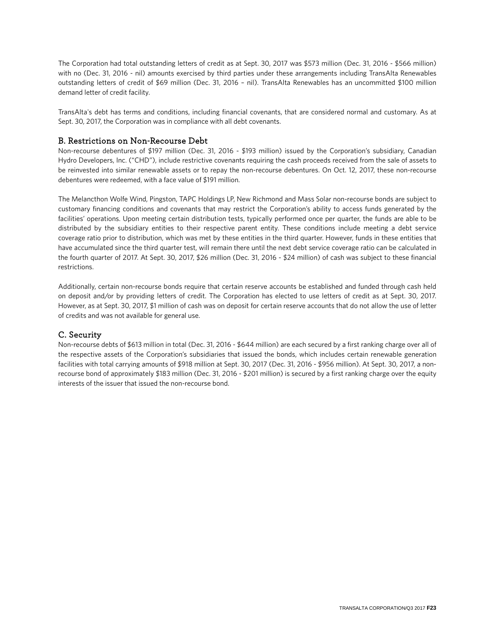The Corporation had total outstanding letters of credit as at Sept. 30, 2017 was \$573 million (Dec. 31, 2016 - \$566 million) with no (Dec. 31, 2016 - nil) amounts exercised by third parties under these arrangements including TransAlta Renewables outstanding letters of credit of \$69 million (Dec. 31, 2016 – nil). TransAlta Renewables has an uncommitted \$100 million demand letter of credit facility.

TransAlta's debt has terms and conditions, including financial covenants, that are considered normal and customary. As at Sept. 30, 2017, the Corporation was in compliance with all debt covenants.

# B. Restrictions on Non-Recourse Debt

Non-recourse debentures of \$197 million (Dec. 31, 2016 - \$193 million) issued by the Corporation's subsidiary, Canadian Hydro Developers, Inc. ("CHD"), include restrictive covenants requiring the cash proceeds received from the sale of assets to be reinvested into similar renewable assets or to repay the non-recourse debentures. On Oct. 12, 2017, these non-recourse debentures were redeemed, with a face value of \$191 million.

The Melancthon Wolfe Wind, Pingston, TAPC Holdings LP, New Richmond and Mass Solar non-recourse bonds are subject to customary financing conditions and covenants that may restrict the Corporation's ability to access funds generated by the facilities' operations. Upon meeting certain distribution tests, typically performed once per quarter, the funds are able to be distributed by the subsidiary entities to their respective parent entity. These conditions include meeting a debt service coverage ratio prior to distribution, which was met by these entities in the third quarter. However, funds in these entities that have accumulated since the third quarter test, will remain there until the next debt service coverage ratio can be calculated in the fourth quarter of 2017. At Sept. 30, 2017, \$26 million (Dec. 31, 2016 - \$24 million) of cash was subject to these financial restrictions.

Additionally, certain non-recourse bonds require that certain reserve accounts be established and funded through cash held on deposit and/or by providing letters of credit. The Corporation has elected to use letters of credit as at Sept. 30, 2017. However, as at Sept. 30, 2017, \$1 million of cash was on deposit for certain reserve accounts that do not allow the use of letter of credits and was not available for general use.

# C. Security

Non-recourse debts of \$613 million in total (Dec. 31, 2016 - \$644 million) are each secured by a first ranking charge over all of the respective assets of the Corporation's subsidiaries that issued the bonds, which includes certain renewable generation facilities with total carrying amounts of \$918 million at Sept. 30, 2017 (Dec. 31, 2016 - \$956 million). At Sept. 30, 2017, a nonrecourse bond of approximately \$183 million (Dec. 31, 2016 - \$201 million) is secured by a first ranking charge over the equity interests of the issuer that issued the non-recourse bond.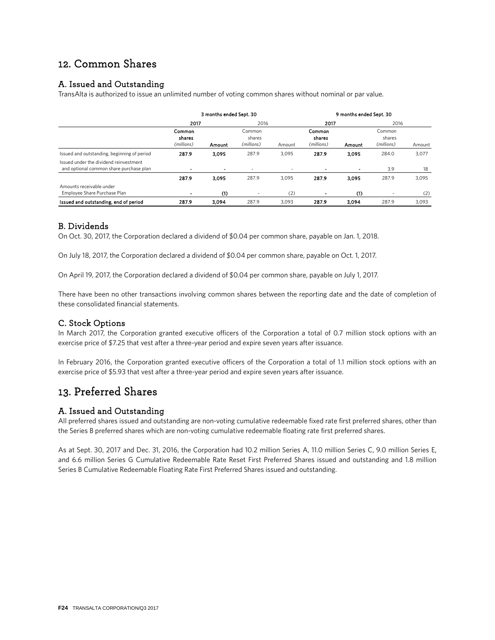# 12. Common Shares

# A. Issued and Outstanding

TransAlta is authorized to issue an unlimited number of voting common shares without nominal or par value.

|                                                                                   | 3 months ended Sept. 30        |                |                                |                          | 9 months ended Sept. 30        |                |                                |        |
|-----------------------------------------------------------------------------------|--------------------------------|----------------|--------------------------------|--------------------------|--------------------------------|----------------|--------------------------------|--------|
|                                                                                   | 2017                           |                |                                | 2016                     |                                | 2017           | 2016                           |        |
|                                                                                   | Common<br>shares<br>(millions) | Amount         | Common<br>shares<br>(millions) | Amount                   | Common<br>shares<br>(millions) | Amount         | Common<br>shares<br>(millions) | Amount |
| Issued and outstanding, beginning of period                                       | 287.9                          | 3.095          | 287.9                          | 3.095                    | 287.9                          | 3.095          | 284.0                          | 3,077  |
| Issued under the dividend reinvestment<br>and optional common share purchase plan | $\overline{\phantom{a}}$       | $\blacksquare$ | $\overline{\phantom{0}}$       | $\overline{\phantom{0}}$ | $\overline{\phantom{a}}$       | $\blacksquare$ | 3.9                            | 18     |
|                                                                                   | 287.9                          | 3.095          | 287.9                          | 3.095                    | 287.9                          | 3.095          | 287.9                          | 3,095  |
| Amounts receivable under<br>Employee Share Purchase Plan                          | $\overline{a}$                 | (1)            |                                | (2)                      |                                | (1)            |                                | (2)    |
| Issued and outstanding, end of period                                             | 287.9                          | 3.094          | 287.9                          | 3.093                    | 287.9                          | 3.094          | 287.9                          | 3,093  |

# B. Dividends

On Oct. 30, 2017, the Corporation declared a dividend of \$0.04 per common share, payable on Jan. 1, 2018.

On July 18, 2017, the Corporation declared a dividend of \$0.04 per common share, payable on Oct. 1, 2017.

On April 19, 2017, the Corporation declared a dividend of \$0.04 per common share, payable on July 1, 2017.

There have been no other transactions involving common shares between the reporting date and the date of completion of these consolidated financial statements.

# C. Stock Options

In March 2017, the Corporation granted executive officers of the Corporation a total of 0.7 million stock options with an exercise price of \$7.25 that vest after a three-year period and expire seven years after issuance.

In February 2016, the Corporation granted executive officers of the Corporation a total of 1.1 million stock options with an exercise price of \$5.93 that vest after a three-year period and expire seven years after issuance.

# 13. Preferred Shares

# A. Issued and Outstanding

All preferred shares issued and outstanding are non-voting cumulative redeemable fixed rate first preferred shares, other than the Series B preferred shares which are non-voting cumulative redeemable floating rate first preferred shares.

As at Sept. 30, 2017 and Dec. 31, 2016, the Corporation had 10.2 million Series A, 11.0 million Series C, 9.0 million Series E, and 6.6 million Series G Cumulative Redeemable Rate Reset First Preferred Shares issued and outstanding and 1.8 million Series B Cumulative Redeemable Floating Rate First Preferred Shares issued and outstanding.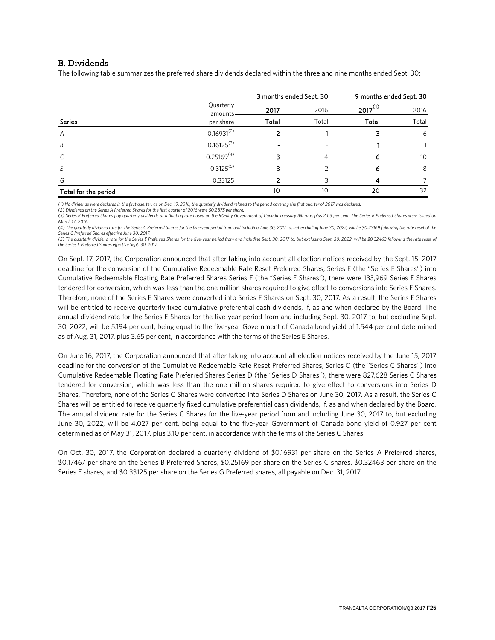# B. Dividends

The following table summarizes the preferred share dividends declared within the three and nine months ended Sept. 30:

|                      |                      | 3 months ended Sept. 30 |       | 9 months ended Sept. 30 |       |  |
|----------------------|----------------------|-------------------------|-------|-------------------------|-------|--|
|                      | Quarterly<br>amounts | 2017                    | 2016  | $2017^{(1)}$            | 2016  |  |
| <b>Series</b>        | per share            | Total                   | Total | Total                   | Total |  |
| $\overline{A}$       | $0.16931^{(2)}$      |                         |       |                         | 6     |  |
| B                    | $0.16125^{(3)}$      |                         |       |                         |       |  |
| $\mathcal{C}$        | $0.25169^{(4)}$      | 3                       | 4     | 6                       | 10    |  |
| Ε                    | $0.3125^{(5)}$       | 3                       |       | 6                       | 8     |  |
| G                    | 0.33125              | 7                       | २     | 4                       |       |  |
| Total for the period |                      | 10                      | 10    | 20                      | 32    |  |

*(1) No dividends were declared in the first quarter, as on Dec. 19, 2016, the quarterly dividend related to the period covering the first quarter of 2017 was declared.*

*(2) Dividends on the Series A Preferred Shares for the first quarter of 2016 were \$0.2875 per share.* (3) Series B Preferred Shares pay quarterly dividends at a floating rate based on the 90-day Government of Canada Treasury Bill rate, plus 2.03 per cent. The Series B Preferred Shares were issued on *March 17, 2016.*

*(4) The quarterly dividend rate for the Series C Preferred Shares for the five-year period from and including June 30, 2017 to, but excluding June 30, 2022, will be \$0.25169 following the rate reset of the Series C Preferred Shares effective June 30, 2017.*

(5) The quarterly dividend rate for the Series E Preferred Shares for the five-year period from and including Sept. 30, 2017 to, but excluding Sept. 30, 2022, will be \$0.32463 following the rate reset of *the Series E Preferred Shares effective Sept. 30, 2017.* 

On Sept. 17, 2017, the Corporation announced that after taking into account all election notices received by the Sept. 15, 2017 deadline for the conversion of the Cumulative Redeemable Rate Reset Preferred Shares, Series E (the "Series E Shares") into Cumulative Redeemable Floating Rate Preferred Shares Series F (the "Series F Shares"), there were 133,969 Series E Shares tendered for conversion, which was less than the one million shares required to give effect to conversions into Series F Shares. Therefore, none of the Series E Shares were converted into Series F Shares on Sept. 30, 2017. As a result, the Series E Shares will be entitled to receive quarterly fixed cumulative preferential cash dividends, if, as and when declared by the Board. The annual dividend rate for the Series E Shares for the five-year period from and including Sept. 30, 2017 to, but excluding Sept. 30, 2022, will be 5.194 per cent, being equal to the five-year Government of Canada bond yield of 1.544 per cent determined as of Aug. 31, 2017, plus 3.65 per cent, in accordance with the terms of the Series E Shares.

On June 16, 2017, the Corporation announced that after taking into account all election notices received by the June 15, 2017 deadline for the conversion of the Cumulative Redeemable Rate Reset Preferred Shares, Series C (the "Series C Shares") into Cumulative Redeemable Floating Rate Preferred Shares Series D (the "Series D Shares"), there were 827,628 Series C Shares tendered for conversion, which was less than the one million shares required to give effect to conversions into Series D Shares. Therefore, none of the Series C Shares were converted into Series D Shares on June 30, 2017. As a result, the Series C Shares will be entitled to receive quarterly fixed cumulative preferential cash dividends, if, as and when declared by the Board. The annual dividend rate for the Series C Shares for the five-year period from and including June 30, 2017 to, but excluding June 30, 2022, will be 4.027 per cent, being equal to the five-year Government of Canada bond yield of 0.927 per cent determined as of May 31, 2017, plus 3.10 per cent, in accordance with the terms of the Series C Shares.

On Oct. 30, 2017, the Corporation declared a quarterly dividend of \$0.16931 per share on the Series A Preferred shares, \$0.17467 per share on the Series B Preferred Shares, \$0.25169 per share on the Series C shares, \$0.32463 per share on the Series E shares, and \$0.33125 per share on the Series G Preferred shares, all payable on Dec. 31, 2017.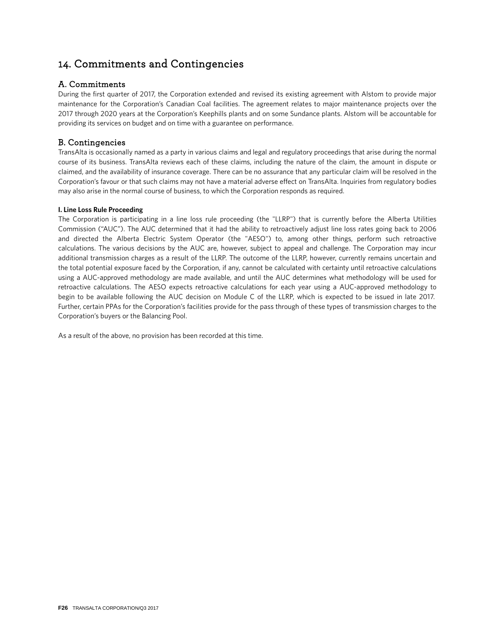# 14. Commitments and Contingencies

# A. Commitments

During the first quarter of 2017, the Corporation extended and revised its existing agreement with Alstom to provide major maintenance for the Corporation's Canadian Coal facilities. The agreement relates to major maintenance projects over the 2017 through 2020 years at the Corporation's Keephills plants and on some Sundance plants. Alstom will be accountable for providing its services on budget and on time with a guarantee on performance.

# B. Contingencies

TransAlta is occasionally named as a party in various claims and legal and regulatory proceedings that arise during the normal course of its business. TransAlta reviews each of these claims, including the nature of the claim, the amount in dispute or claimed, and the availability of insurance coverage. There can be no assurance that any particular claim will be resolved in the Corporation's favour or that such claims may not have a material adverse effect on TransAlta. Inquiries from regulatory bodies may also arise in the normal course of business, to which the Corporation responds as required.

### **I. Line Loss Rule Proceeding**

The Corporation is participating in a line loss rule proceeding (the "LLRP") that is currently before the Alberta Utilities Commission ("AUC"). The AUC determined that it had the ability to retroactively adjust line loss rates going back to 2006 and directed the Alberta Electric System Operator (the "AESO") to, among other things, perform such retroactive calculations. The various decisions by the AUC are, however, subject to appeal and challenge. The Corporation may incur additional transmission charges as a result of the LLRP. The outcome of the LLRP, however, currently remains uncertain and the total potential exposure faced by the Corporation, if any, cannot be calculated with certainty until retroactive calculations using a AUC-approved methodology are made available, and until the AUC determines what methodology will be used for retroactive calculations. The AESO expects retroactive calculations for each year using a AUC-approved methodology to begin to be available following the AUC decision on Module C of the LLRP, which is expected to be issued in late 2017. Further, certain PPAs for the Corporation's facilities provide for the pass through of these types of transmission charges to the Corporation's buyers or the Balancing Pool.

As a result of the above, no provision has been recorded at this time.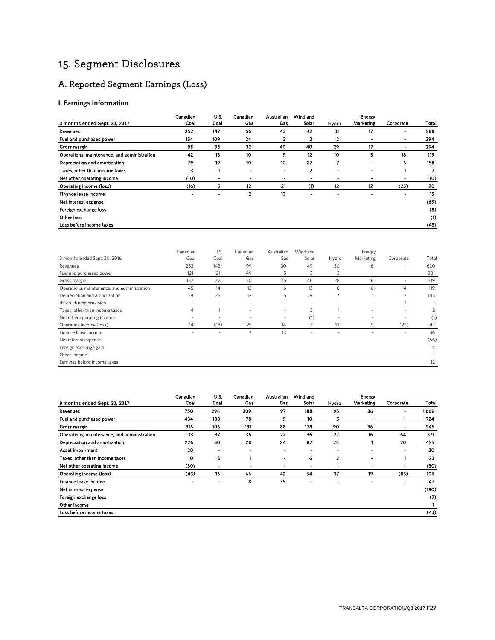# 15. Segment Disclosures

# A. Reported Segment Earnings (Loss)

### **I. Earnings Information**

|                                             | Canadian                 | U.S. | Canadian       | Australian | Wind and |                 | Energy    |                |       |
|---------------------------------------------|--------------------------|------|----------------|------------|----------|-----------------|-----------|----------------|-------|
| 3 months ended Sept. 30, 2017               | Coal                     | Coal | Gas            | Gas        | Solar    | Hydro           | Marketing | Corporate      | Total |
| Revenues                                    | 252                      | 147  | 56             | 43         | 42       | 31              | 17        |                | 588   |
| Fuel and purchased power                    | 154                      | 109  | 24             | з          | 2        | 2               |           | $\blacksquare$ | 294   |
| Gross margin                                | 98                       | 38   | 32             | 40         | 40       | 29              | 17        | ٠              | 294   |
| Operations, maintenance, and administration | 42                       | 13   | 10             | 9          | 12       | 10              | 5         | 18             | 119   |
| Depreciation and amortization               | 79                       | 19   | 10             | 10         | 27       |                 |           | 6              | 158   |
| Taxes, other than income taxes              | 3                        |      | -              | -          | 2        | -               | ۰         |                |       |
| Net other operating income                  | (10)                     |      |                | -          |          | ٠               |           |                | (10)  |
| Operating income (loss)                     | (16)                     | 5    | 12             | 21         | (1)      | 12 <sub>2</sub> | 12        | (25)           | 20    |
| Finance lease income                        | $\overline{\phantom{a}}$ |      | $\overline{2}$ | 13         |          |                 |           |                | 15    |
| Net interest expense                        |                          |      |                |            |          |                 |           |                | (69)  |
| Foreign exchange loss                       |                          |      |                |            |          |                 |           |                | (8)   |
| Other loss                                  |                          |      |                |            |          |                 |           |                | (1)   |
| Loss before income taxes                    |                          |      |                |            |          |                 |           |                | (43)  |

|                                             | Canadian                 | U.S. | Canadian | Australian               | Wind and |                          | Energy                   |                          |       |
|---------------------------------------------|--------------------------|------|----------|--------------------------|----------|--------------------------|--------------------------|--------------------------|-------|
| 3 months ended Sept. 30, 2016               | Coal                     | Coal | Gas      | Gas                      | Solar    | Hydro                    | Marketing                | Corporate                | Total |
| Revenues                                    | 253                      | 143  | 99       | 30                       | 49       | 30                       | 16                       | ٠                        | 620   |
| Fuel and purchased power                    | 121                      | 121  | 49       | 5                        | 3        | 2                        | $\overline{\phantom{a}}$ | $\sim$                   | 301   |
| Gross margin                                | 132                      | 22   | 50       | 25                       | 46       | 28                       | 16                       | $\overline{\phantom{a}}$ | 319   |
| Operations, maintenance, and administration | 45                       | 14   | 13       | 6                        | 13       | 8                        | 6                        | 14                       | 119   |
| Depreciation and amortization               | 59                       | 25   | 12       | 5                        | 29       | ⇁                        |                          | 7                        | 145   |
| Restructuring provision                     |                          |      |          |                          |          |                          |                          |                          |       |
| Taxes, other than income taxes              | $\overline{4}$           |      | ۰        | ۰                        | 2        |                          | ٠                        | $\sim$                   | 8     |
| Net other operating income                  | $\overline{\phantom{a}}$ |      | -        | $\overline{\phantom{0}}$ | (1)      | $\overline{\phantom{0}}$ | ۰                        | $\sim$                   | (1)   |
| Operating income (loss)                     | 24                       | (18) | 25       | 14                       | 3        | 12                       | 9                        | (22)                     | 47    |
| Finance lease income                        | $\overline{\phantom{a}}$ |      | 3        | 13                       | ٠        |                          | $\sim$                   | $\overline{\phantom{a}}$ | 16    |
| Net interest expense                        |                          |      |          |                          |          |                          |                          |                          | (56)  |
| Foreign exchange gain                       |                          |      |          |                          |          |                          |                          |                          | 4     |
| Other income                                |                          |      |          |                          |          |                          |                          |                          |       |
| Earnings before income taxes                |                          |      |          |                          |          |                          |                          |                          | 12    |
|                                             |                          |      |          |                          |          |                          |                          |                          |       |

|                                             | Canadian       | U.S. | Canadian | Australian     | Wind and                 |       | <b>Energy</b> |                |                   |
|---------------------------------------------|----------------|------|----------|----------------|--------------------------|-------|---------------|----------------|-------------------|
| 9 months ended Sept. 30, 2017               | Coal           | Coal | Gas      | Gas            | Solar                    | Hydro | Marketing     | Corporate      | Total             |
| Revenues                                    | 750            | 294  | 209      | 97             | 188                      | 95    | 36            | ٠              | 1.669             |
| Fuel and purchased power                    | 434            | 188  | 78       | 9              | 10                       | 5     |               | ٠              | 724               |
| Gross margin                                | 316            | 106  | 131      | 88             | 178                      | 90    | 36            | $\blacksquare$ | 945               |
| Operations, maintenance, and administration | 133            | 37   | 36       | 22             | 36                       | 27    | 16            | 64             | 371               |
| Depreciation and amortization               | 226            | 50   | 28       | 24             | 82                       | 24    |               | 20             | 455               |
| Asset impairment                            | 20             |      |          |                |                          |       |               | $\blacksquare$ | 20                |
| Taxes, other than income taxes              | 10             | 3    |          | $\blacksquare$ | 6                        | 2     |               |                | 23                |
| Net other operating income                  | (30)           |      |          | ٠              | $\overline{\phantom{a}}$ |       |               |                | (30)              |
| Operating income (loss)                     | (43)           | 16   | 66       | 42             | 54                       | 37    | 19            | (85)           | 106               |
| Finance lease income                        | $\blacksquare$ |      | 8        | 39             |                          |       |               |                | 47                |
| Net interest expense                        |                |      |          |                |                          |       |               |                | (190)             |
| Foreign exchange loss                       |                |      |          |                |                          |       |               |                | $\left( 7\right)$ |
| Other income                                |                |      |          |                |                          |       |               |                |                   |
| Loss before income taxes                    |                |      |          |                |                          |       |               |                | (43)              |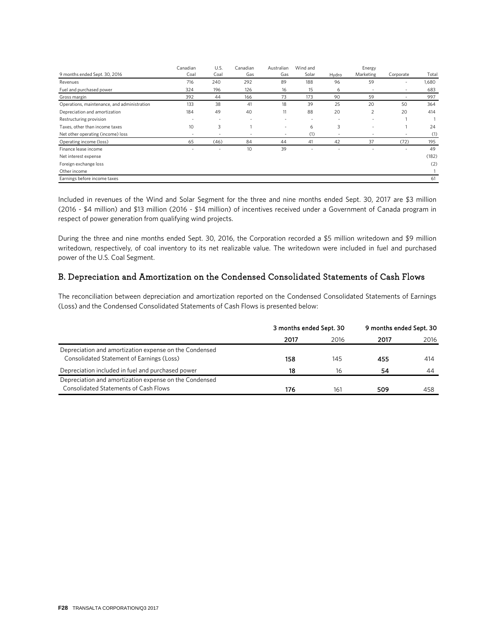|                                             | Canadian                 | U.S. | Canadian                 | Australian               | Wind and |                          | Energy    |                          |       |
|---------------------------------------------|--------------------------|------|--------------------------|--------------------------|----------|--------------------------|-----------|--------------------------|-------|
| 9 months ended Sept. 30, 2016               | Coal                     | Coal | Gas                      | Gas                      | Solar    | Hydro                    | Marketing | Corporate                | Total |
| Revenues                                    | 716                      | 240  | 292                      | 89                       | 188      | 96                       | 59        | $\overline{\phantom{a}}$ | 1,680 |
| Fuel and purchased power                    | 324                      | 196  | 126                      | 16                       | 15       | 6                        | -         | $\overline{\phantom{a}}$ | 683   |
| Gross margin                                | 392                      | 44   | 166                      | 73                       | 173      | 90                       | 59        | $\overline{\phantom{a}}$ | 997   |
| Operations, maintenance, and administration | 133                      | 38   | 41                       | 18                       | 39       | 25                       | 20        | 50                       | 364   |
| Depreciation and amortization               | 184                      | 49   | 40                       | 11                       | 88       | 20                       | 2         | 20                       | 414   |
| Restructuring provision                     | ٠                        |      | $\overline{\phantom{a}}$ | $\overline{\phantom{a}}$ |          | $\sim$                   | $\sim$    |                          |       |
| Taxes, other than income taxes              | 10 <sup>°</sup>          | 3    |                          | $\overline{\phantom{a}}$ | 6        | 3                        | ٠         |                          | 24    |
| Net other operating (income) loss           | $\overline{\phantom{a}}$ |      |                          | $\overline{\phantom{a}}$ | (1)      | $\overline{\phantom{a}}$ |           | $\overline{\phantom{a}}$ | (1)   |
| Operating income (loss)                     | 65                       | (46) | 84                       | 44                       | 41       | 42                       | 37        | (72)                     | 195   |
| Finance lease income                        |                          |      | 10                       | 39                       |          |                          |           | ٠                        | 49    |
| Net interest expense                        |                          |      |                          |                          |          |                          |           |                          | (182) |
| Foreign exchange loss                       |                          |      |                          |                          |          |                          |           |                          | (2)   |
| Other income                                |                          |      |                          |                          |          |                          |           |                          |       |
| Earnings before income taxes                |                          |      |                          |                          |          |                          |           |                          | 61    |

Included in revenues of the Wind and Solar Segment for the three and nine months ended Sept. 30, 2017 are \$3 million (2016 - \$4 million) and \$13 million (2016 - \$14 million) of incentives received under a Government of Canada program in respect of power generation from qualifying wind projects.

During the three and nine months ended Sept. 30, 2016, the Corporation recorded a \$5 million writedown and \$9 million writedown, respectively, of coal inventory to its net realizable value. The writedown were included in fuel and purchased power of the U.S. Coal Segment.

# B. Depreciation and Amortization on the Condensed Consolidated Statements of Cash Flows

The reconciliation between depreciation and amortization reported on the Condensed Consolidated Statements of Earnings (Loss) and the Condensed Consolidated Statements of Cash Flows is presented below:

|                                                                                                        | 3 months ended Sept. 30 |                 | 9 months ended Sept. 30 |      |
|--------------------------------------------------------------------------------------------------------|-------------------------|-----------------|-------------------------|------|
|                                                                                                        | 2017                    | 2016            | 2017                    | 2016 |
| Depreciation and amortization expense on the Condensed<br>Consolidated Statement of Earnings (Loss)    | 158                     | 145             | 455                     | 414  |
| Depreciation included in fuel and purchased power                                                      | 18                      | 16              | 54                      | 44   |
| Depreciation and amortization expense on the Condensed<br><b>Consolidated Statements of Cash Flows</b> | 176                     | 16 <sup>°</sup> | 509                     | 458  |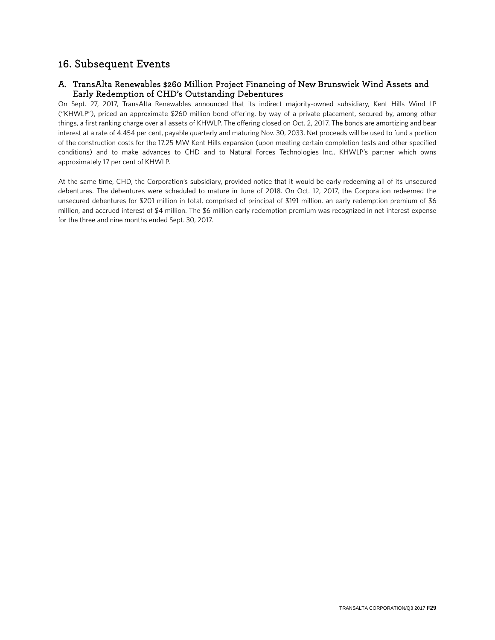# 16. Subsequent Events

# A. TransAlta Renewables \$260 Million Project Financing of New Brunswick Wind Assets and Early Redemption of CHD's Outstanding Debentures

On Sept. 27, 2017, TransAlta Renewables announced that its indirect majority-owned subsidiary, Kent Hills Wind LP ("KHWLP"), priced an approximate \$260 million bond offering, by way of a private placement, secured by, among other things, a first ranking charge over all assets of KHWLP. The offering closed on Oct. 2, 2017. The bonds are amortizing and bear interest at a rate of 4.454 per cent, payable quarterly and maturing Nov. 30, 2033. Net proceeds will be used to fund a portion of the construction costs for the 17.25 MW Kent Hills expansion (upon meeting certain completion tests and other specified conditions) and to make advances to CHD and to Natural Forces Technologies Inc., KHWLP's partner which owns approximately 17 per cent of KHWLP.

At the same time, CHD, the Corporation's subsidiary, provided notice that it would be early redeeming all of its unsecured debentures. The debentures were scheduled to mature in June of 2018. On Oct. 12, 2017, the Corporation redeemed the unsecured debentures for \$201 million in total, comprised of principal of \$191 million, an early redemption premium of \$6 million, and accrued interest of \$4 million. The \$6 million early redemption premium was recognized in net interest expense for the three and nine months ended Sept. 30, 2017.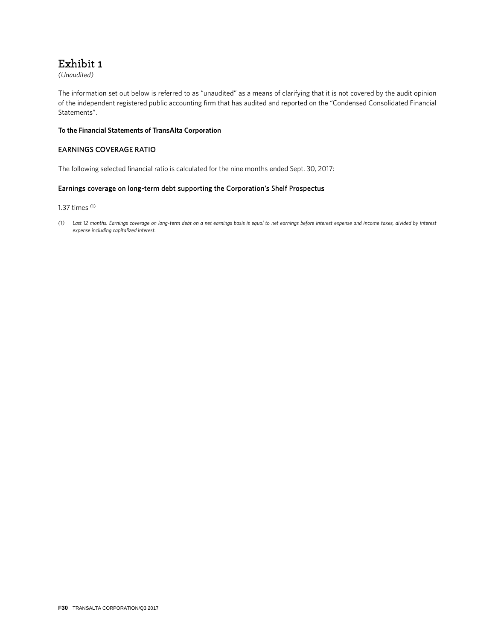# Exhibit 1

*(Unaudited)*

The information set out below is referred to as "unaudited" as a means of clarifying that it is not covered by the audit opinion of the independent registered public accounting firm that has audited and reported on the "Condensed Consolidated Financial Statements".

#### **To the Financial Statements of TransAlta Corporation**

### EARNINGS COVERAGE RATIO

The following selected financial ratio is calculated for the nine months ended Sept. 30, 2017:

### Earnings coverage on long-term debt supporting the Corporation's Shelf Prospectus

1.37 times (1)

*(1) Last 12 months. Earnings coverage on long-term debt on a net earnings basis is equal to net earnings before interest expense and income taxes, divided by interest expense including capitalized interest.*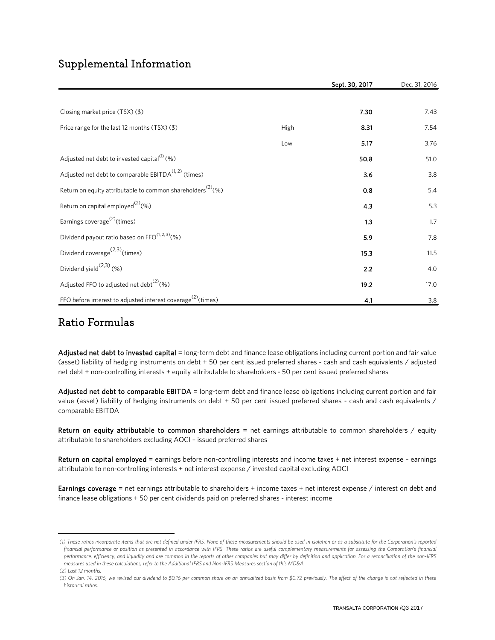# Supplemental Information

|                                                                          |      | Sept. 30, 2017 | Dec. 31, 2016 |
|--------------------------------------------------------------------------|------|----------------|---------------|
|                                                                          |      |                |               |
| Closing market price $(TSX)(\$)$                                         |      | 7.30           | 7.43          |
| Price range for the last 12 months (TSX) (\$)                            | High | 8.31           | 7.54          |
|                                                                          | Low  | 5.17           | 3.76          |
| Adjusted net debt to invested capital <sup>(1)</sup> (%)                 |      | 50.8           | 51.0          |
| Adjusted net debt to comparable EBITDA $(1, 2)$ (times)                  |      | 3.6            | 3.8           |
| Return on equity attributable to common shareholders <sup>(2)</sup> (%)  |      | 0.8            | 5.4           |
| Return on capital employed <sup>(2)</sup> (%)                            |      | 4.3            | 5.3           |
| Earnings coverage <sup>(2)</sup> (times)                                 |      | 1.3            | 1.7           |
| Dividend payout ratio based on FFO(1, 2, 3)(%)                           |      | 5.9            | 7.8           |
| Dividend coverage $(2,3)$ (times)                                        |      | 15.3           | 11.5          |
| Dividend yield $^{(2,3)}$ (%)                                            |      | 2.2            | 4.0           |
| Adjusted FFO to adjusted net debt <sup>(2)</sup> (%)                     |      | 19.2           | 17.0          |
| FFO before interest to adjusted interest coverage <sup>(2)</sup> (times) |      | 4.1            | 3.8           |

# Ratio Formulas

Adjusted net debt to invested capital = long-term debt and finance lease obligations including current portion and fair value (asset) liability of hedging instruments on debt + 50 per cent issued preferred shares - cash and cash equivalents / adjusted net debt + non-controlling interests + equity attributable to shareholders - 50 per cent issued preferred shares

Adjusted net debt to comparable EBITDA = long-term debt and finance lease obligations including current portion and fair value (asset) liability of hedging instruments on debt + 50 per cent issued preferred shares - cash and cash equivalents / comparable EBITDA

Return on equity attributable to common shareholders = net earnings attributable to common shareholders / equity attributable to shareholders excluding AOCI – issued preferred shares

Return on capital employed = earnings before non-controlling interests and income taxes + net interest expense - earnings attributable to non-controlling interests + net interest expense / invested capital excluding AOCI

Earnings coverage = net earnings attributable to shareholders + income taxes + net interest expense / interest on debt and finance lease obligations + 50 per cent dividends paid on preferred shares - interest income

<span id="page-66-0"></span> *<sup>(1)</sup> These ratios incorporate items that are not defined under IFRS. None of these measurements should be used in isolation or as a substitute for the Corporation's reported*  financial performance or position as presented in accordance with IFRS. These ratios are useful complementary measurements for assessing the Corporation's financial *performance, efficiency, and liquidity and are common in the reports of other companies but may differ by definition and application. For a reconciliation of the non-IFRS measures used in these calculations, refer to the Additional IFRS and Non-IFRS Measures section of this MD&A.*

 *<sup>(2)</sup> Last 12 months.*

<span id="page-66-1"></span> *<sup>(3)</sup> On Jan. 14, 2016, we revised our dividend to \$0.16 per common share on an annualized basis from \$0.72 previously. The effect of the change is not reflected in these historical ratios.*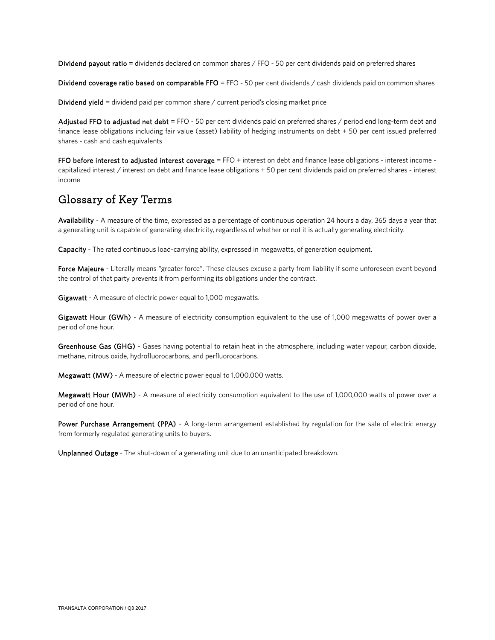Dividend payout ratio = dividends declared on common shares / FFO - 50 per cent dividends paid on preferred shares

Dividend coverage ratio based on comparable FFO = FFO - 50 per cent dividends  $\ell$  cash dividends paid on common shares

Dividend yield = dividend paid per common share / current period's closing market price

Adjusted FFO to adjusted net debt = FFO - 50 per cent dividends paid on preferred shares / period end long-term debt and finance lease obligations including fair value (asset) liability of hedging instruments on debt + 50 per cent issued preferred shares - cash and cash equivalents

FFO before interest to adjusted interest coverage = FFO + interest on debt and finance lease obligations - interest income capitalized interest / interest on debt and finance lease obligations + 50 per cent dividends paid on preferred shares - interest income

# Glossary of Key Terms

Availability - A measure of the time, expressed as a percentage of continuous operation 24 hours a day, 365 days a year that a generating unit is capable of generating electricity, regardless of whether or not it is actually generating electricity.

Capacity - The rated continuous load-carrying ability, expressed in megawatts, of generation equipment.

Force Majeure - Literally means "greater force". These clauses excuse a party from liability if some unforeseen event beyond the control of that party prevents it from performing its obligations under the contract.

Gigawatt - A measure of electric power equal to 1,000 megawatts.

Gigawatt Hour (GWh) - A measure of electricity consumption equivalent to the use of 1,000 megawatts of power over a period of one hour.

Greenhouse Gas (GHG) - Gases having potential to retain heat in the atmosphere, including water vapour, carbon dioxide, methane, nitrous oxide, hydrofluorocarbons, and perfluorocarbons.

Megawatt (MW) - A measure of electric power equal to 1,000,000 watts.

Megawatt Hour (MWh) - A measure of electricity consumption equivalent to the use of 1,000,000 watts of power over a period of one hour.

Power Purchase Arrangement (PPA) - A long-term arrangement established by regulation for the sale of electric energy from formerly regulated generating units to buyers.

Unplanned Outage - The shut-down of a generating unit due to an unanticipated breakdown.